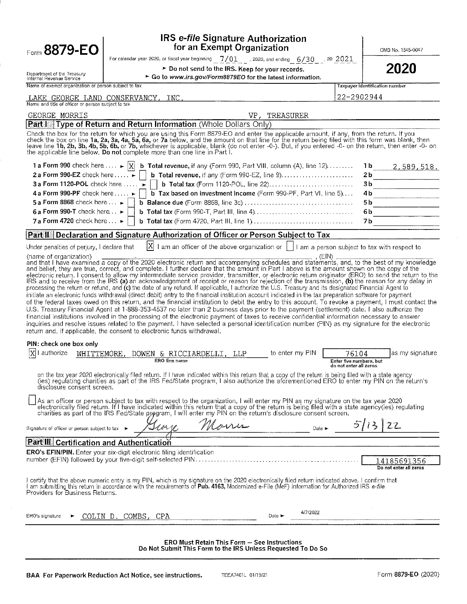| for an Exempt Organization<br>Form 8879-EO<br>For calendar year 2020, or fiscal year beginning $-7/01$ , 2020, and ending 6/30 $-$ 20 2021<br>> Do not send to the IRS. Keep for your records.<br>Department of the Treasury<br>► Go to www.irs.gov/Form8879EO for the latest information.<br>Internal Revenue Service<br>Name of exempt organization or person subject to tax<br>22-2902944<br>LAKE GEORGE LAND CONSERVANCY,<br>INC.<br>Name and title of officer or person subject to tax<br><b>GEORGE MORRIS</b><br>VP,<br>TREASURER<br>Type of Return and Return Information (Whole Dollars Only)<br>Part I<br>Check the box for the return for which you are using this Form 8879-EO and enter the applicable amount, if any, from the return. If you<br>check the box on line 1a, 2a, 3a, 4a, 5a, 6a, or 7a below, and the amount on that line for the return being filed with this form was blank, then<br>leave line 1b, 2b, 3b, 4b, 5b, 6b, or 7b, whichever is applicable, blank (do not enter -0-). But, if you entered -0- on the return, then enter -0- on<br>the applicable line below. Do not complete more than one line in Part I.<br>1 a Form 990 check here $\dots \rightarrow  X $<br><b>b</b> Total revenue, if any (Form 990, Part VIII, column (A), line $12$ )<br>2 a Form 990-EZ check here<br><b>b</b> Total revenue, if any (Form 990-EZ, line 9)<br>3 a Form 1120-POL check here $\dots$<br><b>b</b> Total tax (Form 1120-POL, line 22)<br>4 a Form 990-PF check here $\dots$<br><b>b</b> Tax based on investment income (Form 990-PF, Part VI, line $5$ )<br>5 a Form 8868 check here $\dots \blacktriangleright$<br>5 b<br>6 a Form 990-T check here $\ldots$<br>6b<br>7 a Form 4720 check here $\ldots$<br>Declaration and Signature Authorization of Officer or Person Subject to Tax<br><b>Part II</b><br>$ X $ I am an officer of the above organization or $ $ I am a person subject to tax with respect to<br>(name of organization)<br>(EIN)<br>and that I have examined a copy of the 2020 electronic return and accompanying schedules and statements, and, to the best of my knowledge<br>and belief, they are true, correct, and complete. I further declare that the amount in Part I above is the amount shown on the copy of the<br>electronic return. I consent to allow my intermediate service provider, transmitter, or electronic return originator (ERO) to send the return to the<br>IRS and to receive from the IRS (a) an acknowledgement of receipt or reason for rejection of the transmission, (b) the reason for any delay in<br>processing the return or refund, and (c) the date of any refund. If applicable, I authorize the U.S. Treasury and its designated Financial Agent to<br>initiate an electronic funds withdrawal (direct debit) entry to the financial institution account indicated in the tax preparation software for payment<br>of the federal taxes owed on this return, and the financial institution to debit the entry to this account. To revoke a payment, I must contact the<br>U.S. Treasury Financial Agent at 1-888-353-4537 no later than 2 business days prior to the payment (settlement) date. I also authorize the<br>inquiries and resolve issues related to the payment. I have selected a personal identification number (PIN) as my signature for the electronic<br>PIN: check one box only<br>authorize<br>to enter my PIN<br>WHITTEMORE, DOWEN & RICCIARDELLI.<br>76104<br>LLP<br>ERO firm name<br>Enter five numbers, but<br>on the tax year 2020 electronically filed return. If I have indicated within this return that a copy of the return is being filed with a state agency<br>(ies) regulating charities as part of the IRS Fed/State program, I also authorize the aforementioned ERO to enter my PIN on the return's<br>disclosure consent screen.<br>As an officer or person subject to tax with respect to the organization, I will enter my PIN as my signature on the tax year 2020<br>electronically filed return. If I have indicated within this return that a copy of the return is being filed with a state agency(ies) regulating<br>charities as part of the IRS Fed/State program, I will enter my PIN on the re<br>Morris<br>5/13<br>Signature of officer or person subject to tax ▶<br>Date ><br>Part III Certification and Authentication<br><b>ERO's EFIN/PIN.</b> Enter your six-digit electronic filing identification |                                       |
|------------------------------------------------------------------------------------------------------------------------------------------------------------------------------------------------------------------------------------------------------------------------------------------------------------------------------------------------------------------------------------------------------------------------------------------------------------------------------------------------------------------------------------------------------------------------------------------------------------------------------------------------------------------------------------------------------------------------------------------------------------------------------------------------------------------------------------------------------------------------------------------------------------------------------------------------------------------------------------------------------------------------------------------------------------------------------------------------------------------------------------------------------------------------------------------------------------------------------------------------------------------------------------------------------------------------------------------------------------------------------------------------------------------------------------------------------------------------------------------------------------------------------------------------------------------------------------------------------------------------------------------------------------------------------------------------------------------------------------------------------------------------------------------------------------------------------------------------------------------------------------------------------------------------------------------------------------------------------------------------------------------------------------------------------------------------------------------------------------------------------------------------------------------------------------------------------------------------------------------------------------------------------------------------------------------------------------------------------------------------------------------------------------------------------------------------------------------------------------------------------------------------------------------------------------------------------------------------------------------------------------------------------------------------------------------------------------------------------------------------------------------------------------------------------------------------------------------------------------------------------------------------------------------------------------------------------------------------------------------------------------------------------------------------------------------------------------------------------------------------------------------------------------------------------------------------------------------------------------------------------------------------------------------------------------------------------------------------------------------------------------------------------------------------------------------------------------------------------------------------------------------------------------------------------------------------------------------------------------------------------------------------------------------------------------------------------------------------------------------------------------------------------------------------------------------------------------------------------------------------------------------------------------------------------------------------------------------------------------------------------------------------------------------------------------------------------------------------------------------------------------------------------------------------------------------------------------------------------------------------------------------------------------------------------------------------------------------------------------------------------------------------------------------------------------------------------|---------------------------------------|
|                                                                                                                                                                                                                                                                                                                                                                                                                                                                                                                                                                                                                                                                                                                                                                                                                                                                                                                                                                                                                                                                                                                                                                                                                                                                                                                                                                                                                                                                                                                                                                                                                                                                                                                                                                                                                                                                                                                                                                                                                                                                                                                                                                                                                                                                                                                                                                                                                                                                                                                                                                                                                                                                                                                                                                                                                                                                                                                                                                                                                                                                                                                                                                                                                                                                                                                                                                                                                                                                                                                                                                                                                                                                                                                                                                                                                                                                                                                                                                                                                                                                                                                                                                                                                                                                                                                                                                                                                                                      | OMB No. 1545-0047                     |
|                                                                                                                                                                                                                                                                                                                                                                                                                                                                                                                                                                                                                                                                                                                                                                                                                                                                                                                                                                                                                                                                                                                                                                                                                                                                                                                                                                                                                                                                                                                                                                                                                                                                                                                                                                                                                                                                                                                                                                                                                                                                                                                                                                                                                                                                                                                                                                                                                                                                                                                                                                                                                                                                                                                                                                                                                                                                                                                                                                                                                                                                                                                                                                                                                                                                                                                                                                                                                                                                                                                                                                                                                                                                                                                                                                                                                                                                                                                                                                                                                                                                                                                                                                                                                                                                                                                                                                                                                                                      | 2020                                  |
|                                                                                                                                                                                                                                                                                                                                                                                                                                                                                                                                                                                                                                                                                                                                                                                                                                                                                                                                                                                                                                                                                                                                                                                                                                                                                                                                                                                                                                                                                                                                                                                                                                                                                                                                                                                                                                                                                                                                                                                                                                                                                                                                                                                                                                                                                                                                                                                                                                                                                                                                                                                                                                                                                                                                                                                                                                                                                                                                                                                                                                                                                                                                                                                                                                                                                                                                                                                                                                                                                                                                                                                                                                                                                                                                                                                                                                                                                                                                                                                                                                                                                                                                                                                                                                                                                                                                                                                                                                                      | Taxpayer identification number        |
|                                                                                                                                                                                                                                                                                                                                                                                                                                                                                                                                                                                                                                                                                                                                                                                                                                                                                                                                                                                                                                                                                                                                                                                                                                                                                                                                                                                                                                                                                                                                                                                                                                                                                                                                                                                                                                                                                                                                                                                                                                                                                                                                                                                                                                                                                                                                                                                                                                                                                                                                                                                                                                                                                                                                                                                                                                                                                                                                                                                                                                                                                                                                                                                                                                                                                                                                                                                                                                                                                                                                                                                                                                                                                                                                                                                                                                                                                                                                                                                                                                                                                                                                                                                                                                                                                                                                                                                                                                                      |                                       |
|                                                                                                                                                                                                                                                                                                                                                                                                                                                                                                                                                                                                                                                                                                                                                                                                                                                                                                                                                                                                                                                                                                                                                                                                                                                                                                                                                                                                                                                                                                                                                                                                                                                                                                                                                                                                                                                                                                                                                                                                                                                                                                                                                                                                                                                                                                                                                                                                                                                                                                                                                                                                                                                                                                                                                                                                                                                                                                                                                                                                                                                                                                                                                                                                                                                                                                                                                                                                                                                                                                                                                                                                                                                                                                                                                                                                                                                                                                                                                                                                                                                                                                                                                                                                                                                                                                                                                                                                                                                      |                                       |
|                                                                                                                                                                                                                                                                                                                                                                                                                                                                                                                                                                                                                                                                                                                                                                                                                                                                                                                                                                                                                                                                                                                                                                                                                                                                                                                                                                                                                                                                                                                                                                                                                                                                                                                                                                                                                                                                                                                                                                                                                                                                                                                                                                                                                                                                                                                                                                                                                                                                                                                                                                                                                                                                                                                                                                                                                                                                                                                                                                                                                                                                                                                                                                                                                                                                                                                                                                                                                                                                                                                                                                                                                                                                                                                                                                                                                                                                                                                                                                                                                                                                                                                                                                                                                                                                                                                                                                                                                                                      |                                       |
|                                                                                                                                                                                                                                                                                                                                                                                                                                                                                                                                                                                                                                                                                                                                                                                                                                                                                                                                                                                                                                                                                                                                                                                                                                                                                                                                                                                                                                                                                                                                                                                                                                                                                                                                                                                                                                                                                                                                                                                                                                                                                                                                                                                                                                                                                                                                                                                                                                                                                                                                                                                                                                                                                                                                                                                                                                                                                                                                                                                                                                                                                                                                                                                                                                                                                                                                                                                                                                                                                                                                                                                                                                                                                                                                                                                                                                                                                                                                                                                                                                                                                                                                                                                                                                                                                                                                                                                                                                                      |                                       |
|                                                                                                                                                                                                                                                                                                                                                                                                                                                                                                                                                                                                                                                                                                                                                                                                                                                                                                                                                                                                                                                                                                                                                                                                                                                                                                                                                                                                                                                                                                                                                                                                                                                                                                                                                                                                                                                                                                                                                                                                                                                                                                                                                                                                                                                                                                                                                                                                                                                                                                                                                                                                                                                                                                                                                                                                                                                                                                                                                                                                                                                                                                                                                                                                                                                                                                                                                                                                                                                                                                                                                                                                                                                                                                                                                                                                                                                                                                                                                                                                                                                                                                                                                                                                                                                                                                                                                                                                                                                      | ıь<br>2,589,518.                      |
|                                                                                                                                                                                                                                                                                                                                                                                                                                                                                                                                                                                                                                                                                                                                                                                                                                                                                                                                                                                                                                                                                                                                                                                                                                                                                                                                                                                                                                                                                                                                                                                                                                                                                                                                                                                                                                                                                                                                                                                                                                                                                                                                                                                                                                                                                                                                                                                                                                                                                                                                                                                                                                                                                                                                                                                                                                                                                                                                                                                                                                                                                                                                                                                                                                                                                                                                                                                                                                                                                                                                                                                                                                                                                                                                                                                                                                                                                                                                                                                                                                                                                                                                                                                                                                                                                                                                                                                                                                                      | 2 b                                   |
| Under penalties of perjury, I declare that<br>financial institutions involved in the processing of the electronic payment of taxes to receive confidential information necessary to answer<br>return and, if applicable, the consent to electronic funds withdrawal.                                                                                                                                                                                                                                                                                                                                                                                                                                                                                                                                                                                                                                                                                                                                                                                                                                                                                                                                                                                                                                                                                                                                                                                                                                                                                                                                                                                                                                                                                                                                                                                                                                                                                                                                                                                                                                                                                                                                                                                                                                                                                                                                                                                                                                                                                                                                                                                                                                                                                                                                                                                                                                                                                                                                                                                                                                                                                                                                                                                                                                                                                                                                                                                                                                                                                                                                                                                                                                                                                                                                                                                                                                                                                                                                                                                                                                                                                                                                                                                                                                                                                                                                                                                 | 3 b                                   |
|                                                                                                                                                                                                                                                                                                                                                                                                                                                                                                                                                                                                                                                                                                                                                                                                                                                                                                                                                                                                                                                                                                                                                                                                                                                                                                                                                                                                                                                                                                                                                                                                                                                                                                                                                                                                                                                                                                                                                                                                                                                                                                                                                                                                                                                                                                                                                                                                                                                                                                                                                                                                                                                                                                                                                                                                                                                                                                                                                                                                                                                                                                                                                                                                                                                                                                                                                                                                                                                                                                                                                                                                                                                                                                                                                                                                                                                                                                                                                                                                                                                                                                                                                                                                                                                                                                                                                                                                                                                      | 4 b                                   |
|                                                                                                                                                                                                                                                                                                                                                                                                                                                                                                                                                                                                                                                                                                                                                                                                                                                                                                                                                                                                                                                                                                                                                                                                                                                                                                                                                                                                                                                                                                                                                                                                                                                                                                                                                                                                                                                                                                                                                                                                                                                                                                                                                                                                                                                                                                                                                                                                                                                                                                                                                                                                                                                                                                                                                                                                                                                                                                                                                                                                                                                                                                                                                                                                                                                                                                                                                                                                                                                                                                                                                                                                                                                                                                                                                                                                                                                                                                                                                                                                                                                                                                                                                                                                                                                                                                                                                                                                                                                      |                                       |
|                                                                                                                                                                                                                                                                                                                                                                                                                                                                                                                                                                                                                                                                                                                                                                                                                                                                                                                                                                                                                                                                                                                                                                                                                                                                                                                                                                                                                                                                                                                                                                                                                                                                                                                                                                                                                                                                                                                                                                                                                                                                                                                                                                                                                                                                                                                                                                                                                                                                                                                                                                                                                                                                                                                                                                                                                                                                                                                                                                                                                                                                                                                                                                                                                                                                                                                                                                                                                                                                                                                                                                                                                                                                                                                                                                                                                                                                                                                                                                                                                                                                                                                                                                                                                                                                                                                                                                                                                                                      | 7 b                                   |
|                                                                                                                                                                                                                                                                                                                                                                                                                                                                                                                                                                                                                                                                                                                                                                                                                                                                                                                                                                                                                                                                                                                                                                                                                                                                                                                                                                                                                                                                                                                                                                                                                                                                                                                                                                                                                                                                                                                                                                                                                                                                                                                                                                                                                                                                                                                                                                                                                                                                                                                                                                                                                                                                                                                                                                                                                                                                                                                                                                                                                                                                                                                                                                                                                                                                                                                                                                                                                                                                                                                                                                                                                                                                                                                                                                                                                                                                                                                                                                                                                                                                                                                                                                                                                                                                                                                                                                                                                                                      |                                       |
|                                                                                                                                                                                                                                                                                                                                                                                                                                                                                                                                                                                                                                                                                                                                                                                                                                                                                                                                                                                                                                                                                                                                                                                                                                                                                                                                                                                                                                                                                                                                                                                                                                                                                                                                                                                                                                                                                                                                                                                                                                                                                                                                                                                                                                                                                                                                                                                                                                                                                                                                                                                                                                                                                                                                                                                                                                                                                                                                                                                                                                                                                                                                                                                                                                                                                                                                                                                                                                                                                                                                                                                                                                                                                                                                                                                                                                                                                                                                                                                                                                                                                                                                                                                                                                                                                                                                                                                                                                                      |                                       |
|                                                                                                                                                                                                                                                                                                                                                                                                                                                                                                                                                                                                                                                                                                                                                                                                                                                                                                                                                                                                                                                                                                                                                                                                                                                                                                                                                                                                                                                                                                                                                                                                                                                                                                                                                                                                                                                                                                                                                                                                                                                                                                                                                                                                                                                                                                                                                                                                                                                                                                                                                                                                                                                                                                                                                                                                                                                                                                                                                                                                                                                                                                                                                                                                                                                                                                                                                                                                                                                                                                                                                                                                                                                                                                                                                                                                                                                                                                                                                                                                                                                                                                                                                                                                                                                                                                                                                                                                                                                      |                                       |
|                                                                                                                                                                                                                                                                                                                                                                                                                                                                                                                                                                                                                                                                                                                                                                                                                                                                                                                                                                                                                                                                                                                                                                                                                                                                                                                                                                                                                                                                                                                                                                                                                                                                                                                                                                                                                                                                                                                                                                                                                                                                                                                                                                                                                                                                                                                                                                                                                                                                                                                                                                                                                                                                                                                                                                                                                                                                                                                                                                                                                                                                                                                                                                                                                                                                                                                                                                                                                                                                                                                                                                                                                                                                                                                                                                                                                                                                                                                                                                                                                                                                                                                                                                                                                                                                                                                                                                                                                                                      |                                       |
|                                                                                                                                                                                                                                                                                                                                                                                                                                                                                                                                                                                                                                                                                                                                                                                                                                                                                                                                                                                                                                                                                                                                                                                                                                                                                                                                                                                                                                                                                                                                                                                                                                                                                                                                                                                                                                                                                                                                                                                                                                                                                                                                                                                                                                                                                                                                                                                                                                                                                                                                                                                                                                                                                                                                                                                                                                                                                                                                                                                                                                                                                                                                                                                                                                                                                                                                                                                                                                                                                                                                                                                                                                                                                                                                                                                                                                                                                                                                                                                                                                                                                                                                                                                                                                                                                                                                                                                                                                                      | las my signature                      |
|                                                                                                                                                                                                                                                                                                                                                                                                                                                                                                                                                                                                                                                                                                                                                                                                                                                                                                                                                                                                                                                                                                                                                                                                                                                                                                                                                                                                                                                                                                                                                                                                                                                                                                                                                                                                                                                                                                                                                                                                                                                                                                                                                                                                                                                                                                                                                                                                                                                                                                                                                                                                                                                                                                                                                                                                                                                                                                                                                                                                                                                                                                                                                                                                                                                                                                                                                                                                                                                                                                                                                                                                                                                                                                                                                                                                                                                                                                                                                                                                                                                                                                                                                                                                                                                                                                                                                                                                                                                      |                                       |
|                                                                                                                                                                                                                                                                                                                                                                                                                                                                                                                                                                                                                                                                                                                                                                                                                                                                                                                                                                                                                                                                                                                                                                                                                                                                                                                                                                                                                                                                                                                                                                                                                                                                                                                                                                                                                                                                                                                                                                                                                                                                                                                                                                                                                                                                                                                                                                                                                                                                                                                                                                                                                                                                                                                                                                                                                                                                                                                                                                                                                                                                                                                                                                                                                                                                                                                                                                                                                                                                                                                                                                                                                                                                                                                                                                                                                                                                                                                                                                                                                                                                                                                                                                                                                                                                                                                                                                                                                                                      |                                       |
|                                                                                                                                                                                                                                                                                                                                                                                                                                                                                                                                                                                                                                                                                                                                                                                                                                                                                                                                                                                                                                                                                                                                                                                                                                                                                                                                                                                                                                                                                                                                                                                                                                                                                                                                                                                                                                                                                                                                                                                                                                                                                                                                                                                                                                                                                                                                                                                                                                                                                                                                                                                                                                                                                                                                                                                                                                                                                                                                                                                                                                                                                                                                                                                                                                                                                                                                                                                                                                                                                                                                                                                                                                                                                                                                                                                                                                                                                                                                                                                                                                                                                                                                                                                                                                                                                                                                                                                                                                                      | 22                                    |
|                                                                                                                                                                                                                                                                                                                                                                                                                                                                                                                                                                                                                                                                                                                                                                                                                                                                                                                                                                                                                                                                                                                                                                                                                                                                                                                                                                                                                                                                                                                                                                                                                                                                                                                                                                                                                                                                                                                                                                                                                                                                                                                                                                                                                                                                                                                                                                                                                                                                                                                                                                                                                                                                                                                                                                                                                                                                                                                                                                                                                                                                                                                                                                                                                                                                                                                                                                                                                                                                                                                                                                                                                                                                                                                                                                                                                                                                                                                                                                                                                                                                                                                                                                                                                                                                                                                                                                                                                                                      |                                       |
|                                                                                                                                                                                                                                                                                                                                                                                                                                                                                                                                                                                                                                                                                                                                                                                                                                                                                                                                                                                                                                                                                                                                                                                                                                                                                                                                                                                                                                                                                                                                                                                                                                                                                                                                                                                                                                                                                                                                                                                                                                                                                                                                                                                                                                                                                                                                                                                                                                                                                                                                                                                                                                                                                                                                                                                                                                                                                                                                                                                                                                                                                                                                                                                                                                                                                                                                                                                                                                                                                                                                                                                                                                                                                                                                                                                                                                                                                                                                                                                                                                                                                                                                                                                                                                                                                                                                                                                                                                                      |                                       |
|                                                                                                                                                                                                                                                                                                                                                                                                                                                                                                                                                                                                                                                                                                                                                                                                                                                                                                                                                                                                                                                                                                                                                                                                                                                                                                                                                                                                                                                                                                                                                                                                                                                                                                                                                                                                                                                                                                                                                                                                                                                                                                                                                                                                                                                                                                                                                                                                                                                                                                                                                                                                                                                                                                                                                                                                                                                                                                                                                                                                                                                                                                                                                                                                                                                                                                                                                                                                                                                                                                                                                                                                                                                                                                                                                                                                                                                                                                                                                                                                                                                                                                                                                                                                                                                                                                                                                                                                                                                      | 14185691356<br>Do not enter all zeros |
| l certify that the above numeric entry is my PIN, which is my signature on the 2020 electronically filed return indicated above. I confirm that<br>I am submitting this return in accordance with the requirements of <b>Pub. 4163,</b><br>Providers for Business Returns.                                                                                                                                                                                                                                                                                                                                                                                                                                                                                                                                                                                                                                                                                                                                                                                                                                                                                                                                                                                                                                                                                                                                                                                                                                                                                                                                                                                                                                                                                                                                                                                                                                                                                                                                                                                                                                                                                                                                                                                                                                                                                                                                                                                                                                                                                                                                                                                                                                                                                                                                                                                                                                                                                                                                                                                                                                                                                                                                                                                                                                                                                                                                                                                                                                                                                                                                                                                                                                                                                                                                                                                                                                                                                                                                                                                                                                                                                                                                                                                                                                                                                                                                                                           |                                       |
| 4/7/2022<br>COMBS,<br>ERO's signature<br>COLIN D.<br>CPA<br>Date »                                                                                                                                                                                                                                                                                                                                                                                                                                                                                                                                                                                                                                                                                                                                                                                                                                                                                                                                                                                                                                                                                                                                                                                                                                                                                                                                                                                                                                                                                                                                                                                                                                                                                                                                                                                                                                                                                                                                                                                                                                                                                                                                                                                                                                                                                                                                                                                                                                                                                                                                                                                                                                                                                                                                                                                                                                                                                                                                                                                                                                                                                                                                                                                                                                                                                                                                                                                                                                                                                                                                                                                                                                                                                                                                                                                                                                                                                                                                                                                                                                                                                                                                                                                                                                                                                                                                                                                   |                                       |

Do Not Submit This Form to the IRS Unless Requested To Do So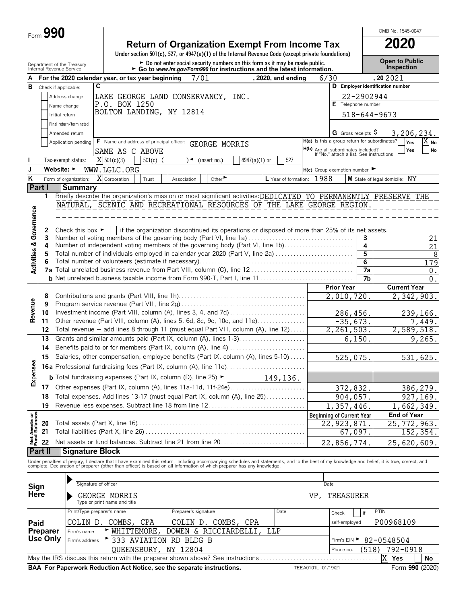| <b>Form</b> ت | 90 |
|---------------|----|
|---------------|----|

|                                        | Form 990 |                                                                                          |                              |        |                                                                                                                                                       |                             |               |                      |      |                                                                                 |                      | OMB No. 1545-0047                                                                                                                                                                                                              |
|----------------------------------------|----------|------------------------------------------------------------------------------------------|------------------------------|--------|-------------------------------------------------------------------------------------------------------------------------------------------------------|-----------------------------|---------------|----------------------|------|---------------------------------------------------------------------------------|----------------------|--------------------------------------------------------------------------------------------------------------------------------------------------------------------------------------------------------------------------------|
|                                        |          |                                                                                          |                              |        | <b>Return of Organization Exempt From Income Tax</b>                                                                                                  |                             |               |                      |      |                                                                                 |                      | 2020                                                                                                                                                                                                                           |
|                                        |          |                                                                                          |                              |        | Under section 501(c), 527, or 4947(a)(1) of the Internal Revenue Code (except private foundations)                                                    |                             |               |                      |      |                                                                                 |                      |                                                                                                                                                                                                                                |
|                                        |          | Department of the Treasury<br>Internal Revenue Service                                   |                              |        | Do not enter social security numbers on this form as it may be made public.<br>Go to www.irs.gov/Form990 for instructions and the latest information. |                             |               |                      |      |                                                                                 |                      | <b>Open to Public</b><br>Inspection                                                                                                                                                                                            |
| A                                      |          | For the 2020 calendar year, or tax year beginning                                        |                              |        | 7/01                                                                                                                                                  |                             |               | . 2020. and ending   |      | 6/30                                                                            |                      | ,20 20 21                                                                                                                                                                                                                      |
| в                                      |          | C<br>Check if applicable:                                                                |                              |        |                                                                                                                                                       |                             |               |                      |      |                                                                                 |                      | D Employer identification number                                                                                                                                                                                               |
|                                        |          | Address change                                                                           |                              |        | LAKE GEORGE LAND CONSERVANCY, INC.                                                                                                                    |                             |               |                      |      |                                                                                 | 22-2902944           |                                                                                                                                                                                                                                |
|                                        |          | Name change                                                                              | P.O. BOX 1250                |        |                                                                                                                                                       |                             |               |                      |      | E Telephone number                                                              |                      |                                                                                                                                                                                                                                |
|                                        |          | Initial return                                                                           |                              |        | BOLTON LANDING, NY 12814                                                                                                                              |                             |               |                      |      |                                                                                 | 518-644-9673         |                                                                                                                                                                                                                                |
|                                        |          | Final return/terminated                                                                  |                              |        |                                                                                                                                                       |                             |               |                      |      |                                                                                 |                      |                                                                                                                                                                                                                                |
|                                        |          | Amended return                                                                           |                              |        |                                                                                                                                                       |                             |               |                      |      | <b>G</b> Gross receipts S                                                       |                      | 3,206,234.                                                                                                                                                                                                                     |
|                                        |          | Application pending                                                                      |                              |        | F Name and address of principal officer: GEORGE MORRIS                                                                                                |                             |               |                      |      | H(a) Is this a group return for subordinates?                                   |                      | $X_{\mathsf{No}}$<br>Yes                                                                                                                                                                                                       |
|                                        |          |                                                                                          | SAME AS C ABOVE              |        |                                                                                                                                                       |                             |               |                      |      | H(b) Are all subordinates included?<br>If "No," attach a list. See instructions |                      | Yes<br>No                                                                                                                                                                                                                      |
|                                        |          | Tax-exempt status:                                                                       | $X$ 501(c)(3)                | 501(c) | ∖◄                                                                                                                                                    | (insert no.)                | 4947(a)(1) or | 527                  |      |                                                                                 |                      |                                                                                                                                                                                                                                |
| J                                      |          | Website: $\blacktriangleright$                                                           | WWW.LGLC.ORG                 |        |                                                                                                                                                       |                             |               |                      |      | $H(c)$ Group exemption number $\blacktriangleright$                             |                      |                                                                                                                                                                                                                                |
| K                                      |          | Χ<br>Form of organization:                                                               | Corporation                  | Trust  | Association                                                                                                                                           | Other $\blacktriangleright$ |               | L Year of formation: | 1988 |                                                                                 |                      | M State of legal domicile: NY                                                                                                                                                                                                  |
|                                        | Part I   | <b>Summary</b>                                                                           |                              |        |                                                                                                                                                       |                             |               |                      |      |                                                                                 |                      |                                                                                                                                                                                                                                |
|                                        | 1        |                                                                                          |                              |        |                                                                                                                                                       |                             |               |                      |      |                                                                                 |                      | Briefly describe the organization's mission or most significant activities: DEDICATED TO PERMANENTLY PRESERVE THE                                                                                                              |
|                                        |          | NATURAL, SCENIC AND RECREATIONAL RESOURCES OF THE LAKE GEORGE REGION.                    |                              |        |                                                                                                                                                       |                             |               |                      |      |                                                                                 |                      |                                                                                                                                                                                                                                |
|                                        |          |                                                                                          |                              |        |                                                                                                                                                       |                             |               |                      |      |                                                                                 |                      |                                                                                                                                                                                                                                |
| Governance                             | 2        | Check this box $\blacktriangleright$                                                     |                              |        | if the organization discontinued its operations or disposed of more than 25% of its net assets.                                                       |                             |               |                      |      |                                                                                 |                      |                                                                                                                                                                                                                                |
|                                        | 3        | Number of voting members of the governing body (Part VI, line 1a)                        |                              |        |                                                                                                                                                       |                             |               |                      |      |                                                                                 | 3                    | 21                                                                                                                                                                                                                             |
|                                        | 4        | Number of independent voting members of the governing body (Part VI, line 1b)            |                              |        |                                                                                                                                                       |                             |               |                      |      |                                                                                 | 4                    | 21                                                                                                                                                                                                                             |
|                                        | 5        | Total number of individuals employed in calendar year 2020 (Part V, line 2a)             |                              |        |                                                                                                                                                       |                             |               |                      |      |                                                                                 | 5                    | 8                                                                                                                                                                                                                              |
| <b>Activities &amp;</b>                | 6        |                                                                                          |                              |        |                                                                                                                                                       |                             |               |                      |      |                                                                                 | $\overline{6}$<br>7a | 179                                                                                                                                                                                                                            |
|                                        |          |                                                                                          |                              |        |                                                                                                                                                       |                             |               |                      |      |                                                                                 | 7b                   | 0.<br>$\overline{0}$ .                                                                                                                                                                                                         |
|                                        |          |                                                                                          |                              |        |                                                                                                                                                       |                             |               |                      |      | <b>Prior Year</b>                                                               |                      | <b>Current Year</b>                                                                                                                                                                                                            |
|                                        | 8        |                                                                                          |                              |        |                                                                                                                                                       |                             |               |                      |      | 2,010,720                                                                       |                      | 2,342,903.                                                                                                                                                                                                                     |
|                                        | 9        |                                                                                          |                              |        |                                                                                                                                                       |                             |               |                      |      |                                                                                 |                      |                                                                                                                                                                                                                                |
| Revenue                                | 10       |                                                                                          |                              |        |                                                                                                                                                       |                             |               |                      |      | 286,456.                                                                        |                      | 239,166.                                                                                                                                                                                                                       |
|                                        | 11       | Other revenue (Part VIII, column (A), lines 5, 6d, 8c, 9c, 10c, and 11e)                 |                              |        |                                                                                                                                                       |                             |               |                      |      | $-35,673.$                                                                      |                      | 7,449.                                                                                                                                                                                                                         |
|                                        | 12       | Total revenue - add lines 8 through 11 (must equal Part VIII, column (A), line 12)       |                              |        |                                                                                                                                                       |                             |               |                      |      | 2, 261, 503.                                                                    |                      | 2,589,518.                                                                                                                                                                                                                     |
|                                        | 13       | Grants and similar amounts paid (Part IX, column (A), lines 1-3)                         |                              |        |                                                                                                                                                       |                             |               |                      |      |                                                                                 | 6,150                | 9,265.                                                                                                                                                                                                                         |
|                                        | 14<br>15 | Salaries, other compensation, employee benefits (Part IX, column (A), lines 5-10)        |                              |        |                                                                                                                                                       |                             |               |                      |      |                                                                                 |                      |                                                                                                                                                                                                                                |
| $\rm ^{5}$                             |          | Professional fundraising fees (Part IX, column (A), line 11e)                            |                              |        |                                                                                                                                                       |                             |               |                      |      | 525,075.                                                                        |                      | 531,625.                                                                                                                                                                                                                       |
| Expense                                | 16a      |                                                                                          |                              |        |                                                                                                                                                       |                             |               |                      |      |                                                                                 |                      |                                                                                                                                                                                                                                |
|                                        |          | <b>b</b> Total fundraising expenses (Part IX, column (D), line 25) $\blacktriangleright$ |                              |        |                                                                                                                                                       |                             |               | 149,136.             |      |                                                                                 |                      |                                                                                                                                                                                                                                |
|                                        | 17       | Other expenses (Part IX, column (A), lines 11a-11d, 11f-24e)                             |                              |        |                                                                                                                                                       |                             |               |                      |      | 372,832.                                                                        |                      | 386,279.                                                                                                                                                                                                                       |
|                                        | 18       | Total expenses. Add lines 13-17 (must equal Part IX, column (A), line 25)                |                              |        |                                                                                                                                                       |                             |               |                      |      | 904,057.                                                                        |                      | 927,169.                                                                                                                                                                                                                       |
|                                        | 19       | Revenue less expenses. Subtract line 18 from line 12                                     |                              |        |                                                                                                                                                       |                             |               |                      |      | 1,357,446.                                                                      |                      | 1,662,349.                                                                                                                                                                                                                     |
|                                        | 20       |                                                                                          |                              |        |                                                                                                                                                       |                             |               |                      |      | <b>Beginning of Current Year</b><br>22, 923, 871                                |                      | End of Year<br>$\overline{25,7}$ 72, 963.                                                                                                                                                                                      |
|                                        | 21       |                                                                                          |                              |        |                                                                                                                                                       |                             |               |                      |      |                                                                                 | 67,097.              | 152,354.                                                                                                                                                                                                                       |
| <b>Net Assets or<br/>Fund Balances</b> | 22       | Net assets or fund balances. Subtract line 21 from line 20                               |                              |        |                                                                                                                                                       |                             |               |                      |      | 22,856,774.                                                                     |                      | 25,620,609.                                                                                                                                                                                                                    |
|                                        | Part II  | <b>Signature Block</b>                                                                   |                              |        |                                                                                                                                                       |                             |               |                      |      |                                                                                 |                      |                                                                                                                                                                                                                                |
|                                        |          |                                                                                          |                              |        |                                                                                                                                                       |                             |               |                      |      |                                                                                 |                      |                                                                                                                                                                                                                                |
|                                        |          |                                                                                          |                              |        |                                                                                                                                                       |                             |               |                      |      |                                                                                 |                      | Under penalties of perjury, I declare that I have examined this return, including accompanying schedules and statements, and to the best of my knowledge and belief, it is true, correct, and complete. Declaration of prepare |
|                                        |          |                                                                                          |                              |        |                                                                                                                                                       |                             |               |                      |      |                                                                                 |                      |                                                                                                                                                                                                                                |
| Sign                                   |          | Signature of officer                                                                     |                              |        |                                                                                                                                                       |                             |               |                      |      | Date                                                                            |                      |                                                                                                                                                                                                                                |
| Here                                   |          |                                                                                          | GEORGE MORRIS                |        |                                                                                                                                                       |                             |               |                      | VP.  | TREASURER                                                                       |                      |                                                                                                                                                                                                                                |
|                                        |          |                                                                                          | Type or print name and title |        |                                                                                                                                                       |                             |               |                      |      |                                                                                 |                      |                                                                                                                                                                                                                                |

|          | Type or print name and title                                                                                    |                                        |             |               |           |  |  |  |  |  |
|----------|-----------------------------------------------------------------------------------------------------------------|----------------------------------------|-------------|---------------|-----------|--|--|--|--|--|
|          | Print/Type preparer's name                                                                                      | Preparer's signature                   | if<br>Check | PTIN          |           |  |  |  |  |  |
| Paid     | COLIN D. COMBS, CPA                                                                                             | COLIN D. COMBS, CPA                    |             | self-employed | P00968109 |  |  |  |  |  |
| Preparer | NHITTEMORE, DOWEN & RICCIARDELLI, LLP<br>Firm's name                                                            |                                        |             |               |           |  |  |  |  |  |
|          | Use Only $ F_{\text{Firm's address}} \rightarrow 333$ AVIATION RD BLDG B                                        | Firm's EIN $\triangleright$ 82-0548504 |             |               |           |  |  |  |  |  |
|          | QUEENSBURY, NY 12804                                                                                            | (518)<br>Phone no.                     | 792-0918    |               |           |  |  |  |  |  |
|          | May the IRS discuss this return with the preparer shown above? See instructions<br><b>Yes</b><br>No             |                                        |             |               |           |  |  |  |  |  |
|          | BAA For Paperwork Reduction Act Notice, see the separate instructions.<br>Form 990 (2020)<br>TEEA0101L 01/19/21 |                                        |             |               |           |  |  |  |  |  |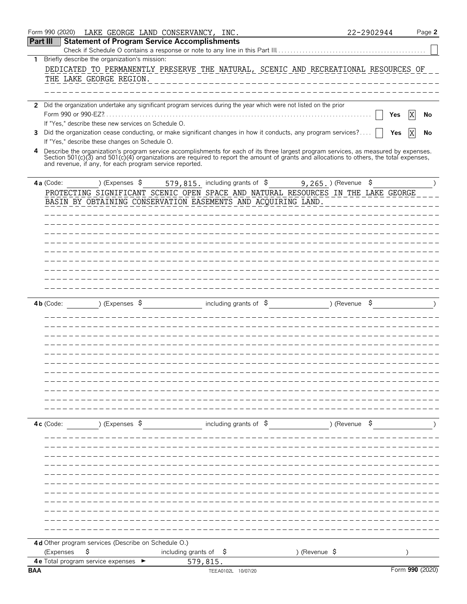|                 | Form 990 (2020)                                                                                                                                                                                                                                                                  |                           | LAKE GEORGE LAND CONSERVANCY, INC.                                                                                                  |          |                                |                                                       |               |                          | 22-2902944 |                 |    | Page 2 |
|-----------------|----------------------------------------------------------------------------------------------------------------------------------------------------------------------------------------------------------------------------------------------------------------------------------|---------------------------|-------------------------------------------------------------------------------------------------------------------------------------|----------|--------------------------------|-------------------------------------------------------|---------------|--------------------------|------------|-----------------|----|--------|
| <b>Part III</b> |                                                                                                                                                                                                                                                                                  |                           | <b>Statement of Program Service Accomplishments</b><br>Check if Schedule O contains a response or note to any line in this Part III |          |                                |                                                       |               |                          |            |                 |    |        |
| 1.              | Briefly describe the organization's mission:                                                                                                                                                                                                                                     |                           |                                                                                                                                     |          |                                |                                                       |               |                          |            |                 |    |        |
|                 |                                                                                                                                                                                                                                                                                  |                           | DEDICATED TO PERMANENTLY PRESERVE THE NATURAL, SCENIC AND RECREATIONAL RESOURCES OF                                                 |          |                                |                                                       |               |                          |            |                 |    |        |
|                 | THE LAKE GEORGE REGION.                                                                                                                                                                                                                                                          |                           |                                                                                                                                     |          |                                |                                                       |               |                          |            |                 |    |        |
|                 |                                                                                                                                                                                                                                                                                  |                           |                                                                                                                                     |          |                                |                                                       |               |                          |            |                 |    |        |
|                 | 2 Did the organization undertake any significant program services during the year which were not listed on the prior                                                                                                                                                             |                           |                                                                                                                                     |          |                                |                                                       |               |                          |            |                 |    |        |
|                 | Form 990 or 990-EZ?                                                                                                                                                                                                                                                              |                           |                                                                                                                                     |          |                                |                                                       |               |                          |            | Yes             | ΙX | No     |
|                 | If "Yes," describe these new services on Schedule O.                                                                                                                                                                                                                             |                           |                                                                                                                                     |          |                                |                                                       |               |                          |            |                 |    |        |
| 3               | Did the organization cease conducting, or make significant changes in how it conducts, any program services?<br>If "Yes," describe these changes on Schedule O.                                                                                                                  |                           |                                                                                                                                     |          |                                |                                                       |               |                          |            | Yes             | ΙX | No     |
| 4               | Describe the organization's program service accomplishments for each of its three largest program services, as measured by expenses.<br>Section 501(c)(3) and 501(c)(4) organizations are required to report the amount of grants and allocations to others, the total expenses, |                           |                                                                                                                                     |          |                                |                                                       |               |                          |            |                 |    |        |
|                 | and revenue, if any, for each program service reported.                                                                                                                                                                                                                          |                           |                                                                                                                                     |          |                                |                                                       |               |                          |            |                 |    |        |
|                 |                                                                                                                                                                                                                                                                                  |                           |                                                                                                                                     |          |                                |                                                       |               |                          |            |                 |    |        |
|                 | 4a (Code:                                                                                                                                                                                                                                                                        | ) (Expenses $\frac{1}{2}$ | PROTECTING SIGNIFICANT SCENIC OPEN SPACE AND NATURAL RESOURCES IN THE LAKE GEORGE                                                   |          |                                | 579, 815. including grants of \$9, 265. ) (Revenue \$ |               |                          |            |                 |    |        |
|                 |                                                                                                                                                                                                                                                                                  |                           | BASIN BY OBTAINING CONSERVATION EASEMENTS AND ACQUIRING LAND.                                                                       |          |                                |                                                       |               |                          |            |                 |    |        |
|                 |                                                                                                                                                                                                                                                                                  |                           |                                                                                                                                     |          |                                |                                                       |               |                          |            |                 |    |        |
|                 |                                                                                                                                                                                                                                                                                  |                           |                                                                                                                                     |          |                                |                                                       |               |                          |            |                 |    |        |
|                 |                                                                                                                                                                                                                                                                                  |                           |                                                                                                                                     |          |                                |                                                       |               |                          |            |                 |    |        |
|                 |                                                                                                                                                                                                                                                                                  |                           |                                                                                                                                     |          |                                |                                                       |               |                          |            |                 |    |        |
|                 |                                                                                                                                                                                                                                                                                  |                           |                                                                                                                                     |          |                                |                                                       |               |                          |            |                 |    |        |
|                 |                                                                                                                                                                                                                                                                                  |                           |                                                                                                                                     |          |                                |                                                       |               |                          |            |                 |    |        |
|                 |                                                                                                                                                                                                                                                                                  |                           |                                                                                                                                     |          |                                |                                                       |               |                          |            |                 |    |        |
|                 |                                                                                                                                                                                                                                                                                  |                           |                                                                                                                                     |          |                                |                                                       |               |                          |            |                 |    |        |
|                 | 4b (Code:                                                                                                                                                                                                                                                                        | ) (Expenses $\sqrt{5}$    |                                                                                                                                     |          | including grants of $\sqrt{5}$ |                                                       |               | ) (Revenue $\frac{1}{2}$ |            |                 |    |        |
|                 |                                                                                                                                                                                                                                                                                  |                           |                                                                                                                                     |          |                                |                                                       |               |                          |            |                 |    |        |
|                 |                                                                                                                                                                                                                                                                                  |                           |                                                                                                                                     |          |                                |                                                       |               |                          |            |                 |    |        |
|                 |                                                                                                                                                                                                                                                                                  |                           |                                                                                                                                     |          |                                |                                                       |               |                          |            |                 |    |        |
|                 |                                                                                                                                                                                                                                                                                  |                           |                                                                                                                                     |          |                                |                                                       |               |                          |            |                 |    |        |
|                 |                                                                                                                                                                                                                                                                                  |                           |                                                                                                                                     |          |                                |                                                       |               |                          |            |                 |    |        |
|                 |                                                                                                                                                                                                                                                                                  |                           |                                                                                                                                     |          |                                |                                                       |               |                          |            |                 |    |        |
|                 |                                                                                                                                                                                                                                                                                  |                           |                                                                                                                                     |          |                                |                                                       |               |                          |            |                 |    |        |
|                 |                                                                                                                                                                                                                                                                                  |                           |                                                                                                                                     |          |                                |                                                       |               |                          |            |                 |    |        |
|                 |                                                                                                                                                                                                                                                                                  |                           |                                                                                                                                     |          |                                |                                                       |               |                          |            |                 |    |        |
|                 |                                                                                                                                                                                                                                                                                  |                           |                                                                                                                                     |          |                                |                                                       |               |                          |            |                 |    |        |
|                 | 4c (Code:                                                                                                                                                                                                                                                                        | ) (Expenses \$            |                                                                                                                                     |          | including grants of $\phi$     |                                                       |               | ) (Revenue \$            |            |                 |    |        |
|                 |                                                                                                                                                                                                                                                                                  |                           |                                                                                                                                     |          |                                |                                                       |               |                          |            |                 |    |        |
|                 |                                                                                                                                                                                                                                                                                  |                           |                                                                                                                                     |          |                                |                                                       |               |                          |            |                 |    |        |
|                 |                                                                                                                                                                                                                                                                                  |                           |                                                                                                                                     |          |                                |                                                       |               |                          |            |                 |    |        |
|                 |                                                                                                                                                                                                                                                                                  |                           |                                                                                                                                     |          |                                |                                                       |               |                          |            |                 |    |        |
|                 |                                                                                                                                                                                                                                                                                  |                           |                                                                                                                                     |          |                                |                                                       |               |                          |            |                 |    |        |
|                 |                                                                                                                                                                                                                                                                                  |                           |                                                                                                                                     |          |                                |                                                       |               |                          |            |                 |    |        |
|                 |                                                                                                                                                                                                                                                                                  |                           |                                                                                                                                     |          |                                |                                                       |               |                          |            |                 |    |        |
|                 |                                                                                                                                                                                                                                                                                  |                           |                                                                                                                                     |          |                                |                                                       |               |                          |            |                 |    |        |
|                 |                                                                                                                                                                                                                                                                                  |                           |                                                                                                                                     |          |                                |                                                       |               |                          |            |                 |    |        |
|                 |                                                                                                                                                                                                                                                                                  |                           |                                                                                                                                     |          |                                |                                                       |               |                          |            |                 |    |        |
|                 | 4d Other program services (Describe on Schedule O.)                                                                                                                                                                                                                              |                           |                                                                                                                                     |          |                                |                                                       |               |                          |            |                 |    |        |
|                 | (Expenses                                                                                                                                                                                                                                                                        | \$                        | including grants of $\frac{1}{2}$                                                                                                   |          |                                |                                                       | ) (Revenue \$ |                          |            |                 |    |        |
| <b>BAA</b>      | <b>4e</b> Total program service expenses                                                                                                                                                                                                                                         |                           |                                                                                                                                     | 579,815. |                                |                                                       |               |                          |            | Form 990 (2020) |    |        |
|                 |                                                                                                                                                                                                                                                                                  |                           |                                                                                                                                     |          | TEEA0102L 10/07/20             |                                                       |               |                          |            |                 |    |        |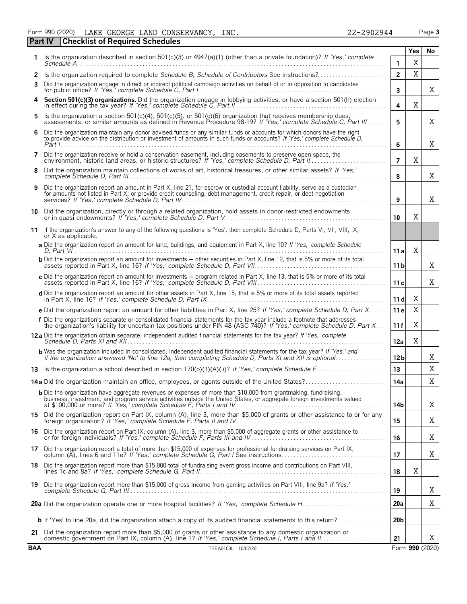Form 990 (2020) LAKE GEORGE LAND CONSERVANCY,INC. 22-2902944 Page **3** LAKE GEORGE LAND CONSERVANCY, INC. 22-2902944

| <b>Part IV</b> | <b>Checklist of Required Schedules</b>                                                                                                                                                                                                              |                 |     |                 |
|----------------|-----------------------------------------------------------------------------------------------------------------------------------------------------------------------------------------------------------------------------------------------------|-----------------|-----|-----------------|
|                | Is the organization described in section 501(c)(3) or 4947(a)(1) (other than a private foundation)? If 'Yes,' complete                                                                                                                              |                 | Yes | No              |
|                |                                                                                                                                                                                                                                                     | $\mathbf{1}$    | X   |                 |
| 2<br>3         | Is the organization required to complete Schedule B, Schedule of Contributors See instructions?<br>Did the organization engage in direct or indirect political campaign activities on behalf of or in opposition to candidates                      | $\overline{2}$  | X   |                 |
|                |                                                                                                                                                                                                                                                     | 3               |     | Χ               |
| 4              | Section 501(c)(3) organizations. Did the organization engage in lobbying activities, or have a section 501(h) election in effect during the tax year? If 'Yes,' complete Schedule C, Part II                                                        | 4               | X   |                 |
| 5              | Is the organization a section 501(c)(4), 501(c)(5), or 501(c)(6) organization that receives membership dues, assessments, or similar amounts as defined in Revenue Procedure 98-19? If 'Yes,' complete Schedule C, Part III                         | 5               |     | Χ               |
| 6              | Did the organization maintain any donor advised funds or any similar funds or accounts for which donors have the right<br>to provide advice on the distribution or investment of amounts in such funds or accounts? If 'Yes,' complete Schedule D,  | 6               |     | X               |
|                | Did the organization receive or hold a conservation easement, including easements to preserve open space, the                                                                                                                                       | $\overline{7}$  | X   |                 |
| 8              | Did the organization maintain collections of works of art, historical treasures, or other similar assets? If 'Yes,'                                                                                                                                 | 8               |     | Χ               |
| 9              | Did the organization report an amount in Part X, line 21, for escrow or custodial account liability, serve as a custodian<br>for amounts not listed in Part X; or provide credit counseling, debt management, credit repair, or debt negotiation    | 9               |     | X               |
| 10             | Did the organization, directly or through a related organization, hold assets in donor-restricted endowments                                                                                                                                        | 10              | X   |                 |
| 11             | If the organization's answer to any of the following questions is 'Yes', then complete Schedule D, Parts VI, VII, VIII, IX,<br>or X as applicable.                                                                                                  |                 |     |                 |
|                | a Did the organization report an amount for land, buildings, and equipment in Part X, line 10? If 'Yes,' complete Schedule                                                                                                                          | 11 a            | Χ   |                 |
|                | <b>b</b> Did the organization report an amount for investments - other securities in Part X, line 12, that is 5% or more of its total                                                                                                               | 11 <sub>b</sub> |     | Χ               |
|                | c Did the organization report an amount for investments - program related in Part X, line 13, that is 5% or more of its total                                                                                                                       | 11c             |     | Χ               |
|                | d Did the organization report an amount for other assets in Part X, line 15, that is 5% or more of its total assets reported                                                                                                                        | 11 dl           | Χ   |                 |
|                | e Did the organization report an amount for other liabilities in Part X, line 25? If 'Yes,' complete Schedule D, Part X                                                                                                                             | 11 e            | X   |                 |
|                | f Did the organization's separate or consolidated financial statements for the tax year include a footnote that addresses<br>the organization's liability for uncertain tax positions under FIN 48 (ASC 740)? If 'Yes,' complete Schedule D, Part X | 11 f            | Χ   |                 |
|                | 12a Did the organization obtain separate, independent audited financial statements for the tax year? If 'Yes,' complete                                                                                                                             | 12a             | Χ   |                 |
|                | <b>b</b> Was the organization included in consolidated, independent audited financial statements for the tax year? If 'Yes,' and if the organization answered 'No' to line 12a, then completing Schedule D, Parts XI and XII is opt                 | 12 <sub>b</sub> |     | X               |
|                |                                                                                                                                                                                                                                                     | 13              |     | X               |
|                |                                                                                                                                                                                                                                                     | 14a             |     | X               |
|                | <b>b</b> Did the organization have aggregate revenues or expenses of more than \$10,000 from grantmaking, fundraising,<br>business, investment, and program service activities outside the United States, or aggregate foreign investments valued   | 14b             |     | Χ               |
|                | 15 Did the organization report on Part IX, column (A), line 3, more than \$5,000 of grants or other assistance to or for any                                                                                                                        | 15              |     | Χ               |
|                | 16 Did the organization report on Part IX, column (A), line 3, more than \$5,000 of aggregate grants or other assistance to<br>or for foreign individuals? If 'Yes,' complete Schedule F, Parts III and IV                                          | 16              |     | Χ               |
|                | 17 Did the organization report a total of more than \$15,000 of expenses for professional fundraising services on Part IX,<br>column (A), lines 6 and 11e? If 'Yes,' complete Schedule G, Part I See instructions                                   | 17              |     | Χ               |
| 18             | Did the organization report more than \$15,000 total of fundraising event gross income and contributions on Part VIII,                                                                                                                              | 18              | X   |                 |
|                | 19 Did the organization report more than \$15,000 of gross income from gaming activities on Part VIII, line 9a? If 'Yes,'                                                                                                                           | 19              |     | Χ               |
|                |                                                                                                                                                                                                                                                     | 20a             |     | Χ               |
|                | <b>b</b> If 'Yes' to line 20a, did the organization attach a copy of its audited financial statements to this return?                                                                                                                               | 20 <sub>b</sub> |     |                 |
|                | 21 Did the organization report more than \$5,000 of grants or other assistance to any domestic organization or                                                                                                                                      | 21              |     | X               |
| <b>BAA</b>     | TEEA0103L 10/07/20                                                                                                                                                                                                                                  |                 |     | Form 990 (2020) |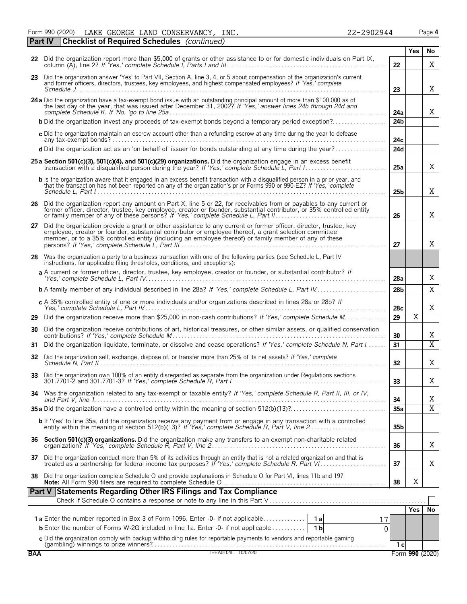Form 990 (2020) LAKE GEORGE LAND CONSERVANCY, INC. 22-2902944 Page 4 **Part IV Checklist of Required Schedules** *(continued)*

|            | oncennation inequired ochedules (commided)                                                                                                                                                                                                                                                                                            |                 | Yes                   |                |
|------------|---------------------------------------------------------------------------------------------------------------------------------------------------------------------------------------------------------------------------------------------------------------------------------------------------------------------------------------|-----------------|-----------------------|----------------|
|            | 22 Did the organization report more than \$5,000 of grants or other assistance to or for domestic individuals on Part IX,                                                                                                                                                                                                             | 22              |                       | No.<br>X       |
|            | 23 Did the organization answer 'Yes' to Part VII, Section A, line 3, 4, or 5 about compensation of the organization's current<br>and former officers, directors, trustees, key employees, and highest compensated employees? If 'Yes,' complete                                                                                       | 23              |                       | X              |
|            | 24 a Did the organization have a tax-exempt bond issue with an outstanding principal amount of more than \$100,000 as of<br>the last day of the year, that was issued after December 31, 2002? If 'Yes,' answer lines 24b through 24d and                                                                                             | 24a             |                       | X              |
|            | <b>b</b> Did the organization invest any proceeds of tax-exempt bonds beyond a temporary period exception?                                                                                                                                                                                                                            | 24 <sub>b</sub> |                       |                |
|            | c Did the organization maintain an escrow account other than a refunding escrow at any time during the year to defease                                                                                                                                                                                                                | 24c             |                       |                |
|            | d Did the organization act as an 'on behalf of' issuer for bonds outstanding at any time during the year?                                                                                                                                                                                                                             | 24d             |                       |                |
|            | 25 a Section 501(c)(3), 501(c)(4), and 501(c)(29) organizations. Did the organization engage in an excess benefit<br>transaction with a disqualified person during the year? If 'Yes,' complete Schedule L, Part I                                                                                                                    | 25a             |                       | X              |
|            | <b>b</b> Is the organization aware that it engaged in an excess benefit transaction with a disqualified person in a prior year, and<br>that the transaction has not been reported on any of the organization's prior Forms 990 or 990-EZ? If 'Yes,' complete                                                                          | 25 <sub>b</sub> |                       | X              |
| 26         | Did the organization report any amount on Part X, line 5 or 22, for receivables from or payables to any current or<br>former officer, director, trustee, key employee, creator or founder, substantial contributor, or 35% contro                                                                                                     | 26              |                       | X              |
| 27         | Did the organization provide a grant or other assistance to any current or former officer, director, trustee, key<br>employee, creator or founder, substantial contributor or employee thereof, a grant selection committee<br>member, or to a 35% controlled entity (including an employee thereof) or family member of any of these | 27              |                       | X              |
|            | 28 Was the organization a party to a business transaction with one of the following parties (see Schedule L, Part IV<br>instructions, for applicable filing thresholds, conditions, and exceptions):                                                                                                                                  |                 |                       |                |
|            | a A current or former officer, director, trustee, key employee, creator or founder, or substantial contributor? If                                                                                                                                                                                                                    | 28a             |                       | X              |
|            |                                                                                                                                                                                                                                                                                                                                       | 28 <sub>b</sub> |                       | X              |
|            | c A 35% controlled entity of one or more individuals and/or organizations described in lines 28a or 28b? If                                                                                                                                                                                                                           | 28c             |                       | X              |
| 29         | Did the organization receive more than \$25,000 in non-cash contributions? If 'Yes,' complete Schedule M                                                                                                                                                                                                                              | 29              | $\overline{\text{X}}$ |                |
| 30         | Did the organization receive contributions of art, historical treasures, or other similar assets, or qualified conservation                                                                                                                                                                                                           | 30              |                       | X              |
| 31         | Did the organization liquidate, terminate, or dissolve and cease operations? If 'Yes,' complete Schedule N, Part I                                                                                                                                                                                                                    | 31              |                       | $\overline{X}$ |
| 32         | Did the organization sell, exchange, dispose of, or transfer more than 25% of its net assets? If 'Yes,' complete                                                                                                                                                                                                                      | 32              |                       | X              |
| 33         | Did the organization own 100% of an entity disregarded as separate from the organization under Regulations sections                                                                                                                                                                                                                   | 33              |                       | X              |
|            | 34 Was the organization related to any tax-exempt or taxable entity? If 'Yes,' complete Schedule R, Part II, III, or IV,                                                                                                                                                                                                              | 34              |                       | Χ              |
|            |                                                                                                                                                                                                                                                                                                                                       | 35a             |                       | $\overline{X}$ |
|            | <b>b</b> If 'Yes' to line 35a, did the organization receive any payment from or engage in any transaction with a controlled                                                                                                                                                                                                           | 35 <sub>b</sub> |                       |                |
| 36.        | Section 501(c)(3) organizations. Did the organization make any transfers to an exempt non-charitable related                                                                                                                                                                                                                          | 36              |                       | Χ              |
| 37         | Did the organization conduct more than 5% of its activities through an entity that is not a related organization and that is                                                                                                                                                                                                          | 37              |                       | X              |
| 38         | Did the organization complete Schedule O and provide explanations in Schedule O for Part VI, lines 11b and 19?                                                                                                                                                                                                                        | 38              | Χ                     |                |
|            | Part V Statements Regarding Other IRS Filings and Tax Compliance                                                                                                                                                                                                                                                                      |                 |                       |                |
|            |                                                                                                                                                                                                                                                                                                                                       |                 |                       |                |
|            | <b>1a</b> Enter the number reported in Box 3 of Form 1096. Enter -0- if not applicable<br>1al                                                                                                                                                                                                                                         |                 | <b>Yes</b>            | No             |
|            | 17<br><b>b</b> Enter the number of Forms W-2G included in line 1a. Enter -0- if not applicable<br>1 b<br>$\Omega$                                                                                                                                                                                                                     |                 |                       |                |
|            | c Did the organization comply with backup withholding rules for reportable payments to vendors and reportable gaming                                                                                                                                                                                                                  |                 |                       |                |
|            |                                                                                                                                                                                                                                                                                                                                       | 1 с             |                       |                |
| <b>BAA</b> | TEEA0104L 10/07/20                                                                                                                                                                                                                                                                                                                    |                 | Form 990 (2020)       |                |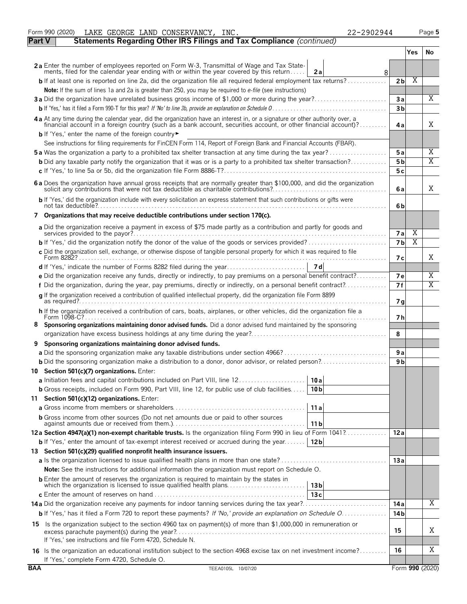|               | Form 990 (2020)<br>LAKE GEORGE LAND CONSERVANCY, INC.<br>22-2902944                                                                                                                                                                               |                |     | Page 5          |
|---------------|---------------------------------------------------------------------------------------------------------------------------------------------------------------------------------------------------------------------------------------------------|----------------|-----|-----------------|
| <b>Part V</b> | Statements Regarding Other IRS Filings and Tax Compliance (continued)                                                                                                                                                                             |                |     |                 |
|               |                                                                                                                                                                                                                                                   |                | Yes | No              |
|               | 2a Enter the number of employees reported on Form W-3, Transmittal of Wage and Tax State-<br>ments, filed for the calendar year ending with or within the year covered by this return<br>2a<br>8                                                  |                |     |                 |
|               | <b>b</b> If at least one is reported on line 2a, did the organization file all required federal employment tax returns?                                                                                                                           | 2 <sub>b</sub> | X   |                 |
|               | Note: If the sum of lines 1a and 2a is greater than 250, you may be required to e-file (see instructions)                                                                                                                                         |                |     |                 |
|               | 3a Did the organization have unrelated business gross income of \$1,000 or more during the year?                                                                                                                                                  | 3a             |     | $\overline{X}$  |
|               |                                                                                                                                                                                                                                                   | 3 <sub>b</sub> |     |                 |
|               | 4 a At any time during the calendar year, did the organization have an interest in, or a signature or other authority over, a<br>financial account in a foreign country (such as a bank account, securities account, or other financial account)? | 4a             |     | Χ               |
|               | <b>b</b> If 'Yes,' enter the name of the foreign country                                                                                                                                                                                          |                |     |                 |
|               | See instructions for filing requirements for FinCEN Form 114, Report of Foreign Bank and Financial Accounts (FBAR).                                                                                                                               |                |     |                 |
|               | <b>5a</b> Was the organization a party to a prohibited tax shelter transaction at any time during the tax year?                                                                                                                                   | 5a             |     | Χ<br>Χ          |
|               | <b>b</b> Did any taxable party notify the organization that it was or is a party to a prohibited tax shelter transaction?                                                                                                                         | 5 <sub>b</sub> |     |                 |
|               |                                                                                                                                                                                                                                                   | 5с             |     |                 |
|               | 6 a Does the organization have annual gross receipts that are normally greater than \$100,000, and did the organization solicit any contributions that were not tax deductible as charitable contributions?                                       | 6a             |     | Χ               |
|               | b If 'Yes,' did the organization include with every solicitation an express statement that such contributions or gifts were                                                                                                                       | 6b             |     |                 |
|               | 7 Organizations that may receive deductible contributions under section 170(c).                                                                                                                                                                   |                |     |                 |
|               | a Did the organization receive a payment in excess of \$75 made partly as a contribution and partly for goods and                                                                                                                                 | <b>7a</b>      | Χ   |                 |
|               |                                                                                                                                                                                                                                                   | 7b             | Χ   |                 |
|               | c Did the organization sell, exchange, or otherwise dispose of tangible personal property for which it was required to file                                                                                                                       | 7 с            |     | Χ               |
|               |                                                                                                                                                                                                                                                   |                |     |                 |
|               | e Did the organization receive any funds, directly or indirectly, to pay premiums on a personal benefit contract?                                                                                                                                 | <b>7e</b>      |     | Χ               |
|               | f Did the organization, during the year, pay premiums, directly or indirectly, on a personal benefit contract?                                                                                                                                    | 7f             |     | Χ               |
|               | g If the organization received a contribution of qualified intellectual property, did the organization file Form 8899                                                                                                                             | 7 <sub>q</sub> |     |                 |
|               | h If the organization received a contribution of cars, boats, airplanes, or other vehicles, did the organization file a                                                                                                                           | 7 h            |     |                 |
| 8             | Sponsoring organizations maintaining donor advised funds. Did a donor advised fund maintained by the sponsoring                                                                                                                                   | 8              |     |                 |
| 9             | Sponsoring organizations maintaining donor advised funds.                                                                                                                                                                                         |                |     |                 |
|               |                                                                                                                                                                                                                                                   | 9 a            |     |                 |
|               |                                                                                                                                                                                                                                                   | 9 <sub>b</sub> |     |                 |
|               | 10 Section 501(c)(7) organizations. Enter:                                                                                                                                                                                                        |                |     |                 |
|               | 10 a                                                                                                                                                                                                                                              |                |     |                 |
|               | <b>b</b> Gross receipts, included on Form 990, Part VIII, line 12, for public use of club facilities<br>10 <sub>b</sub>                                                                                                                           |                |     |                 |
|               | 11 Section 501(c)(12) organizations. Enter:                                                                                                                                                                                                       |                |     |                 |
|               | 11a                                                                                                                                                                                                                                               |                |     |                 |
|               | <b>b</b> Gross income from other sources (Do not net amounts due or paid to other sources<br>11 b                                                                                                                                                 |                |     |                 |
|               | 12a Section 4947(a)(1) non-exempt charitable trusts. Is the organization filing Form 990 in lieu of Form 1041?                                                                                                                                    | 12a            |     |                 |
|               | <b>b</b> If 'Yes,' enter the amount of tax-exempt interest received or accrued during the year<br>12 <sub>b</sub>                                                                                                                                 |                |     |                 |
|               | 13 Section 501(c)(29) qualified nonprofit health insurance issuers.                                                                                                                                                                               |                |     |                 |
|               |                                                                                                                                                                                                                                                   | 13a            |     |                 |
|               | <b>Note:</b> See the instructions for additional information the organization must report on Schedule O.                                                                                                                                          |                |     |                 |
|               | <b>b</b> Enter the amount of reserves the organization is required to maintain by the states in<br>which the organization is licensed to issue qualified health plans<br>13 <sub>b</sub>                                                          |                |     |                 |
|               | 13c                                                                                                                                                                                                                                               | 14 a           |     | Χ               |
|               | b If 'Yes,' has it filed a Form 720 to report these payments? If 'No,' provide an explanation on Schedule O                                                                                                                                       | 14 b           |     |                 |
|               |                                                                                                                                                                                                                                                   |                |     |                 |
|               | 15 Is the organization subject to the section 4960 tax on payment(s) of more than \$1,000,000 in remuneration or<br>If 'Yes,' see instructions and file Form 4720, Schedule N.                                                                    | 15             |     | Χ               |
|               | 16 Is the organization an educational institution subject to the section 4968 excise tax on net investment income?                                                                                                                                | 16             |     | Χ               |
| <b>BAA</b>    | If 'Yes,' complete Form 4720, Schedule O.<br>TEEA0105L 10/07/20                                                                                                                                                                                   |                |     | Form 990 (2020) |
|               |                                                                                                                                                                                                                                                   |                |     |                 |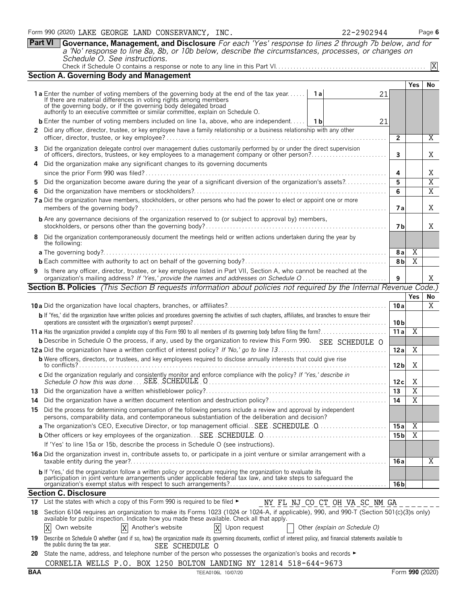**Part VI Governance, Management, and Disclosure** *For each 'Yes' response to lines 2 through 7b below, and for a 'No' response to line 8a, 8b, or 10b below, describe the circumstances, processes, or changes on Schedule O. See instructions.* Check if Schedule O contains a response or note to any line in this Part VI. . . . . . . . . . . . . . . . . . . . . . . . . . . . . . . . . . . . . . . . . . . . . . . . . . X

|                                                                                                                               | <b>Section A. Governing Body and Management</b>                                                                                                                                                                                            |                               |                 |                         |                                  |  |  |  |  |  |
|-------------------------------------------------------------------------------------------------------------------------------|--------------------------------------------------------------------------------------------------------------------------------------------------------------------------------------------------------------------------------------------|-------------------------------|-----------------|-------------------------|----------------------------------|--|--|--|--|--|
|                                                                                                                               |                                                                                                                                                                                                                                            |                               |                 | Yes                     | No                               |  |  |  |  |  |
|                                                                                                                               | <b>1a</b> Enter the number of voting members of the governing body at the end of the tax year                                                                                                                                              | 1 a<br>21                     |                 |                         |                                  |  |  |  |  |  |
|                                                                                                                               | If there are material differences in voting rights among members<br>of the governing body, or if the governing body delegated broad<br>authority to an executive committee or similar committee, explain on Schedule O.                    |                               |                 |                         |                                  |  |  |  |  |  |
|                                                                                                                               |                                                                                                                                                                                                                                            |                               |                 |                         |                                  |  |  |  |  |  |
|                                                                                                                               | <b>b</b> Enter the number of voting members included on line 1a, above, who are independent                                                                                                                                                | 1 b<br>21                     |                 |                         |                                  |  |  |  |  |  |
|                                                                                                                               | 2 Did any officer, director, trustee, or key employee have a family relationship or a business relationship with any other                                                                                                                 |                               | $\mathbf{2}$    |                         | Χ                                |  |  |  |  |  |
|                                                                                                                               | 3 Did the organization delegate control over management duties customarily performed by or under the direct supervision                                                                                                                    |                               |                 |                         |                                  |  |  |  |  |  |
|                                                                                                                               | of officers, directors, trustees, or key employees to a management company or other person?                                                                                                                                                |                               | 3               |                         | X                                |  |  |  |  |  |
|                                                                                                                               | 4 Did the organization make any significant changes to its governing documents                                                                                                                                                             |                               |                 |                         |                                  |  |  |  |  |  |
|                                                                                                                               |                                                                                                                                                                                                                                            |                               | 4               |                         | Χ                                |  |  |  |  |  |
| 5.                                                                                                                            | Did the organization become aware during the year of a significant diversion of the organization's assets?                                                                                                                                 |                               | 5<br>6          |                         | $\overline{X}$<br>$\overline{X}$ |  |  |  |  |  |
| 6.<br>7 a Did the organization have members, stockholders, or other persons who had the power to elect or appoint one or more |                                                                                                                                                                                                                                            |                               |                 |                         |                                  |  |  |  |  |  |
|                                                                                                                               |                                                                                                                                                                                                                                            |                               | 7а              |                         | Χ                                |  |  |  |  |  |
|                                                                                                                               | <b>b</b> Are any governance decisions of the organization reserved to (or subject to approval by) members,                                                                                                                                 |                               | 7 b             |                         | X                                |  |  |  |  |  |
|                                                                                                                               | 8 Did the organization contemporaneously document the meetings held or written actions undertaken during the year by                                                                                                                       |                               |                 |                         |                                  |  |  |  |  |  |
|                                                                                                                               | the following:                                                                                                                                                                                                                             |                               |                 |                         |                                  |  |  |  |  |  |
|                                                                                                                               |                                                                                                                                                                                                                                            |                               | 8 a             | X                       |                                  |  |  |  |  |  |
|                                                                                                                               |                                                                                                                                                                                                                                            |                               | 8b              | X                       |                                  |  |  |  |  |  |
|                                                                                                                               | 9 Is there any officer, director, trustee, or key employee listed in Part VII, Section A, who cannot be reached at the<br>9                                                                                                                |                               |                 |                         |                                  |  |  |  |  |  |
|                                                                                                                               | <b>Section B. Policies</b> (This Section B requests information about policies not required by the Internal Revenue Code.)                                                                                                                 |                               |                 |                         |                                  |  |  |  |  |  |
|                                                                                                                               |                                                                                                                                                                                                                                            |                               |                 | <b>Yes</b>              | No                               |  |  |  |  |  |
|                                                                                                                               |                                                                                                                                                                                                                                            |                               | 10a             |                         | X                                |  |  |  |  |  |
|                                                                                                                               | b If 'Yes,' did the organization have written policies and procedures governing the activities of such chapters, affiliates, and branches to ensure their                                                                                  |                               | 10 <sub>b</sub> |                         |                                  |  |  |  |  |  |
|                                                                                                                               |                                                                                                                                                                                                                                            |                               | 11a             | $\overline{X}$          |                                  |  |  |  |  |  |
|                                                                                                                               | <b>b</b> Describe in Schedule O the process, if any, used by the organization to review this Form 990. SEE SCHEDULE O                                                                                                                      |                               |                 |                         |                                  |  |  |  |  |  |
|                                                                                                                               |                                                                                                                                                                                                                                            |                               | 12a             | Χ                       |                                  |  |  |  |  |  |
|                                                                                                                               | <b>b</b> Were officers, directors, or trustees, and key employees required to disclose annually interests that could give rise                                                                                                             |                               | 12 <sub>b</sub> | Χ                       |                                  |  |  |  |  |  |
|                                                                                                                               | c Did the organization regularly and consistently monitor and enforce compliance with the policy? If 'Yes,' describe in                                                                                                                    |                               | 12c             | Χ                       |                                  |  |  |  |  |  |
|                                                                                                                               |                                                                                                                                                                                                                                            |                               | 13              | $\overline{X}$          |                                  |  |  |  |  |  |
| 14                                                                                                                            |                                                                                                                                                                                                                                            |                               | 14              | $\overline{X}$          |                                  |  |  |  |  |  |
|                                                                                                                               | 15 Did the process for determining compensation of the following persons include a review and approval by independent<br>persons, comparability data, and contemporaneous substantiation of the deliberation and decision?                 |                               |                 |                         |                                  |  |  |  |  |  |
|                                                                                                                               |                                                                                                                                                                                                                                            |                               | 15 a            | Χ                       |                                  |  |  |  |  |  |
|                                                                                                                               |                                                                                                                                                                                                                                            |                               | 15 <sub>b</sub> | $\overline{\mathrm{X}}$ |                                  |  |  |  |  |  |
|                                                                                                                               | If 'Yes' to line 15a or 15b, describe the process in Schedule O (see instructions).                                                                                                                                                        |                               |                 |                         |                                  |  |  |  |  |  |
|                                                                                                                               | 16 a Did the organization invest in, contribute assets to, or participate in a joint venture or similar arrangement with a                                                                                                                 |                               | 16 a            |                         | Χ                                |  |  |  |  |  |
|                                                                                                                               | b If 'Yes,' did the organization follow a written policy or procedure requiring the organization to evaluate its                                                                                                                           |                               |                 |                         |                                  |  |  |  |  |  |
|                                                                                                                               | participation in joint venture arrangements under applicable federal tax law, and take steps to safeguard the                                                                                                                              |                               | 16 <sub>b</sub> |                         |                                  |  |  |  |  |  |
|                                                                                                                               | <b>Section C. Disclosure</b>                                                                                                                                                                                                               |                               |                 |                         |                                  |  |  |  |  |  |
|                                                                                                                               | 17 List the states with which a copy of this Form 990 is required to be filed $\blacktriangleright$                                                                                                                                        | NY FL NJ CO CT OH VA SC NM GA |                 |                         |                                  |  |  |  |  |  |
|                                                                                                                               | 18 Section 6104 requires an organization to make its Forms 1023 (1024 or 1024-A, if applicable), 990, and 990-T (Section 501(c)(3)s only)<br>available for public inspection. Indicate how you made these available. Check all that apply. |                               |                 |                         |                                  |  |  |  |  |  |
|                                                                                                                               | Another's website<br>X<br>Χ<br>Own website<br>X<br>Upon request                                                                                                                                                                            | Other (explain on Schedule O) |                 |                         |                                  |  |  |  |  |  |
|                                                                                                                               | 19 Describe on Schedule O whether (and if so, how) the organization made its governing documents, conflict of interest policy, and financial statements available to<br>the public during the tax year.<br>SEE SCHEDULE O                  |                               |                 |                         |                                  |  |  |  |  |  |
|                                                                                                                               | 20 State the name, address, and telephone number of the person who possesses the organization's books and records ►                                                                                                                        |                               |                 |                         |                                  |  |  |  |  |  |

**20** State the name, address, and telephone number of the person who possesses the organization's books and records ► CORNELIA WELLS P.O. BOX 1250 BOLTON LANDING NY 12814 518-644-9673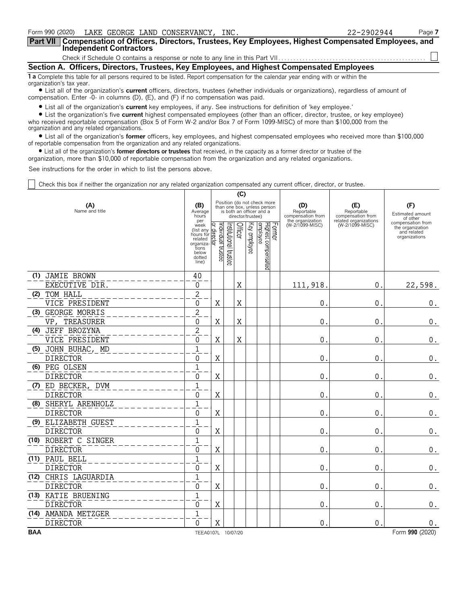| Form 990 (2020) LAKE GEORGE LAND CONSERVANCY, INC.                                                                                                             | 22-2902944 | Page 7 |  |  |  |  |  |
|----------------------------------------------------------------------------------------------------------------------------------------------------------------|------------|--------|--|--|--|--|--|
| Part VII   Compensation of Officers, Directors, Trustees, Key Employees, Highest Compensated Employees, and<br>Independent Contractors                         |            |        |  |  |  |  |  |
|                                                                                                                                                                |            |        |  |  |  |  |  |
| Section A. Officers, Directors, Trustees, Key Employees, and Highest Compensated Employees                                                                     |            |        |  |  |  |  |  |
| 1 a Complete this table for all persons required to be listed. Report compensation for the calendar year ending with or within the<br>organization's tax year. |            |        |  |  |  |  |  |

? List all of the organization's **current** officers, directors, trustees (whether individuals or organizations), regardless of amount of compensation. Enter -0- in columns (D), (E), and (F) if no compensation was paid.

? List all of the organization's **current** key employees, if any. See instructions for definition of 'key employee.'

? List the organization's five **current** highest compensated employees (other than an officer, director, trustee, or key employee) who received reportable compensation (Box 5 of Form W-2 and/or Box 7 of Form 1099-MISC) of more than \$100,000 from the organization and any related organizations.

? List all of the organization's **former** officers, key employees, and highest compensated employees who received more than \$100,000 of reportable compensation from the organization and any related organizations.

? List all of the organization's **former directors or trustees** that received, in the capacity as a former director or trustee of the

organization, more than \$10,000 of reportable compensation from the organization and any related organizations.

See instructions for the order in which to list the persons above.

Check this box if neither the organization nor any related organization compensated any current officer, director, or trustee.

|            |                       |                                                                                                                                                              |                    |                          | (C)     |                   |                                                                                        |                                                            |                                          |                                                                       |
|------------|-----------------------|--------------------------------------------------------------------------------------------------------------------------------------------------------------|--------------------|--------------------------|---------|-------------------|----------------------------------------------------------------------------------------|------------------------------------------------------------|------------------------------------------|-----------------------------------------------------------------------|
|            | (A)<br>Name and title | (B)<br>Average<br>hours<br>per                                                                                                                               |                    |                          |         | director/trustee) | Position (do not check more<br>than one box, unless person<br>is both an officer and a | (D)<br>Reportable<br>compensation from<br>the organization | (E)<br>Reportable<br>compensation from   | (F)<br>Estimated amount<br>of other                                   |
|            |                       | week<br>$\frac{1}{\text{R}}$ (list any $\frac{1}{\text{R}}$ )<br>hours for $\frac{1}{\text{R}}$<br>related<br>organiza-<br>tions<br>below<br>dotted<br>line) | Individual trustee | Institutional<br>trustee | Officer | Key employee      | Former<br>Highest compensated<br>employee                                              | (W-2/1099-MISC)                                            | related organizations<br>(W-2/1099-MISC) | compensation from<br>the organization<br>and related<br>organizations |
|            | (1) JAMIE BROWN       | 40                                                                                                                                                           |                    |                          |         |                   |                                                                                        |                                                            |                                          |                                                                       |
|            | EXECUTIVE DIR.        | 0                                                                                                                                                            |                    |                          | Χ       |                   |                                                                                        | 111,918                                                    | 0.                                       | 22,598.                                                               |
|            | (2) TOM HALL          | $\sqrt{2}$                                                                                                                                                   |                    |                          |         |                   |                                                                                        |                                                            |                                          |                                                                       |
|            | VICE PRESIDENT        | 0                                                                                                                                                            | X                  |                          | X       |                   |                                                                                        | 0                                                          | 0.                                       | $\boldsymbol{0}$ .                                                    |
| (3)        | GEORGE MORRIS         | $\overline{2}$                                                                                                                                               |                    |                          |         |                   |                                                                                        |                                                            |                                          |                                                                       |
|            | TREASURER<br>VP.      | $\Omega$                                                                                                                                                     | X                  |                          | X       |                   |                                                                                        | 0                                                          | 0.                                       | $\boldsymbol{0}$ .                                                    |
| (4)        | JEFF BROZYNA          | $\overline{2}$                                                                                                                                               |                    |                          |         |                   |                                                                                        |                                                            |                                          |                                                                       |
|            | VICE PRESIDENT        | 0                                                                                                                                                            | X                  |                          | X       |                   |                                                                                        | 0                                                          | 0.                                       | $\boldsymbol{0}$ .                                                    |
| (5)        | JOHN BUHAC, MD        | $\overline{1}$                                                                                                                                               |                    |                          |         |                   |                                                                                        |                                                            |                                          |                                                                       |
|            | <b>DIRECTOR</b>       | $\Omega$                                                                                                                                                     | X                  |                          |         |                   |                                                                                        | 0                                                          | $\mathbf{0}$                             | $\boldsymbol{0}$ .                                                    |
|            | (6) PEG OLSEN         | $\mathbf{1}$                                                                                                                                                 |                    |                          |         |                   |                                                                                        |                                                            |                                          |                                                                       |
|            | <b>DIRECTOR</b>       | $\Omega$                                                                                                                                                     | $\rm X$            |                          |         |                   |                                                                                        | 0                                                          | 0.                                       | $\boldsymbol{0}$ .                                                    |
|            | (7) ED BECKER, DVM    | $\overline{1}$                                                                                                                                               |                    |                          |         |                   |                                                                                        |                                                            |                                          |                                                                       |
|            | <b>DIRECTOR</b>       | $\Omega$                                                                                                                                                     | $\mathbf X$        |                          |         |                   |                                                                                        | 0                                                          | 0                                        | $\boldsymbol{0}$ .                                                    |
|            | (8) SHERYL ARENHOLZ   | $\mathbf{1}$                                                                                                                                                 |                    |                          |         |                   |                                                                                        |                                                            |                                          |                                                                       |
|            | <b>DIRECTOR</b>       | $\Omega$                                                                                                                                                     | Χ                  |                          |         |                   |                                                                                        | 0                                                          | 0                                        | $\boldsymbol{0}$ .                                                    |
|            | (9) ELIZABETH GUEST   | $\mathbf{1}$                                                                                                                                                 |                    |                          |         |                   |                                                                                        |                                                            |                                          |                                                                       |
|            | <b>DIRECTOR</b>       | $\Omega$                                                                                                                                                     | X                  |                          |         |                   |                                                                                        | 0                                                          | 0                                        | 0.                                                                    |
|            | (10) ROBERT C SINGER  | $\mathbf{1}$                                                                                                                                                 |                    |                          |         |                   |                                                                                        |                                                            |                                          |                                                                       |
|            | <b>DIRECTOR</b>       | $\Omega$                                                                                                                                                     | $\rm X$            |                          |         |                   |                                                                                        | 0                                                          | $\mathbf{0}$                             | $\boldsymbol{0}$ .                                                    |
|            | (11) PAUL BELL        | $\mathbf{1}$                                                                                                                                                 |                    |                          |         |                   |                                                                                        |                                                            |                                          |                                                                       |
|            | <b>DIRECTOR</b>       | $\Omega$                                                                                                                                                     | $\mathbf X$        |                          |         |                   |                                                                                        | 0                                                          | $\mathbf{0}$ .                           | $\boldsymbol{0}$ .                                                    |
| (12)       | CHRIS LAGUARDIA       | $\mathbf{1}$                                                                                                                                                 |                    |                          |         |                   |                                                                                        |                                                            |                                          |                                                                       |
|            | <b>DIRECTOR</b>       | $\Omega$                                                                                                                                                     | X                  |                          |         |                   |                                                                                        | 0                                                          | 0.                                       | $\boldsymbol{0}$ .                                                    |
|            | (13) KATIE BRUENING   | $\mathbf{1}$                                                                                                                                                 |                    |                          |         |                   |                                                                                        |                                                            |                                          |                                                                       |
|            | <b>DIRECTOR</b>       | $\Omega$                                                                                                                                                     | X                  |                          |         |                   |                                                                                        | 0                                                          | 0                                        | $0$ .                                                                 |
|            | (14) AMANDA METZGER   | $\mathbf{1}$                                                                                                                                                 |                    |                          |         |                   |                                                                                        |                                                            |                                          |                                                                       |
|            | <b>DIRECTOR</b>       | $\Omega$                                                                                                                                                     | X                  |                          |         |                   |                                                                                        | 0                                                          | 0                                        | 0.                                                                    |
| <b>BAA</b> |                       | TEEA0107L 10/07/20                                                                                                                                           |                    |                          |         |                   |                                                                                        |                                                            |                                          | Form 990 (2020)                                                       |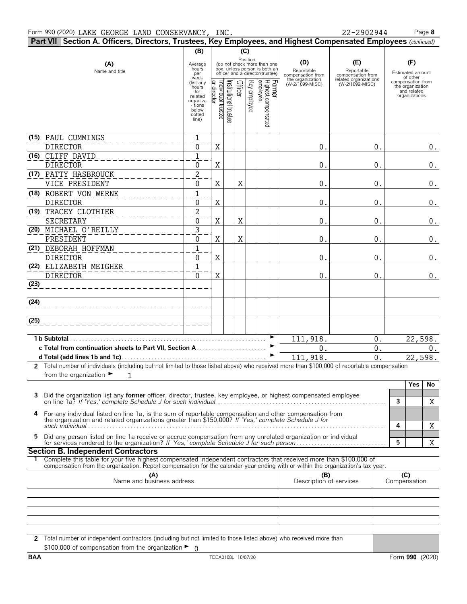|            | Part VII Section A. Officers, Directors, Trustees, Key Employees, and Highest Compensated Employees (continued)                                                                                                 |                                                                   |                   |                                                                                                                        |              |                                            |                                                                               |                                                                                    |                                                                              |
|------------|-----------------------------------------------------------------------------------------------------------------------------------------------------------------------------------------------------------------|-------------------------------------------------------------------|-------------------|------------------------------------------------------------------------------------------------------------------------|--------------|--------------------------------------------|-------------------------------------------------------------------------------|------------------------------------------------------------------------------------|------------------------------------------------------------------------------|
|            |                                                                                                                                                                                                                 | (B)                                                               |                   |                                                                                                                        | (C)          |                                            |                                                                               |                                                                                    |                                                                              |
|            | (A)<br>Name and title                                                                                                                                                                                           | Average<br>hours<br>per<br>week<br>(list any<br>hours             |                   | Position<br>(do not check more than one<br>box, unless person is both an<br>officer and a director/trustee)<br>Officer |              |                                            | (D)<br>Reportable<br>compensation from<br>the organization<br>(W-2/1099-MISC) | (E)<br>Reportable<br>compensation from<br>related organizations<br>(W-2/1099-MISC) | (F)<br>Estimated amount<br>of other<br>compensation from<br>the organization |
|            |                                                                                                                                                                                                                 | for<br>related<br>organiza<br>- tions<br>below<br>dotted<br>line) | ndividual trustee | nstitutional trustes                                                                                                   | Key employee | Former<br>Highest compensated<br> employee |                                                                               |                                                                                    | and related<br>organizations                                                 |
|            | (15) PAUL CUMMINGS<br><b>DIRECTOR</b>                                                                                                                                                                           | $\mathbf{1}$<br>0                                                 | X                 |                                                                                                                        |              |                                            | 0.                                                                            | 0.                                                                                 | 0.                                                                           |
|            | (16) CLIFF DAVID<br><b>DIRECTOR</b>                                                                                                                                                                             | $\mathbf{1}$<br>0                                                 | X                 |                                                                                                                        |              |                                            | 0.                                                                            | 0.                                                                                 | $0$ .                                                                        |
|            | (17) PATTY HASBROUCK<br>VICE PRESIDENT                                                                                                                                                                          | $\overline{2}$<br>0                                               | X                 | X                                                                                                                      |              |                                            | 0.                                                                            | 0.                                                                                 | $0$ .                                                                        |
|            | (18) ROBERT VON WERNE<br><b>DIRECTOR</b>                                                                                                                                                                        | 1<br>0                                                            | X                 |                                                                                                                        |              |                                            | 0.                                                                            | 0.                                                                                 | $0_{.}$                                                                      |
|            | (19) TRACEY CLOTHIER<br>SECRETARY                                                                                                                                                                               | $\overline{c}$<br>0                                               | X                 | X                                                                                                                      |              |                                            | 0.                                                                            | 0.                                                                                 | $0$ .                                                                        |
|            | (20) MICHAEL O'REILLY<br>PRESIDENT                                                                                                                                                                              | 3<br>0                                                            | X                 | X                                                                                                                      |              |                                            | 0.                                                                            | 0.                                                                                 | 0.                                                                           |
|            | (21) DEBORAH HOFFMAN<br><b>DIRECTOR</b>                                                                                                                                                                         | 1<br>0                                                            | X                 |                                                                                                                        |              |                                            | 0.                                                                            | 0.                                                                                 | 0.                                                                           |
|            | (22) ELIZABETH MEIGHER<br><b>DIRECTOR</b>                                                                                                                                                                       | 1<br>0                                                            | X                 |                                                                                                                        |              |                                            | $\overline{0}$ .                                                              | 0.                                                                                 | 0.                                                                           |
| (23)       |                                                                                                                                                                                                                 |                                                                   |                   |                                                                                                                        |              |                                            |                                                                               |                                                                                    |                                                                              |
| (24)       |                                                                                                                                                                                                                 |                                                                   |                   |                                                                                                                        |              |                                            |                                                                               |                                                                                    |                                                                              |
| (25)       |                                                                                                                                                                                                                 |                                                                   |                   |                                                                                                                        |              |                                            |                                                                               |                                                                                    |                                                                              |
|            |                                                                                                                                                                                                                 |                                                                   |                   |                                                                                                                        |              |                                            | 111,918.                                                                      | $0$ .                                                                              | 22,598.                                                                      |
|            |                                                                                                                                                                                                                 |                                                                   |                   |                                                                                                                        |              |                                            | $0$ .                                                                         | $0$ .                                                                              | 0.                                                                           |
|            |                                                                                                                                                                                                                 |                                                                   |                   |                                                                                                                        |              |                                            | 111,918.                                                                      | 0.                                                                                 | 22,598.                                                                      |
|            | 2 Total number of individuals (including but not limited to those listed above) who received more than \$100,000 of reportable compensation<br>from the organization $\blacktriangleright$<br>$\mathbf{1}$      |                                                                   |                   |                                                                                                                        |              |                                            |                                                                               |                                                                                    |                                                                              |
|            | Did the organization list any <b>former</b> officer, director, trustee, key employee, or highest compensated employee                                                                                           |                                                                   |                   |                                                                                                                        |              |                                            |                                                                               |                                                                                    | Yes<br>No<br>3<br>Χ                                                          |
| 4          | For any individual listed on line 1a, is the sum of reportable compensation and other compensation from<br>the organization and related organizations greater than \$150,000? If 'Yes,' complete Schedule J for |                                                                   |                   |                                                                                                                        |              |                                            |                                                                               |                                                                                    |                                                                              |
| 5          | Did any person listed on line 1a receive or accrue compensation from any unrelated organization or individual<br>for services rendered to the organization? If 'Yes,' complete Schedule J for such person       |                                                                   |                   |                                                                                                                        |              |                                            |                                                                               |                                                                                    | 4<br>X<br>5<br>X                                                             |
|            | <b>Section B. Independent Contractors</b>                                                                                                                                                                       |                                                                   |                   |                                                                                                                        |              |                                            |                                                                               |                                                                                    |                                                                              |
|            | Complete this table for your five highest compensated independent contractors that received more than \$100,000 of                                                                                              |                                                                   |                   |                                                                                                                        |              |                                            |                                                                               |                                                                                    |                                                                              |
|            | compensation from the organization. Report compensation for the calendar year ending with or within the organization's tax year.<br>(A)<br>Name and business address                                            |                                                                   |                   |                                                                                                                        |              |                                            | (B)<br>Description of services                                                |                                                                                    | (C)<br>Compensation                                                          |
|            |                                                                                                                                                                                                                 |                                                                   |                   |                                                                                                                        |              |                                            |                                                                               |                                                                                    |                                                                              |
|            |                                                                                                                                                                                                                 |                                                                   |                   |                                                                                                                        |              |                                            |                                                                               |                                                                                    |                                                                              |
|            | 2 Total number of independent contractors (including but not limited to those listed above) who received more than                                                                                              |                                                                   |                   |                                                                                                                        |              |                                            |                                                                               |                                                                                    |                                                                              |
|            | \$100,000 of compensation from the organization ►                                                                                                                                                               | - ೧                                                               |                   |                                                                                                                        |              |                                            |                                                                               |                                                                                    |                                                                              |
| <b>BAA</b> |                                                                                                                                                                                                                 |                                                                   |                   | TEEA0108L 10/07/20                                                                                                     |              |                                            |                                                                               |                                                                                    | Form 990 (2020)                                                              |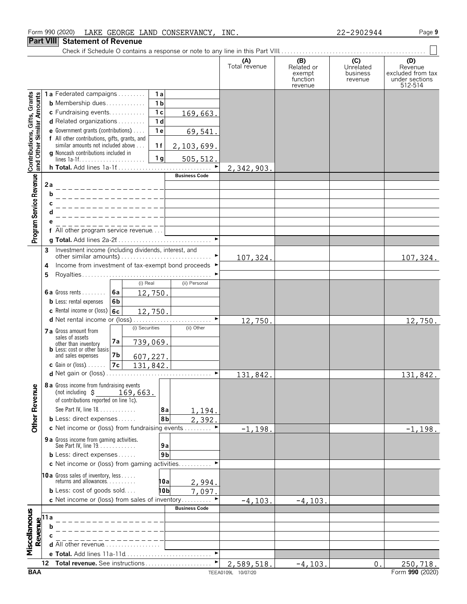#### Form 990 (2020) Page **9** LAKE GEORGE LAND CONSERVANCY, INC. 22-2902944

#### **Part VIII Statement of Revenue**

|                                                           |                                                                            |                                                                                     |                |                      | (A)<br>Total revenue | (B)<br>Related or<br>exempt<br>function<br>revenue | (C)<br>Unrelated<br>business<br>revenue | (D)<br>Revenue<br>excluded from tax<br>under sections<br>512-514 |
|-----------------------------------------------------------|----------------------------------------------------------------------------|-------------------------------------------------------------------------------------|----------------|----------------------|----------------------|----------------------------------------------------|-----------------------------------------|------------------------------------------------------------------|
|                                                           |                                                                            | 1a Federated campaigns                                                              | 1a             |                      |                      |                                                    |                                         |                                                                  |
| Contributions, Gifts, Grants<br>and Other Similar Amounts |                                                                            | <b>b</b> Membership dues                                                            | 1 <sub>b</sub> |                      |                      |                                                    |                                         |                                                                  |
|                                                           |                                                                            | c Fundraising events                                                                | 1 <sub>c</sub> | 169,663.             |                      |                                                    |                                         |                                                                  |
|                                                           |                                                                            | d Related organizations                                                             | 1 <sub>d</sub> |                      |                      |                                                    |                                         |                                                                  |
|                                                           |                                                                            | e Government grants (contributions)                                                 | 1e             | 69,541.              |                      |                                                    |                                         |                                                                  |
|                                                           |                                                                            | f All other contributions, gifts, grants, and<br>similar amounts not included above | 1f             |                      |                      |                                                    |                                         |                                                                  |
|                                                           |                                                                            | g Noncash contributions included in                                                 |                | 2,103,699.           |                      |                                                    |                                         |                                                                  |
|                                                           |                                                                            |                                                                                     | 1 <sub>g</sub> | 505,512.             |                      |                                                    |                                         |                                                                  |
|                                                           |                                                                            |                                                                                     |                | <b>Business Code</b> | 2,342,903.           |                                                    |                                         |                                                                  |
| Program Service Revenue                                   | 2а                                                                         |                                                                                     |                |                      |                      |                                                    |                                         |                                                                  |
|                                                           | b                                                                          | ______________________                                                              |                |                      |                      |                                                    |                                         |                                                                  |
|                                                           |                                                                            |                                                                                     |                |                      |                      |                                                    |                                         |                                                                  |
|                                                           |                                                                            |                                                                                     |                |                      |                      |                                                    |                                         |                                                                  |
|                                                           |                                                                            |                                                                                     |                |                      |                      |                                                    |                                         |                                                                  |
|                                                           |                                                                            | f All other program service revenue                                                 |                |                      |                      |                                                    |                                         |                                                                  |
|                                                           |                                                                            |                                                                                     |                |                      |                      |                                                    |                                         |                                                                  |
|                                                           | 3                                                                          | Investment income (including dividends, interest, and                               |                |                      | 107,324.             |                                                    |                                         | 107,324.                                                         |
|                                                           | 4                                                                          | Income from investment of tax-exempt bond proceeds ▶                                |                |                      |                      |                                                    |                                         |                                                                  |
|                                                           | 5                                                                          |                                                                                     |                |                      |                      |                                                    |                                         |                                                                  |
|                                                           |                                                                            | (i) Real                                                                            |                | (ii) Personal        |                      |                                                    |                                         |                                                                  |
|                                                           |                                                                            | <b>6a</b><br><b>6a</b> Gross rents                                                  | 12,750.        |                      |                      |                                                    |                                         |                                                                  |
|                                                           |                                                                            | 6b<br><b>b</b> Less: rental expenses                                                |                |                      |                      |                                                    |                                         |                                                                  |
|                                                           |                                                                            | c Rental income or (loss) $6c$                                                      | 12,750.        |                      |                      |                                                    |                                         |                                                                  |
|                                                           |                                                                            | (i) Securities                                                                      |                | (ii) Other           | 12,750.              |                                                    |                                         | 12,750.                                                          |
|                                                           |                                                                            | <b>7 a</b> Gross amount from<br>sales of assets                                     |                |                      |                      |                                                    |                                         |                                                                  |
|                                                           |                                                                            | 7a<br>other than inventory<br><b>b</b> Less: cost or other basis                    | 739,069.       |                      |                      |                                                    |                                         |                                                                  |
|                                                           |                                                                            | 7b<br>and sales expenses                                                            | 607,227.       |                      |                      |                                                    |                                         |                                                                  |
|                                                           |                                                                            | 7c<br><b>c</b> Gain or (loss) $\ldots$<br>131,842.                                  |                |                      |                      |                                                    |                                         |                                                                  |
|                                                           |                                                                            |                                                                                     |                |                      | 131,842.             |                                                    |                                         | 131,842.                                                         |
| ω                                                         |                                                                            | 8 a Gross income from fundraising events                                            |                |                      |                      |                                                    |                                         |                                                                  |
|                                                           |                                                                            | 169,663.<br>(not including $\sharp$<br>of contributions reported on line 1c).       |                |                      |                      |                                                    |                                         |                                                                  |
|                                                           |                                                                            | See Part IV, line 18                                                                | 8a             | 1,194.               |                      |                                                    |                                         |                                                                  |
|                                                           |                                                                            | <b>b</b> Less: direct expenses                                                      | 8b             | 2,392.               |                      |                                                    |                                         |                                                                  |
| <b>Other Revenu</b>                                       |                                                                            | c Net income or (loss) from fundraising events                                      |                |                      | $-1, 198.$           |                                                    |                                         | $-1, 198.$                                                       |
|                                                           |                                                                            | 9 a Gross income from gaming activities.                                            |                |                      |                      |                                                    |                                         |                                                                  |
|                                                           |                                                                            | See Part IV, line 19.                                                               | 9a             |                      |                      |                                                    |                                         |                                                                  |
|                                                           |                                                                            | <b>b</b> Less: direct expenses                                                      | 9 <sub>b</sub> |                      |                      |                                                    |                                         |                                                                  |
|                                                           |                                                                            | c Net income or (loss) from gaming activities                                       |                |                      |                      |                                                    |                                         |                                                                  |
|                                                           |                                                                            | <b>10a</b> Gross sales of inventory, less<br>returns and allowances                 | 10a            | 2,994.               |                      |                                                    |                                         |                                                                  |
|                                                           |                                                                            | <b>b</b> Less: cost of goods sold                                                   | 10 b           | 7,097                |                      |                                                    |                                         |                                                                  |
|                                                           |                                                                            | c Net income or (loss) from sales of inventory                                      |                |                      | $-4, 103.$           | $-4, 103.$                                         |                                         |                                                                  |
|                                                           |                                                                            |                                                                                     |                | <b>Business Code</b> |                      |                                                    |                                         |                                                                  |
| Miscellaneous                                             | $\begin{array}{c}\n\hline\n\text{Re} \\ \text{Neu} \\ \hline\n\end{array}$ |                                                                                     |                |                      |                      |                                                    |                                         |                                                                  |
|                                                           |                                                                            |                                                                                     |                |                      |                      |                                                    |                                         |                                                                  |
|                                                           |                                                                            | <b>d</b> All other revenue $\ldots \ldots \ldots \ldots \ldots$                     |                |                      |                      |                                                    |                                         |                                                                  |
|                                                           |                                                                            |                                                                                     |                |                      |                      |                                                    |                                         |                                                                  |
|                                                           | 12                                                                         |                                                                                     |                |                      | 2,589,518.           | $-4, 103.$                                         | 0.                                      | 250,718.                                                         |
|                                                           |                                                                            |                                                                                     |                |                      |                      |                                                    |                                         |                                                                  |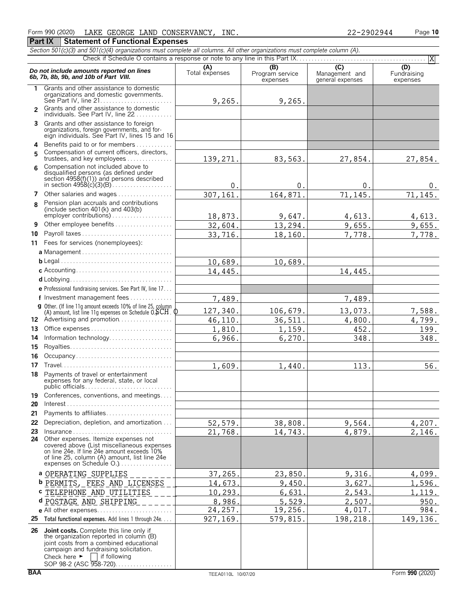#### Form 990 (2020) LAKE GEORGE LAND CONSERVANCY, INC. 22-2902944 Page 10 **Part IX | Statement of Functional Expenses**

|               | Section 501(c)(3) and 501(c)(4) organizations must complete all columns. All other organizations must complete column (A).                                                                                                     |                       |                                    |                                                      | X                              |
|---------------|--------------------------------------------------------------------------------------------------------------------------------------------------------------------------------------------------------------------------------|-----------------------|------------------------------------|------------------------------------------------------|--------------------------------|
|               | Do not include amounts reported on lines<br>6b, 7b, 8b, 9b, and 10b of Part VIII.                                                                                                                                              | (A)<br>Total expenses | (B)<br>Program service<br>expenses | $\overline{C}$<br>Management and<br>general expenses | (D)<br>Fundraising<br>expenses |
| 1.            | Grants and other assistance to domestic<br>organizations and domestic governments.                                                                                                                                             | 9,265.                | 9,265.                             |                                                      |                                |
| $\mathcal{P}$ | Grants and other assistance to domestic<br>individuals. See Part IV, line 22                                                                                                                                                   |                       |                                    |                                                      |                                |
| 3             | Grants and other assistance to foreign<br>organizations, foreign governments, and for-<br>eign individuals. See Part IV, lines 15 and 16                                                                                       |                       |                                    |                                                      |                                |
| 4             | Benefits paid to or for members                                                                                                                                                                                                |                       |                                    |                                                      |                                |
| 5             | Compensation of current officers, directors,<br>trustees, and key employees                                                                                                                                                    | 139,271.              | 83,563.                            | 27,854.                                              | 27,854.                        |
| 6             | Compensation not included above to                                                                                                                                                                                             |                       |                                    |                                                      |                                |
|               | disqualified persons (as defined under<br>section 4958(f)(1)) and persons described                                                                                                                                            | 0.                    | 0.                                 | 0.                                                   | 0.                             |
| 7             | Other salaries and wages                                                                                                                                                                                                       | 307,161.              | 164,871.                           | 71,145.                                              | 71,145.                        |
| 8             | Pension plan accruals and contributions<br>(include section $401(k)$ and $403(b)$                                                                                                                                              | 18,873.               | 9,647.                             | 4,613.                                               | 4,613.                         |
| 9             | Other employee benefits                                                                                                                                                                                                        | 32,604.               | 13,294.                            | 9,655.                                               | 9,655.                         |
| 10            | Payroll taxes                                                                                                                                                                                                                  | 33,716.               | 18,160.                            | 7,778.                                               | 7,778.                         |
| 11            | Fees for services (nonemployees):                                                                                                                                                                                              |                       |                                    |                                                      |                                |
|               | a Management                                                                                                                                                                                                                   |                       |                                    |                                                      |                                |
|               |                                                                                                                                                                                                                                | 10,689.               | 10,689.                            |                                                      |                                |
|               |                                                                                                                                                                                                                                | 14,445.               |                                    | 14,445.                                              |                                |
|               |                                                                                                                                                                                                                                |                       |                                    |                                                      |                                |
|               | e Professional fundraising services. See Part IV, line 17                                                                                                                                                                      |                       |                                    |                                                      |                                |
|               | f Investment management fees                                                                                                                                                                                                   | 7,489.                |                                    | 7,489.                                               |                                |
|               | g Other. (If line 11g amount exceeds 10% of line 25, column<br>(A) amount, list line 11g expenses on Schedule $0.5CH$ . $0$                                                                                                    | 127,340.              | 106,679.                           | 13,073.                                              | 7,588.                         |
|               | 12 Advertising and promotion                                                                                                                                                                                                   | 46,110.               | 36,511.                            | 4,800.                                               | 4,799.                         |
| 13            | Office expenses                                                                                                                                                                                                                | 1,810.                | 1,159.                             | 452.                                                 | 199.                           |
| 14            | Information technology                                                                                                                                                                                                         | 6,966.                | 6,270.                             | 348.                                                 | 348.                           |
| 15            |                                                                                                                                                                                                                                |                       |                                    |                                                      |                                |
| 16            | Occupancy                                                                                                                                                                                                                      |                       |                                    |                                                      |                                |
| 17            |                                                                                                                                                                                                                                | 1,609.                | 1,440.                             | 113.                                                 | 56.                            |
| 18            | Payments of travel or entertainment<br>expenses for any federal, state, or local                                                                                                                                               |                       |                                    |                                                      |                                |
| 19            | Conferences, conventions, and meetings                                                                                                                                                                                         |                       |                                    |                                                      |                                |
| 20            | $Interest \dots \dots \dots \dots \dots \dots \dots \dots \dots \dots \dots \dots \dots \dots$                                                                                                                                 |                       |                                    |                                                      |                                |
| 21            | Payments to affiliates                                                                                                                                                                                                         |                       |                                    |                                                      |                                |
| 22            | Depreciation, depletion, and amortization                                                                                                                                                                                      | 52,579.               | 38,808.                            | 9,564.                                               | 4,207.                         |
| 23            | $insurance \ldots \ldots \ldots \ldots \ldots \ldots \ldots \ldots \ldots \ldots$<br>24 Other expenses. Itemize expenses not                                                                                                   | 21,768.               | 14,743.                            | 4,879.                                               | 2,146.                         |
|               | covered above (List miscellaneous expenses<br>on line 24e. If line 24e amount exceeds 10%<br>of line 25, column (A) amount, list line 24e<br>expenses on Schedule O.                                                           |                       |                                    |                                                      |                                |
|               | a OPERATING SUPPLIES                                                                                                                                                                                                           | 37, 265.              | 23,850                             | 9,316.                                               | 4,099.                         |
|               | <b>b</b> PERMITS, FEES AND LICENSES                                                                                                                                                                                            | 14,673.               | 9,450                              | 3,627                                                | 1,596.                         |
|               | <b>c</b> TELEPHONE AND UTILITIES                                                                                                                                                                                               | 10,293.               | 6,631                              | 2,543                                                | 1, 119.                        |
|               | d POSTAGE AND SHIPPING                                                                                                                                                                                                         | 8,986.                | 5,529                              | 2,507                                                | 950.                           |
|               |                                                                                                                                                                                                                                | 24,257.               | 19,256.                            | 4,017.                                               | 984.                           |
|               | 25 Total functional expenses. Add lines 1 through 24e                                                                                                                                                                          | 927, 169.             | 579,815                            | 198,218.                                             | 149,136.                       |
|               | 26 Joint costs. Complete this line only if<br>the organization reported in column (B)<br>joint costs from a combined educational<br>campaign and fundraising solicitation.<br>Check here $\blacktriangleright$<br>if following |                       |                                    |                                                      |                                |

SOP 98-2 (ASC 958-720). . . . . . . . . . . . . . . . .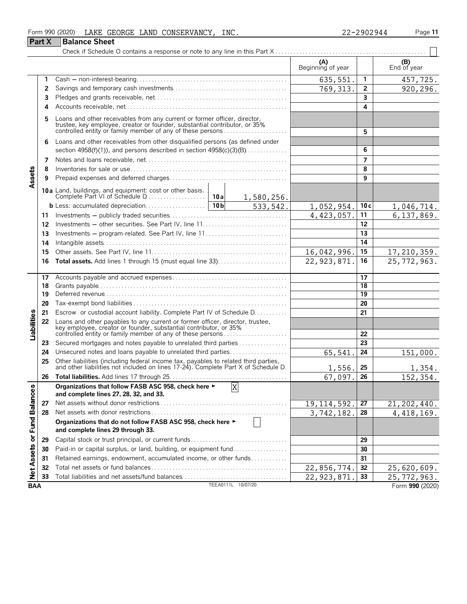| Form 990 (2020) LAKE GEORGE LAND CONSERVANCY, INC.                                                                                                         |                          | 22-2902944 | Page 11           |
|------------------------------------------------------------------------------------------------------------------------------------------------------------|--------------------------|------------|-------------------|
| <b>Part X</b><br><b>Balance Sheet</b>                                                                                                                      |                          |            |                   |
|                                                                                                                                                            |                          |            |                   |
|                                                                                                                                                            | (A)<br>Beginning of year |            | $(B)$ End of year |
|                                                                                                                                                            | 635,551.                 |            | 457,725.          |
|                                                                                                                                                            | 769, 313.                |            | 920,296.          |
|                                                                                                                                                            |                          |            |                   |
| 4                                                                                                                                                          |                          | Δ          |                   |
| Loans and other receivables from any current or former officer, director, trustee, key employee, creator or founder, substantial contributor, or 35%<br>5. |                          |            |                   |
| controlled on titular family momber of any of those persons                                                                                                |                          |            |                   |

|                      |    | controlled entity or family member of any of these persons                                                                                                                                                       |               | 5               |                 |
|----------------------|----|------------------------------------------------------------------------------------------------------------------------------------------------------------------------------------------------------------------|---------------|-----------------|-----------------|
|                      | 6  | Loans and other receivables from other disqualified persons (as defined under                                                                                                                                    |               |                 |                 |
|                      |    | section $4958(f)(1)$ , and persons described in section $4958(c)(3)(B)$                                                                                                                                          |               | 6               |                 |
|                      | 7  |                                                                                                                                                                                                                  |               | $\overline{7}$  |                 |
|                      | 8  |                                                                                                                                                                                                                  |               | 8               |                 |
| Assets               | 9  |                                                                                                                                                                                                                  |               | 9               |                 |
|                      |    |                                                                                                                                                                                                                  |               |                 |                 |
|                      |    | 1,580,256.                                                                                                                                                                                                       |               |                 |                 |
|                      |    | 10 <sub>b</sub><br>533, 542.                                                                                                                                                                                     | 1,052,954.    | 10c             | 1,046,714.      |
|                      | 11 |                                                                                                                                                                                                                  | 4,423,057.    | 11              | 6,137,869.      |
|                      | 12 | Investments — other securities. See Part IV, line 11                                                                                                                                                             |               | 12              |                 |
|                      | 13 |                                                                                                                                                                                                                  |               | 13              |                 |
|                      | 14 |                                                                                                                                                                                                                  |               | 14              |                 |
|                      | 15 |                                                                                                                                                                                                                  | 16,042,996.   | 15              | 17, 210, 359.   |
|                      | 16 | <b>Total assets.</b> Add lines 1 through 15 (must equal line 33)                                                                                                                                                 | 22, 923, 871. | 16              | 25, 772, 963.   |
|                      |    |                                                                                                                                                                                                                  |               |                 |                 |
|                      | 17 |                                                                                                                                                                                                                  |               | 17              |                 |
|                      | 18 |                                                                                                                                                                                                                  |               | 18              |                 |
|                      | 19 |                                                                                                                                                                                                                  |               | 19              |                 |
|                      | 20 |                                                                                                                                                                                                                  |               | 20              |                 |
|                      | 21 | Escrow or custodial account liability. Complete Part IV of Schedule D.                                                                                                                                           |               | 21              |                 |
|                      | 22 |                                                                                                                                                                                                                  |               |                 |                 |
| Liabilities          |    | Loans and other payables to any current or former officer, director, trustee,<br>key employee, creator or founder, substantial contributor, or 35%<br>controlled entity or family member of any of these persons |               | 22              |                 |
|                      | 23 | Secured mortgages and notes payable to unrelated third parties                                                                                                                                                   |               | 23              |                 |
|                      | 24 | Unsecured notes and loans payable to unrelated third parties                                                                                                                                                     | 65,541        | 24              | 151,000.        |
|                      | 25 | Other liabilities (including federal income tax, payables to related third parties, and other liabilities not included on lines 17-24). Complete Part X of Schedule D.                                           |               |                 |                 |
|                      |    |                                                                                                                                                                                                                  | 1,556.        | 25              | 1,354.          |
|                      | 26 |                                                                                                                                                                                                                  | 67,097.       | 26              | 152,354.        |
|                      |    | X<br>Organizations that follow FASB ASC 958, check here ►                                                                                                                                                        |               |                 |                 |
|                      |    | and complete lines 27, 28, 32, and 33.                                                                                                                                                                           |               |                 |                 |
|                      | 27 |                                                                                                                                                                                                                  | 19, 114, 592. | $\overline{27}$ | 21, 202, 440.   |
|                      | 28 |                                                                                                                                                                                                                  | 3,742,182     | 28              | 4, 418, 169.    |
| <b>Fund Balances</b> |    | Organizations that do not follow FASB ASC 958, check here ►<br>and complete lines 29 through 33.                                                                                                                 |               |                 |                 |
| $\overline{\sigma}$  | 29 | Capital stock or trust principal, or current funds                                                                                                                                                               |               | 29              |                 |
| <b>Net Assets</b>    | 30 | Paid-in or capital surplus, or land, building, or equipment fund                                                                                                                                                 |               | 30              |                 |
|                      | 31 | Retained earnings, endowment, accumulated income, or other funds                                                                                                                                                 |               | 31              |                 |
|                      | 32 |                                                                                                                                                                                                                  | 22,856,774.   | 32              | 25,620,609.     |
|                      | 33 |                                                                                                                                                                                                                  | 22,923,871    | 33              | 25, 772, 963.   |
| <b>BAA</b>           |    | TEEA0111L 10/07/20                                                                                                                                                                                               |               |                 | Form 990 (2020) |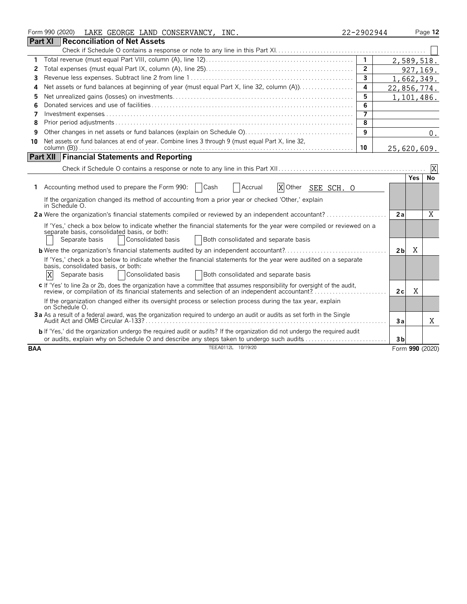|                | Form 990 (2020)<br>LAKE GEORGE LAND CONSERVANCY, INC.                                                                                                                                                                            | 22-2902944     |                |     | Page 12         |
|----------------|----------------------------------------------------------------------------------------------------------------------------------------------------------------------------------------------------------------------------------|----------------|----------------|-----|-----------------|
| <b>Part XI</b> | <b>Reconciliation of Net Assets</b>                                                                                                                                                                                              |                |                |     |                 |
|                |                                                                                                                                                                                                                                  |                |                |     |                 |
| 1              |                                                                                                                                                                                                                                  | $\mathbf{1}$   |                |     | 2,589,518.      |
| 2              |                                                                                                                                                                                                                                  | $\overline{2}$ |                |     | 927,169.        |
| 3              |                                                                                                                                                                                                                                  | $\overline{3}$ |                |     | 1,662,349.      |
| 4              |                                                                                                                                                                                                                                  | 4              | 22,856,774.    |     |                 |
| 5              |                                                                                                                                                                                                                                  | 5              |                |     | 1,101,486.      |
| 6              |                                                                                                                                                                                                                                  | 6              |                |     |                 |
| 7              |                                                                                                                                                                                                                                  | $\overline{7}$ |                |     |                 |
| 8              |                                                                                                                                                                                                                                  | 8              |                |     |                 |
| 9              |                                                                                                                                                                                                                                  | 9              |                |     | $0$ .           |
| 10             | Net assets or fund balances at end of year. Combine lines 3 through 9 (must equal Part X, line 32,                                                                                                                               |                |                |     |                 |
|                |                                                                                                                                                                                                                                  | 10             | 25,620,609.    |     |                 |
|                | <b>Part XII Financial Statements and Reporting</b>                                                                                                                                                                               |                |                |     |                 |
|                |                                                                                                                                                                                                                                  |                |                |     | $\mathbf{X}$    |
|                |                                                                                                                                                                                                                                  |                |                | Yes | No              |
|                | XOther SEE SCH. O<br>1 Accounting method used to prepare the Form 990:<br>  Cash<br>Accrual                                                                                                                                      |                |                |     |                 |
|                | If the organization changed its method of accounting from a prior year or checked 'Other,' explain<br>in Schedule O.                                                                                                             |                |                |     |                 |
|                |                                                                                                                                                                                                                                  |                | 2a             |     | X               |
|                | If 'Yes,' check a box below to indicate whether the financial statements for the year were compiled or reviewed on a<br>separate basis, consolidated basis, or both:                                                             |                |                |     |                 |
|                | Separate basis<br>Consolidated basis<br>Both consolidated and separate basis                                                                                                                                                     |                |                |     |                 |
|                |                                                                                                                                                                                                                                  |                | 2 <sub>b</sub> | X   |                 |
|                | If 'Yes,' check a box below to indicate whether the financial statements for the year were audited on a separate<br>basis, consolidated basis, or both:                                                                          |                |                |     |                 |
|                | X<br>Consolidated basis<br>Separate basis<br>Both consolidated and separate basis                                                                                                                                                |                |                |     |                 |
|                | c If 'Yes' to line 2a or 2b, does the organization have a committee that assumes responsibility for oversight of the audit,<br>review, or compilation of its financial statements and selection of an independent accountant?.   |                | 2c             | X   |                 |
|                | If the organization changed either its oversight process or selection process during the tax year, explain<br>on Schedule O.                                                                                                     |                |                |     |                 |
|                | 3a As a result of a federal award, was the organization required to undergo an audit or audits as set forth in the Single                                                                                                        |                | 3a             |     | X               |
|                | <b>b</b> If 'Yes,' did the organization undergo the required audit or audits? If the organization did not undergo the required audit<br>or audits, explain why on Schedule O and describe any steps taken to undergo such audits |                | 3 <sub>b</sub> |     |                 |
| <b>BAA</b>     | TEEA0112L 10/19/20                                                                                                                                                                                                               |                |                |     | Form 990 (2020) |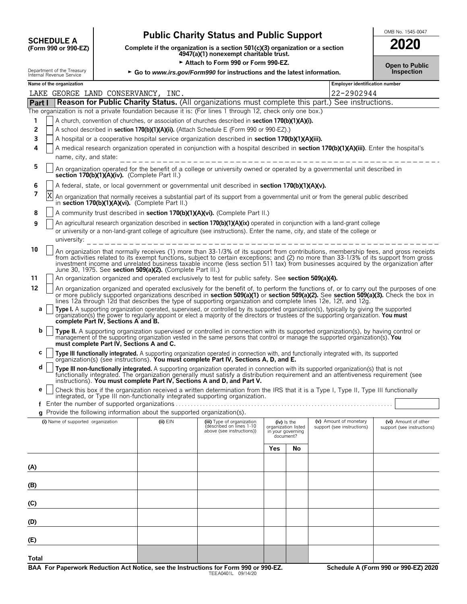| <b>SCHEDULE A</b>                |  |
|----------------------------------|--|
| $(F_{\rm O}r$ m 990 or 990. $FZ$ |  |

# **Public Charity Status and Public Support SCHEDULE ACCHEDULE ACCHEDULE ACCHEDULE A**

**COMPOSCHEDULE A**<br>(Form 990 or 990-EZ) Complete if the organization is a section 501(c)(3) organization or a section<br>4947(a)(1) nonexempt charitable trust.

<sup>G</sup> **Attach to Form 990 or Form 990-EZ. Open to Public**

| 2020 |  |
|------|--|

|              | Department of the Treasury<br>Internal Revenue Service |                                                                                                                                                                            | Attach to Form 990 or Form 990-EZ.<br>► Go to www.irs.gov/Form990 for instructions and the latest information. | <b>Open to Public</b><br><b>Inspection</b>                                                                                                                                                                                                                                                                                                                                                                         |                     |                                                 |                                                      |                                                    |  |  |  |
|--------------|--------------------------------------------------------|----------------------------------------------------------------------------------------------------------------------------------------------------------------------------|----------------------------------------------------------------------------------------------------------------|--------------------------------------------------------------------------------------------------------------------------------------------------------------------------------------------------------------------------------------------------------------------------------------------------------------------------------------------------------------------------------------------------------------------|---------------------|-------------------------------------------------|------------------------------------------------------|----------------------------------------------------|--|--|--|
|              | Name of the organization                               |                                                                                                                                                                            |                                                                                                                |                                                                                                                                                                                                                                                                                                                                                                                                                    |                     |                                                 | <b>Employer identification number</b>                |                                                    |  |  |  |
|              | LAKE GEORGE LAND CONSERVANCY, INC.                     |                                                                                                                                                                            |                                                                                                                |                                                                                                                                                                                                                                                                                                                                                                                                                    |                     |                                                 | 22-2902944                                           |                                                    |  |  |  |
| Part I       |                                                        |                                                                                                                                                                            |                                                                                                                | Reason for Public Charity Status. (All organizations must complete this part.) See instructions.                                                                                                                                                                                                                                                                                                                   |                     |                                                 |                                                      |                                                    |  |  |  |
|              |                                                        |                                                                                                                                                                            |                                                                                                                | The organization is not a private foundation because it is: (For lines 1 through 12, check only one box.)                                                                                                                                                                                                                                                                                                          |                     |                                                 |                                                      |                                                    |  |  |  |
| 1            |                                                        |                                                                                                                                                                            |                                                                                                                | A church, convention of churches, or association of churches described in section 170(b)(1)(A)(i).                                                                                                                                                                                                                                                                                                                 |                     |                                                 |                                                      |                                                    |  |  |  |
| 2            |                                                        |                                                                                                                                                                            |                                                                                                                | A school described in section 170(b)(1)(A)(ii). (Attach Schedule E (Form 990 or 990-EZ).)                                                                                                                                                                                                                                                                                                                          |                     |                                                 |                                                      |                                                    |  |  |  |
| 3            |                                                        |                                                                                                                                                                            |                                                                                                                | A hospital or a cooperative hospital service organization described in section 170(b)(1)(A)(iii).                                                                                                                                                                                                                                                                                                                  |                     |                                                 |                                                      |                                                    |  |  |  |
| 4            |                                                        | A medical research organization operated in conjunction with a hospital described in section 170(b)(1)(A)(iii). Enter the hospital's<br>name, city, and state:             |                                                                                                                |                                                                                                                                                                                                                                                                                                                                                                                                                    |                     |                                                 |                                                      |                                                    |  |  |  |
| 5            |                                                        | An organization operated for the benefit of a college or university owned or operated by a governmental unit described in<br>section 170(b)(1)(A)(iv). (Complete Part II.) |                                                                                                                |                                                                                                                                                                                                                                                                                                                                                                                                                    |                     |                                                 |                                                      |                                                    |  |  |  |
| 6            |                                                        |                                                                                                                                                                            |                                                                                                                | A federal, state, or local government or governmental unit described in section 170(b)(1)(A)(v).                                                                                                                                                                                                                                                                                                                   |                     |                                                 |                                                      |                                                    |  |  |  |
| 7            | Χ                                                      |                                                                                                                                                                            | in section 170(b)(1)(A)(vi). (Complete Part II.)                                                               | An organization that normally receives a substantial part of its support from a governmental unit or from the general public described                                                                                                                                                                                                                                                                             |                     |                                                 |                                                      |                                                    |  |  |  |
| 8            |                                                        |                                                                                                                                                                            |                                                                                                                | A community trust described in <b>section 170(b)(1)(A)(vi).</b> (Complete Part II.)                                                                                                                                                                                                                                                                                                                                |                     |                                                 |                                                      |                                                    |  |  |  |
| 9            | university:                                            |                                                                                                                                                                            |                                                                                                                | An agricultural research organization described in <b>section 170(b)(1)(A)(ix)</b> operated in conjunction with a land-grant college<br>or university or a non-land-grant college of agriculture (see instructions). Enter the name, city, and state of the college or                                                                                                                                             |                     |                                                 |                                                      |                                                    |  |  |  |
|              |                                                        |                                                                                                                                                                            |                                                                                                                |                                                                                                                                                                                                                                                                                                                                                                                                                    |                     |                                                 |                                                      |                                                    |  |  |  |
| 10           |                                                        |                                                                                                                                                                            | June 30, 1975. See section 509(a)(2). (Complete Part III.)                                                     | An organization that normally receives (1) more than 33-1/3% of its support from contributions, membership fees, and gross receipts<br>from activities related to its exempt functions, subject to certain exceptions; and (2) no more than 33-1/3% of its support from gross<br>investment income and unrelated business taxable income (less section 511 tax) from businesses acquired by the organization after |                     |                                                 |                                                      |                                                    |  |  |  |
| 11           |                                                        |                                                                                                                                                                            |                                                                                                                | An organization organized and operated exclusively to test for public safety. See section 509(a)(4).                                                                                                                                                                                                                                                                                                               |                     |                                                 |                                                      |                                                    |  |  |  |
| 12           |                                                        |                                                                                                                                                                            |                                                                                                                | An organization organized and operated exclusively for the benefit of, to perform the functions of, or to carry out the purposes of one                                                                                                                                                                                                                                                                            |                     |                                                 |                                                      |                                                    |  |  |  |
|              |                                                        |                                                                                                                                                                            |                                                                                                                | or more publicly supported organizations described in section 509(a)(1) or section 509(a)(2). See section 509(a)(3). Check the box in<br>lines 12a through 12d that describes the type of supporting organization and complete lines 12e, 12f, and 12g.                                                                                                                                                            |                     |                                                 |                                                      |                                                    |  |  |  |
| a            |                                                        |                                                                                                                                                                            |                                                                                                                | Type I. A supporting organization operated, supervised, or controlled by its supported organization(s), typically by giving the supported                                                                                                                                                                                                                                                                          |                     |                                                 |                                                      |                                                    |  |  |  |
|              |                                                        | complete Part IV, Sections A and B.                                                                                                                                        |                                                                                                                | organization(s) the power to regularly appoint or elect a majority of the directors or trustees of the supporting organization. You must                                                                                                                                                                                                                                                                           |                     |                                                 |                                                      |                                                    |  |  |  |
| b            |                                                        | must complete Part IV, Sections A and C.                                                                                                                                   |                                                                                                                | Type II. A supporting organization supervised or controlled in connection with its supported organization(s), by having control or<br>management of the supporting organization vested in the same persons that control or manage the supported organization(s). You                                                                                                                                               |                     |                                                 |                                                      |                                                    |  |  |  |
| C            |                                                        |                                                                                                                                                                            |                                                                                                                | Type III functionally integrated. A supporting organization operated in connection with, and functionally integrated with, its supported<br>organization(s) (see instructions). You must complete Part IV, Sections A, D, and E.                                                                                                                                                                                   |                     |                                                 |                                                      |                                                    |  |  |  |
| d            |                                                        |                                                                                                                                                                            |                                                                                                                | Type III non-functionally integrated. A supporting organization operated in connection with its supported organization(s) that is not<br>functionally integrated. The organization generally must satisfy a distribution requirement and an attentiveness requirement (see                                                                                                                                         |                     |                                                 |                                                      |                                                    |  |  |  |
|              |                                                        |                                                                                                                                                                            |                                                                                                                | instructions). You must complete Part IV, Sections A and D, and Part V.                                                                                                                                                                                                                                                                                                                                            |                     |                                                 |                                                      |                                                    |  |  |  |
| е            |                                                        |                                                                                                                                                                            |                                                                                                                | Check this box if the organization received a written determination from the IRS that it is a Type I, Type II, Type III functionally<br>integrated, or Type III non-functionally integrated supporting organization.                                                                                                                                                                                               |                     |                                                 |                                                      |                                                    |  |  |  |
|              | Enter the number of supported organizations.           |                                                                                                                                                                            |                                                                                                                |                                                                                                                                                                                                                                                                                                                                                                                                                    |                     |                                                 |                                                      |                                                    |  |  |  |
|              |                                                        |                                                                                                                                                                            | g Provide the following information about the supported organization(s).                                       |                                                                                                                                                                                                                                                                                                                                                                                                                    |                     |                                                 |                                                      |                                                    |  |  |  |
|              | (i) Name of supported organization                     |                                                                                                                                                                            | $(ii)$ $EIN$                                                                                                   | (iii) Type of organization<br>(described on lines 1-10<br>above (see instructions))                                                                                                                                                                                                                                                                                                                                | organization listed | $(iv)$ is the<br>in your governing<br>document? | (v) Amount of monetary<br>support (see instructions) | (vi) Amount of other<br>support (see instructions) |  |  |  |
|              |                                                        |                                                                                                                                                                            |                                                                                                                |                                                                                                                                                                                                                                                                                                                                                                                                                    | Yes                 | No                                              |                                                      |                                                    |  |  |  |
| (A)          |                                                        |                                                                                                                                                                            |                                                                                                                |                                                                                                                                                                                                                                                                                                                                                                                                                    |                     |                                                 |                                                      |                                                    |  |  |  |
|              |                                                        |                                                                                                                                                                            |                                                                                                                |                                                                                                                                                                                                                                                                                                                                                                                                                    |                     |                                                 |                                                      |                                                    |  |  |  |
| (B)          |                                                        |                                                                                                                                                                            |                                                                                                                |                                                                                                                                                                                                                                                                                                                                                                                                                    |                     |                                                 |                                                      |                                                    |  |  |  |
| (C)          |                                                        |                                                                                                                                                                            |                                                                                                                |                                                                                                                                                                                                                                                                                                                                                                                                                    |                     |                                                 |                                                      |                                                    |  |  |  |
|              |                                                        |                                                                                                                                                                            |                                                                                                                |                                                                                                                                                                                                                                                                                                                                                                                                                    |                     |                                                 |                                                      |                                                    |  |  |  |
| (D)          |                                                        |                                                                                                                                                                            |                                                                                                                |                                                                                                                                                                                                                                                                                                                                                                                                                    |                     |                                                 |                                                      |                                                    |  |  |  |
| (E)          |                                                        |                                                                                                                                                                            |                                                                                                                |                                                                                                                                                                                                                                                                                                                                                                                                                    |                     |                                                 |                                                      |                                                    |  |  |  |
| <b>Total</b> |                                                        |                                                                                                                                                                            |                                                                                                                |                                                                                                                                                                                                                                                                                                                                                                                                                    |                     |                                                 |                                                      |                                                    |  |  |  |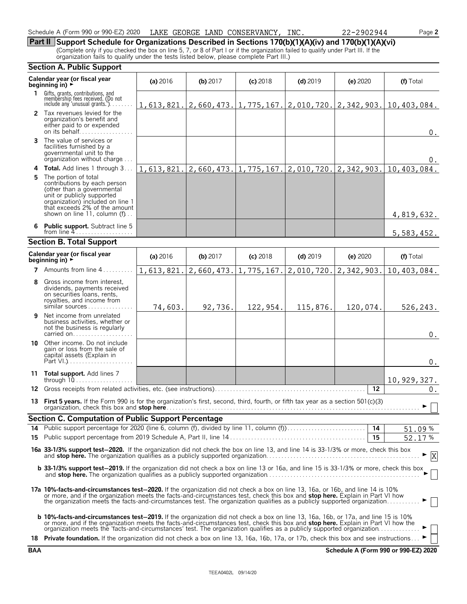| Schedule A (Form 990 or 990-EZ) 2020 |  |  |  |  | LAKE GEORGE LAND CONSERVANCY, | INC | 2902944<br>ົ<br>LΔ | Page 2 |
|--------------------------------------|--|--|--|--|-------------------------------|-----|--------------------|--------|
|                                      |  |  |  |  |                               |     |                    |        |

**Part II Support Schedule for Organizations Described in Sections 170(b)(1)(A)(iv) and 170(b)(1)(A)(vi)** (Complete only if you checked the box on line 5, 7, or 8 of Part I or if the organization failed to qualify under Part III. If the organization fails to qualify under the tests listed below, please complete Part III.)

|    | <b>Section A. Public Support</b>                                                                                                                                                                                                                                                                                                                                                                                                                                                                                    |            |            |                               |            |            |                                                                                            |
|----|---------------------------------------------------------------------------------------------------------------------------------------------------------------------------------------------------------------------------------------------------------------------------------------------------------------------------------------------------------------------------------------------------------------------------------------------------------------------------------------------------------------------|------------|------------|-------------------------------|------------|------------|--------------------------------------------------------------------------------------------|
|    | Calendar year (or fiscal year<br>beginning in) $\rightarrow$                                                                                                                                                                                                                                                                                                                                                                                                                                                        | (a) 2016   | (b) $2017$ | $(c)$ 2018                    | $(d)$ 2019 | $(e)$ 2020 | (f) Total                                                                                  |
| 1. | Gifts, grants, contributions, and<br>membership fees received. (Do not<br>include any 'unusual grants.'). $\ldots$ .                                                                                                                                                                                                                                                                                                                                                                                                |            |            |                               |            |            | $1, 613, 821.   2, 660, 473.   1, 775, 167.   2, 010, 720.   2, 342, 903.   10, 403, 084.$ |
|    | 2 Tax revenues levied for the<br>organization's benefit and<br>either paid to or expended<br>on its behalf                                                                                                                                                                                                                                                                                                                                                                                                          |            |            |                               |            |            | 0.                                                                                         |
| 3  | The value of services or<br>facilities furnished by a<br>governmental unit to the<br>organization without charge                                                                                                                                                                                                                                                                                                                                                                                                    |            |            |                               |            |            | $0$ .                                                                                      |
|    | 4 Total. Add lines 1 through 3                                                                                                                                                                                                                                                                                                                                                                                                                                                                                      | 1,613,821. | 2,660,473. | $1, 775, 167.$ $2, 010, 720.$ |            | 2,342,903. | 10,403,084.                                                                                |
| 5. | The portion of total<br>contributions by each person<br>(other than a governmental<br>unit or publicly supported<br>organization) included on line 1<br>that exceeds 2% of the amount<br>shown on line 11, column (f)                                                                                                                                                                                                                                                                                               |            |            |                               |            |            | 4,819,632.                                                                                 |
|    | <b>Public support.</b> Subtract line 5                                                                                                                                                                                                                                                                                                                                                                                                                                                                              |            |            |                               |            |            | 5,583,452.                                                                                 |
|    | <b>Section B. Total Support</b>                                                                                                                                                                                                                                                                                                                                                                                                                                                                                     |            |            |                               |            |            |                                                                                            |
|    | Calendar year (or fiscal year<br>beginning in) $\rightarrow$                                                                                                                                                                                                                                                                                                                                                                                                                                                        | (a) 2016   | $(b)$ 2017 | $(c)$ 2018                    | $(d)$ 2019 | (e) 2020   | (f) Total                                                                                  |
|    | <b>7</b> Amounts from line $4, \ldots, \ldots$                                                                                                                                                                                                                                                                                                                                                                                                                                                                      | 1,613,821. | 2,660,473. | 1,775,167.                    | 2,010,720. | 2,342,903. | 10,403,084.                                                                                |
| 8  | Gross income from interest,<br>dividends, payments received<br>on securities loans, rents,<br>royalties, and income from<br>similar sources                                                                                                                                                                                                                                                                                                                                                                         | 74,603.    | 92,736.    | 122,954.                      | 115,876.   | 120,074.   | 526,243.                                                                                   |
| 9  | Net income from unrelated<br>business activities, whether or<br>not the business is regularly<br>carried on                                                                                                                                                                                                                                                                                                                                                                                                         |            |            |                               |            |            | $0$ .                                                                                      |
| 10 | Other income. Do not include<br>gain or loss from the sale of<br>capital assets (Explain in                                                                                                                                                                                                                                                                                                                                                                                                                         |            |            |                               |            |            | $0$ .                                                                                      |
|    | 11 Total support. Add lines 7<br>through 10                                                                                                                                                                                                                                                                                                                                                                                                                                                                         |            |            |                               |            |            | 10, 929, 327.                                                                              |
|    | 12 Gross receipts from related activities, etc. (see instructions).                                                                                                                                                                                                                                                                                                                                                                                                                                                 |            |            |                               |            | 12         | $0$ .                                                                                      |
|    | 13 First 5 years. If the Form 990 is for the organization's first, second, third, fourth, or fifth tax year as a section 501(c)(3)                                                                                                                                                                                                                                                                                                                                                                                  |            |            |                               |            |            | $\Box$                                                                                     |
|    | <b>Section C. Computation of Public Support Percentage</b>                                                                                                                                                                                                                                                                                                                                                                                                                                                          |            |            |                               |            |            |                                                                                            |
|    |                                                                                                                                                                                                                                                                                                                                                                                                                                                                                                                     |            |            |                               |            | 15         | 51.09%                                                                                     |
|    |                                                                                                                                                                                                                                                                                                                                                                                                                                                                                                                     |            |            |                               |            |            | 52.17%                                                                                     |
|    | 16a 33-1/3% support test-2020. If the organization did not check the box on line 13, and line 14 is 33-1/3% or more, check this box                                                                                                                                                                                                                                                                                                                                                                                 |            |            |                               |            |            | X                                                                                          |
|    | <b>b 33-1/3% support test-2019.</b> If the organization did not check a box on line 13 or 16a, and line 15 is 33-1/3% or more, check this box                                                                                                                                                                                                                                                                                                                                                                       |            |            |                               |            |            |                                                                                            |
|    | 17a 10%-facts-and-circumstances test-2020. If the organization did not check a box on line 13, 16a, or 16b, and line 14 is 10%<br>or more, and if the organization meets the facts-and-circumstances test, check this box and stop here. Explain in Part VI how<br>the organization meets the facts-and-circumstances test. The organization qualifies as a publicly supported organization                                                                                                                         |            |            |                               |            |            |                                                                                            |
|    | <b>b 10%-facts-and-circumstances test-2019.</b> If the organization did not check a box on line 13, 16a, 16b, or 17a, and line 15 is 10%<br>or more, and if the organization meets the facts-and-circumstances test, check this box and stop here. Explain in Part VI how the organization meets the 'facts-and-circumstances' test. The organization qualifies as a publi<br>18 Private foundation. If the organization did not check a box on line 13, 16a, 16b, 17a, or 17b, check this box and see instructions |            |            |                               |            |            |                                                                                            |
|    |                                                                                                                                                                                                                                                                                                                                                                                                                                                                                                                     |            |            |                               |            |            |                                                                                            |

**BAA Schedule A (Form 990 or 990-EZ) 2020**

| CY, INC. | 22-2902944 |
|----------|------------|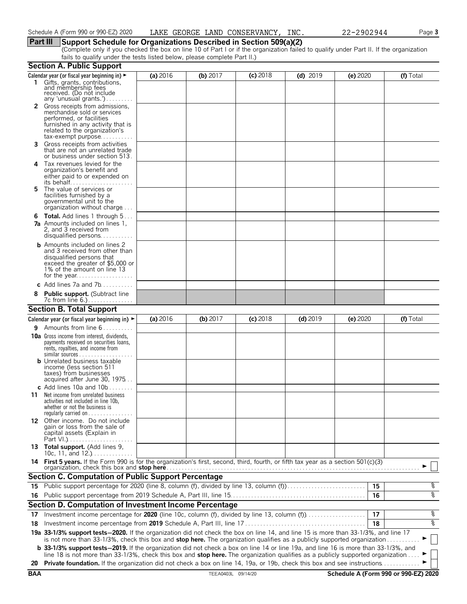### **Part III Support Schedule for Organizations Described in Section 509(a)(2)**

(Complete only if you checked the box on line 10 of Part I or if the organization failed to qualify under Part II. If the organization fails to qualify under the tests listed below, please complete Part II.)

|            | <b>Section A. Public Support</b>                                                                                                                                                                                                                                              |          |                    |            |            |                                      |           |
|------------|-------------------------------------------------------------------------------------------------------------------------------------------------------------------------------------------------------------------------------------------------------------------------------|----------|--------------------|------------|------------|--------------------------------------|-----------|
|            | Calendar year (or fiscal year beginning in) $\blacktriangleright$<br>1 Gifts, grants, contributions,<br>and membership fees<br>received. (Do not include                                                                                                                      | (a) 2016 | (b) $2017$         | $(c)$ 2018 | $(d)$ 2019 | (e) 2020                             | (f) Total |
|            | any 'unusual grants.')<br>2 Gross receipts from admissions,<br>merchandise sold or services<br>performed, or facilities<br>furnished in any activity that is<br>related to the organization's<br>$tax\text{-}exempt$ purpose                                                  |          |                    |            |            |                                      |           |
| 3.         | Gross receipts from activities<br>that are not an unrelated trade<br>or business under section 513.                                                                                                                                                                           |          |                    |            |            |                                      |           |
| 4          | Tax revenues levied for the<br>organization's benefit and<br>either paid to or expended on                                                                                                                                                                                    |          |                    |            |            |                                      |           |
| 5.         | The value of services or<br>facilities furnished by a<br>governmental unit to the<br>organization without charge                                                                                                                                                              |          |                    |            |            |                                      |           |
|            | <b>6 Total.</b> Add lines 1 through 5<br><b>7a</b> Amounts included on lines 1,<br>2, and 3 received from<br>disqualified persons                                                                                                                                             |          |                    |            |            |                                      |           |
|            | <b>b</b> Amounts included on lines 2<br>and 3 received from other than<br>disqualified persons that<br>exceed the greater of \$5,000 or<br>1% of the amount on line 13                                                                                                        |          |                    |            |            |                                      |           |
|            | c Add lines 7a and 7b                                                                                                                                                                                                                                                         |          |                    |            |            |                                      |           |
|            | <b>Public support.</b> (Subtract line<br>7c from line 6.).                                                                                                                                                                                                                    |          |                    |            |            |                                      |           |
|            | <b>Section B. Total Support</b>                                                                                                                                                                                                                                               |          |                    |            |            |                                      |           |
|            | Calendar year (or fiscal year beginning in) $\blacktriangleright$                                                                                                                                                                                                             | (a) 2016 | $(b)$ 2017         | $(c)$ 2018 | $(d)$ 2019 | (e) 2020                             | (f) Total |
|            | 9 Amounts from line 6                                                                                                                                                                                                                                                         |          |                    |            |            |                                      |           |
|            | <b>10a</b> Gross income from interest, dividends,<br>payments received on securities loans,<br>rents, royalties, and income from<br><b>b</b> Unrelated business taxable<br>income (less section 511<br>taxes) from businesses                                                 |          |                    |            |            |                                      |           |
|            | acquired after June 30, 1975                                                                                                                                                                                                                                                  |          |                    |            |            |                                      |           |
| 11.        | c Add lines 10a and $10b$<br>Net income from unrelated business<br>activities not included in line 10b,<br>whether or not the business is<br>regularly carried on $\dots\dots\dots\dots\dots$                                                                                 |          |                    |            |            |                                      |           |
|            | 12 Other income. Do not include<br>gain or loss from the sale of<br>capital assets (Explain in                                                                                                                                                                                |          |                    |            |            |                                      |           |
|            | 13 Total support. (Add lines 9,<br>10c, 11, and 12.) $\ldots$                                                                                                                                                                                                                 |          |                    |            |            |                                      |           |
|            | 14 First 5 years. If the Form 990 is for the organization's first, second, third, fourth, or fifth tax year as a section 501(c)(3)<br>organization, check this box and <b>stop here</b>                                                                                       |          |                    |            |            |                                      |           |
|            | <b>Section C. Computation of Public Support Percentage</b>                                                                                                                                                                                                                    |          |                    |            |            |                                      |           |
| 15         | Public support percentage for 2020 (line 8, column (f), divided by line 13, column (f)                                                                                                                                                                                        |          |                    |            |            | 15                                   | န့        |
|            |                                                                                                                                                                                                                                                                               |          |                    |            |            | 16                                   | ०१०       |
|            | Section D. Computation of Investment Income Percentage                                                                                                                                                                                                                        |          |                    |            |            |                                      |           |
| 17         | Investment income percentage for 2020 (line 10c, column (f), divided by line 13, column (f)                                                                                                                                                                                   |          |                    |            |            | 17                                   | %         |
| 18         |                                                                                                                                                                                                                                                                               |          |                    |            |            | 18                                   | ०७        |
|            | 19a 33-1/3% support tests-2020. If the organization did not check the box on line 14, and line 15 is more than 33-1/3%, and line 17<br>is not more than 33-1/3%, check this box and stop here. The organization qualifies as a publicly supported organization                |          |                    |            |            |                                      |           |
|            | <b>b</b> 33-1/3% support tests-2019. If the organization did not check a box on line 14 or line 19a, and line 16 is more than 33-1/3%, and<br>line 18 is not more than 33-1/3%, check this box and stop here. The organization qualifies as a publicly supported organization |          |                    |            |            |                                      |           |
| 20         | Private foundation. If the organization did not check a box on line 14, 19a, or 19b, check this box and see instructions.                                                                                                                                                     |          |                    |            |            |                                      |           |
| <b>BAA</b> |                                                                                                                                                                                                                                                                               |          | TEEA0403L 09/14/20 |            |            | Schedule A (Form 990 or 990-EZ) 2020 |           |
|            |                                                                                                                                                                                                                                                                               |          |                    |            |            |                                      |           |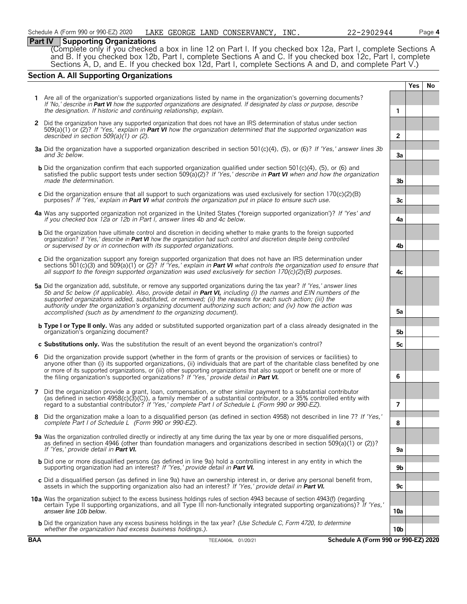#### **Part IV Supporting Organizations**

(Complete only if you checked a box in line 12 on Part I. If you checked box 12a, Part I, complete Sections A and B. If you checked box 12b, Part I, complete Sections A and C. If you checked box 12c, Part I, complete Sections A, D, and E. If you checked box 12d, Part I, complete Sections A and D, and complete Part V.)

### **Section A. All Supporting Organizations**

|              |                                                                                                                                                                                                                                                                                                                                                                                                                                                                                                                                              |                 | Yes | No |
|--------------|----------------------------------------------------------------------------------------------------------------------------------------------------------------------------------------------------------------------------------------------------------------------------------------------------------------------------------------------------------------------------------------------------------------------------------------------------------------------------------------------------------------------------------------------|-----------------|-----|----|
|              | 1 Are all of the organization's supported organizations listed by name in the organization's governing documents?<br>If 'No,' describe in Part VI how the supported organizations are designated. If designated by class or purpose, describe<br>the designation. If historic and continuing relationship, explain.                                                                                                                                                                                                                          | 1               |     |    |
| $\mathbf{2}$ | Did the organization have any supported organization that does not have an IRS determination of status under section<br>$509(a)(1)$ or (2)? If 'Yes,' explain in <b>Part VI</b> how the organization determined that the supported organization was<br>described in section $509(a)(1)$ or (2).                                                                                                                                                                                                                                              | $\mathbf{2}$    |     |    |
|              | 3a Did the organization have a supported organization described in section 501(c)(4), (5), or (6)? If 'Yes,' answer lines 3b<br>and 3c below.                                                                                                                                                                                                                                                                                                                                                                                                | За              |     |    |
|              | <b>b</b> Did the organization confirm that each supported organization qualified under section 501(c)(4), (5), or (6) and<br>satisfied the public support tests under section 509(a)(2)? If 'Yes,' describe in <b>Part VI</b> when and how the organization<br>made the determination.                                                                                                                                                                                                                                                       | 3b              |     |    |
|              | c Did the organization ensure that all support to such organizations was used exclusively for section $170(c)(2)(B)$<br>purposes? If 'Yes,' explain in <b>Part VI</b> what controls the organization put in place to ensure such use.                                                                                                                                                                                                                                                                                                        | 3c              |     |    |
|              | 4a Was any supported organization not organized in the United States ('foreign supported organization')? If 'Yes' and<br>if you checked box 12a or 12b in Part I, answer lines 4b and 4c below.                                                                                                                                                                                                                                                                                                                                              | 4a              |     |    |
|              | <b>b</b> Did the organization have ultimate control and discretion in deciding whether to make grants to the foreign supported<br>organization? If 'Yes,' describe in Part VI how the organization had such control and discretion despite being controlled<br>or supervised by or in connection with its supported organizations.                                                                                                                                                                                                           | 4b              |     |    |
|              | c Did the organization support any foreign supported organization that does not have an IRS determination under<br>sections 501(c)(3) and 509(a)(1) or (2)? If 'Yes,' explain in <b>Part VI</b> what controls the organization used to ensure that<br>all support to the foreign supported organization was used exclusively for section $170(c)(2)(B)$ purposes.                                                                                                                                                                            | 4c              |     |    |
|              | 5a Did the organization add, substitute, or remove any supported organizations during the tax year? If 'Yes,' answer lines<br>5b and 5c below (if applicable). Also, provide detail in Part VI, including (i) the names and EIN numbers of the<br>supported organizations added, substituted, or removed; (ii) the reasons for each such action; (iii) the<br>authority under the organization's organizing document authorizing such action; and (iv) how the action was<br>accomplished (such as by amendment to the organizing document). | 5a              |     |    |
|              | <b>b</b> Type I or Type II only. Was any added or substituted supported organization part of a class already designated in the<br>organization's organizing document?                                                                                                                                                                                                                                                                                                                                                                        | 5b              |     |    |
|              | c Substitutions only. Was the substitution the result of an event beyond the organization's control?                                                                                                                                                                                                                                                                                                                                                                                                                                         | 5c              |     |    |
|              | 6 Did the organization provide support (whether in the form of grants or the provision of services or facilities) to<br>anyone other than (i) its supported organizations, (ii) individuals that are part of the charitable class benefited by one<br>or more of its supported organizations, or (iii) other supporting organizations that also support or benefit one or more of<br>the filing organization's supported organizations? If 'Yes,' provide detail in Part VI.                                                                 | 6               |     |    |
|              | 7 Did the organization provide a grant, loan, compensation, or other similar payment to a substantial contributor<br>(as defined in section $4958(c)(3)(C)$ ), a family member of a substantial contributor, or a 35% controlled entity with<br>regard to a substantial contributor? If 'Yes,' complete Part I of Schedule L (Form 990 or 990-EZ).                                                                                                                                                                                           | $\overline{7}$  |     |    |
|              | 8 Did the organization make a loan to a disqualified person (as defined in section 4958) not described in line 7? If 'Yes,'<br>complete Part I of Schedule L (Form 990 or 990-EZ).                                                                                                                                                                                                                                                                                                                                                           | 8               |     |    |
|              | 9a Was the organization controlled directly or indirectly at any time during the tax year by one or more disqualified persons,<br>as defined in section 4946 (other than foundation managers and organizations described in section 509(a)(1) or (2))?<br>If 'Yes,' provide detail in Part VI.                                                                                                                                                                                                                                               | 9а              |     |    |
|              | <b>b</b> Did one or more disqualified persons (as defined in line 9a) hold a controlling interest in any entity in which the<br>supporting organization had an interest? If 'Yes,' provide detail in Part VI.                                                                                                                                                                                                                                                                                                                                | 9b              |     |    |
|              | c Did a disqualified person (as defined in line 9a) have an ownership interest in, or derive any personal benefit from,<br>assets in which the supporting organization also had an interest? If 'Yes,' provide detail in <b>Part VI.</b>                                                                                                                                                                                                                                                                                                     | 9с              |     |    |
|              | 10a Was the organization subject to the excess business holdings rules of section 4943 because of section 4943(f) (regarding<br>certain Type II supporting organizations, and all Type III non-functionally integrated supporting organizations)? If 'Yes,'<br>answer line 10b below.                                                                                                                                                                                                                                                        |                 |     |    |
|              | <b>b</b> Did the organization have any excess business holdings in the tax year? (Use Schedule C, Form 4720, to determine                                                                                                                                                                                                                                                                                                                                                                                                                    | 10a             |     |    |
|              | whether the organization had excess business holdings.).                                                                                                                                                                                                                                                                                                                                                                                                                                                                                     | 10 <sub>b</sub> |     |    |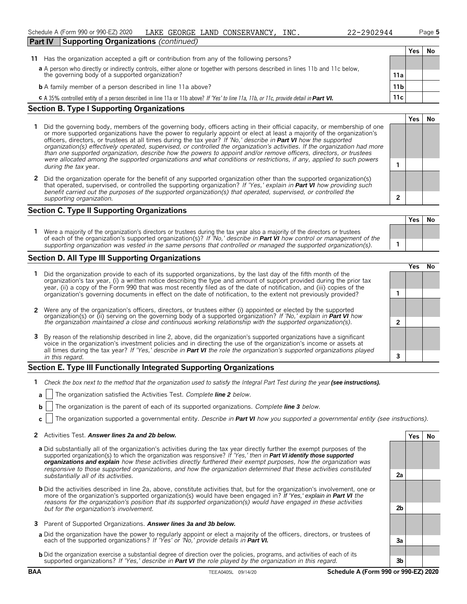**Yes No**

| <b>Part IV</b> | <b>Supporting Organizations (continued)</b>                                                                                                                                 |                 |     |     |
|----------------|-----------------------------------------------------------------------------------------------------------------------------------------------------------------------------|-----------------|-----|-----|
|                |                                                                                                                                                                             |                 | Yes | No. |
| 11             | Has the organization accepted a gift or contribution from any of the following persons?                                                                                     |                 |     |     |
|                | a A person who directly or indirectly controls, either alone or together with persons described in lines 11b and 11c below, the governing body of a supported organization? |                 |     |     |
|                |                                                                                                                                                                             | 11a             |     |     |
|                | <b>b</b> A family member of a person described in line 11a above?                                                                                                           | 11 <sub>b</sub> |     |     |
|                | C A 35% controlled entity of a person described in line 11a or 11b above? If 'Yes' to line 11a, 11b, or 11c, provide detail in Part VI.                                     | 11c             |     |     |

#### **Section B. Type I Supporting Organizations**

- **1** Did the governing body, members of the governing body, officers acting in their official capacity, or membership of one or more supported organizations have the power to regularly appoint or elect at least a majority of the organization's officers, directors, or trustees at all times during the tax year? *If 'No,' describe in Part VI how the supported organization(s) effectively operated, supervised, or controlled the organization's activities. If the organization had more than one supported organization, describe how the powers to appoint and/or remove officers, directors, or trustees were allocated among the supported organizations and what conditions or restrictions, if any, applied to such powers* **1** *during the tax* year.
- **2** Did the organization operate for the benefit of any supported organization other than the supported organization(s) that operated, supervised, or controlled the supporting organization? *If 'Yes,' explain in Part VI how providing such benefit carried out the purposes of the supported organization(s) that operated, supervised, or controlled the supporting organization.* **2**

#### **Section C. Type II Supporting Organizations**

**Yes No 1** Were a majority of the organization's directors or trustees during the tax year also a majority of the directors or trustees of each of the organization's supported organization(s)? *If 'No,' describe in Part VI how control or management of the supporting organization was vested in the same persons that controlled or managed the supported organization(s).* **1**

#### **Section D. All Type III Supporting Organizations**

|                                                                                                                                                                                                                                                                                                                                                                                       | res) |  |
|---------------------------------------------------------------------------------------------------------------------------------------------------------------------------------------------------------------------------------------------------------------------------------------------------------------------------------------------------------------------------------------|------|--|
| 1 Did the organization provide to each of its supported organizations, by the last day of the fifth month of the<br>organization's tax year, (i) a written notice describing the type and amount of support provided during the prior tax<br>year, (ii) a copy of the Form 990 that was most recently filed as of the date of notification, and (iii) copies of the                   |      |  |
| organization's governing documents in effect on the date of notification, to the extent not previously provided?                                                                                                                                                                                                                                                                      |      |  |
| 2 Were any of the organization's officers, directors, or trustees either (i) appointed or elected by the supported organization(s) or (ii) serving on the governing body of a supported organization? If 'No,' explain in Part                                                                                                                                                        |      |  |
|                                                                                                                                                                                                                                                                                                                                                                                       |      |  |
| 3 By reason of the relationship described in line 2, above, did the organization's supported organizations have a significant<br>voice in the organization's investment policies and in directing the use of the organization's income or assets at<br>all times during the tax year? If 'Yes,' describe in <b>Part VI</b> the role the organization's supported organizations played |      |  |
| in this regard.                                                                                                                                                                                                                                                                                                                                                                       |      |  |

#### **Section E. Type III Functionally Integrated Supporting Organizations**

- **1** *Check the box next to the method that the organization used to satisfy the Integral Part Test during the year (see instructions).* 
	- **a** The organization satisfied the Activities Test. *Complete line 2 below.*
	- **b** The organization is the parent of each of its supported organizations. *Complete line 3 below.*
	- **c** The organization supported a governmental entity. *Describe in Part VI how you supported a governmental entity (see instructions).*

#### **2** Activities Test. *Answer lines 2a and 2b below.* **Yes No**

- **a** Did substantially all of the organization's activities during the tax year directly further the exempt purposes of the supported organization(s) to which the organization was responsive? *If 'Yes,' then in Part VI identify those supported organizations and explain how these activities directly furthered their exempt purposes, how the organization was responsive to those supported organizations, and how the organization determined that these activities constituted substantially all of its activities.* **2a**
- **b** Did the activities described in line 2a, above, constitute activities that, but for the organization's involvement, one or more of the organization's supported organization(s) would have been engaged in? *If 'Yes,' explain in Part VI the reasons for the organization's position that its supported organization(s) would have engaged in these activities but for the organization's involvement.* **2b**
- **3** Parent of Supported Organizations. *Answer lines 3a and 3b below.*
- **a** Did the organization have the power to regularly appoint or elect a majority of the officers, directors, or trustees of each of the supported organizations? *If 'Yes' or 'No,' provide details in Part VI.* **3a**
- **b** Did the organization exercise a substantial degree of direction over the policies, programs, and activities of each of its supported organizations? *If 'Yes,' describe in Part VI the role played by the organization in this regard.* **3b**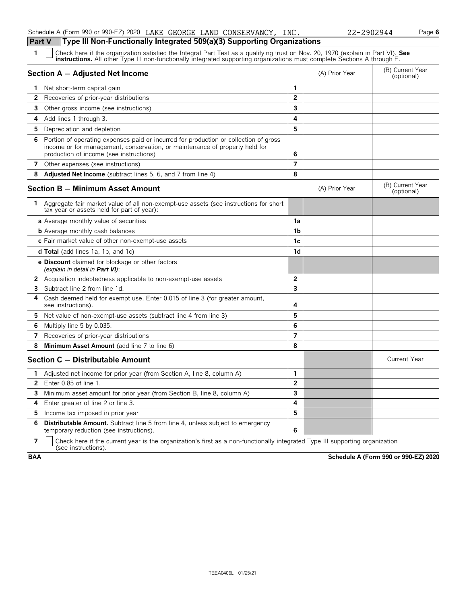| Schedule A (Form 990 or 990-EZ) 2020 LAKE GEORGE LAND CONSERVANCY, INC.          |  | 22-2902944 |
|----------------------------------------------------------------------------------|--|------------|
| Part V   Type III Non-Functionally Integrated 509(a)(3) Supporting Organizations |  |            |

| $\mathbf{1}$ | Check here if the organization satisfied the Integral Part Test as a qualifying trust on Nov. 20, 1970 (explain in Part VI). See<br><b>instructions.</b> All other Type III non-functionally integrated supporting organizations must complete Sections A through E. |                |                |                                |  |  |
|--------------|----------------------------------------------------------------------------------------------------------------------------------------------------------------------------------------------------------------------------------------------------------------------|----------------|----------------|--------------------------------|--|--|
|              | Section A - Adjusted Net Income                                                                                                                                                                                                                                      |                | (A) Prior Year | (B) Current Year<br>(optional) |  |  |
|              | 1 Net short-term capital gain                                                                                                                                                                                                                                        | 1              |                |                                |  |  |
| $\mathbf{2}$ | Recoveries of prior-year distributions                                                                                                                                                                                                                               | $\overline{2}$ |                |                                |  |  |
| 3            | Other gross income (see instructions)                                                                                                                                                                                                                                | 3              |                |                                |  |  |
|              | 4 Add lines 1 through 3.                                                                                                                                                                                                                                             | 4              |                |                                |  |  |
| 5            | Depreciation and depletion                                                                                                                                                                                                                                           | 5              |                |                                |  |  |
| 6            | Portion of operating expenses paid or incurred for production or collection of gross<br>income or for management, conservation, or maintenance of property held for<br>production of income (see instructions)                                                       | 6              |                |                                |  |  |
| 7            | Other expenses (see instructions)                                                                                                                                                                                                                                    | $\overline{7}$ |                |                                |  |  |
| 8            | <b>Adjusted Net Income</b> (subtract lines 5, 6, and 7 from line 4)                                                                                                                                                                                                  | 8              |                |                                |  |  |
|              | <b>Section B - Minimum Asset Amount</b>                                                                                                                                                                                                                              |                | (A) Prior Year | (B) Current Year<br>(optional) |  |  |
| 1            | Aggregate fair market value of all non-exempt-use assets (see instructions for short<br>tax year or assets held for part of year):                                                                                                                                   |                |                |                                |  |  |
|              | <b>a</b> Average monthly value of securities                                                                                                                                                                                                                         | 1a             |                |                                |  |  |
|              | <b>b</b> Average monthly cash balances                                                                                                                                                                                                                               | 1 <sub>b</sub> |                |                                |  |  |
|              | c Fair market value of other non-exempt-use assets                                                                                                                                                                                                                   | 1c             |                |                                |  |  |
|              | <b>d Total</b> (add lines 1a, 1b, and 1c)                                                                                                                                                                                                                            | 1d             |                |                                |  |  |
|              | e Discount claimed for blockage or other factors<br>(explain in detail in Part VI):                                                                                                                                                                                  |                |                |                                |  |  |
|              | 2 Acquisition indebtedness applicable to non-exempt-use assets                                                                                                                                                                                                       | $\overline{2}$ |                |                                |  |  |
| 3            | Subtract line 2 from line 1d.                                                                                                                                                                                                                                        | 3              |                |                                |  |  |
| 4            | Cash deemed held for exempt use. Enter 0.015 of line 3 (for greater amount,<br>see instructions).                                                                                                                                                                    | 4              |                |                                |  |  |
|              | 5 Net value of non-exempt-use assets (subtract line 4 from line 3)                                                                                                                                                                                                   | 5              |                |                                |  |  |
| 6            | Multiply line 5 by 0.035.                                                                                                                                                                                                                                            | 6              |                |                                |  |  |
| 7            | Recoveries of prior-year distributions                                                                                                                                                                                                                               | 7              |                |                                |  |  |
| 8            | Minimum Asset Amount (add line 7 to line 6)                                                                                                                                                                                                                          | 8              |                |                                |  |  |
|              | Section C - Distributable Amount                                                                                                                                                                                                                                     |                |                | <b>Current Year</b>            |  |  |
| $\mathbf{1}$ | Adjusted net income for prior year (from Section A, line 8, column A)                                                                                                                                                                                                | 1              |                |                                |  |  |
| $\mathbf{2}$ | Enter $0.85$ of line $1.$                                                                                                                                                                                                                                            | $\overline{2}$ |                |                                |  |  |
|              | <b>3</b> Minimum asset amount for prior year (from Section B, line 8, column A)                                                                                                                                                                                      | 3              |                |                                |  |  |
| 4            | Enter greater of line 2 or line 3.                                                                                                                                                                                                                                   | 4              |                |                                |  |  |
| 5            | Income tax imposed in prior year                                                                                                                                                                                                                                     | 5              |                |                                |  |  |
| 6            | <b>Distributable Amount.</b> Subtract line 5 from line 4, unless subject to emergency<br>temporary reduction (see instructions).                                                                                                                                     | 6              |                |                                |  |  |

**7**  $\Box$  Check here if the current year is the organization's first as a non-functionally integrated Type III supporting organization (see instructions).

**BAA Schedule A (Form 990 or 990-EZ) 2020**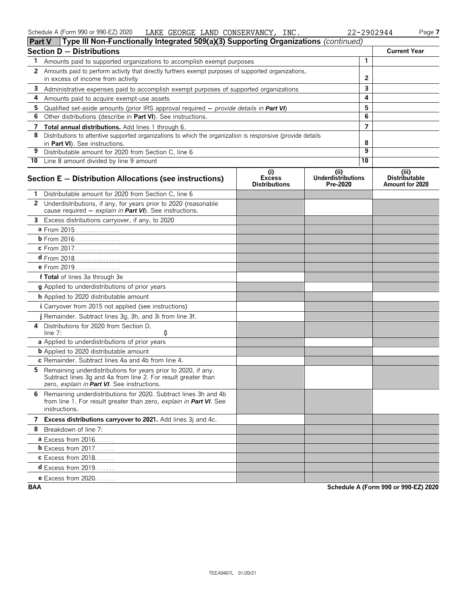| ∣ Part V<br>$\Box$ rype in Non-Functionally integrated 509(a)(3) Supporting Organizations ( <i>continued)</i>                                                                      |                                              |                                              |                |                                                  |
|------------------------------------------------------------------------------------------------------------------------------------------------------------------------------------|----------------------------------------------|----------------------------------------------|----------------|--------------------------------------------------|
| Section D - Distributions                                                                                                                                                          |                                              |                                              |                | <b>Current Year</b>                              |
| 1<br>Amounts paid to supported organizations to accomplish exempt purposes                                                                                                         |                                              |                                              | 1              |                                                  |
| 2 Amounts paid to perform activity that directly furthers exempt purposes of supported organizations,                                                                              |                                              |                                              |                |                                                  |
| in excess of income from activity                                                                                                                                                  |                                              |                                              | $\overline{2}$ |                                                  |
| 3 Administrative expenses paid to accomplish exempt purposes of supported organizations                                                                                            |                                              |                                              | 3              |                                                  |
| 4<br>Amounts paid to acquire exempt-use assets                                                                                                                                     |                                              |                                              | 4              |                                                  |
| 5<br>Qualified set-aside amounts (prior IRS approval required $-$ provide details in Part VI)                                                                                      |                                              |                                              | 5              |                                                  |
| 6.<br>Other distributions (describe in Part VI). See instructions.                                                                                                                 |                                              |                                              | 6              |                                                  |
| 7 Total annual distributions. Add lines 1 through 6.                                                                                                                               |                                              |                                              | $\overline{7}$ |                                                  |
| 8<br>Distributions to attentive supported organizations to which the organization is responsive (provide details<br>in Part VI). See instructions.                                 |                                              |                                              | 8              |                                                  |
| 9<br>Distributable amount for 2020 from Section C, line 6                                                                                                                          |                                              |                                              | 9              |                                                  |
| 10 Line 8 amount divided by line 9 amount                                                                                                                                          |                                              |                                              | 10             |                                                  |
| Section E - Distribution Allocations (see instructions)                                                                                                                            | (i)<br><b>Excess</b><br><b>Distributions</b> | (i)<br><b>Underdistributions</b><br>Pre-2020 |                | (iii)<br><b>Distributable</b><br>Amount for 2020 |
| 1 Distributable amount for 2020 from Section C, line 6                                                                                                                             |                                              |                                              |                |                                                  |
| 2 Underdistributions, if any, for years prior to 2020 (reasonable<br>cause required - explain in Part VI). See instructions.                                                       |                                              |                                              |                |                                                  |
| 3 Excess distributions carryover, if any, to 2020                                                                                                                                  |                                              |                                              |                |                                                  |
| a From 2015                                                                                                                                                                        |                                              |                                              |                |                                                  |
| <b>b</b> From 2016                                                                                                                                                                 |                                              |                                              |                |                                                  |
| c From 2017.                                                                                                                                                                       |                                              |                                              |                |                                                  |
| $d$ From 2018                                                                                                                                                                      |                                              |                                              |                |                                                  |
| e From 2019                                                                                                                                                                        |                                              |                                              |                |                                                  |
| f Total of lines 3a through 3e                                                                                                                                                     |                                              |                                              |                |                                                  |
| g Applied to underdistributions of prior years                                                                                                                                     |                                              |                                              |                |                                                  |
| h Applied to 2020 distributable amount                                                                                                                                             |                                              |                                              |                |                                                  |
| <i>i</i> Carryover from 2015 not applied (see instructions)                                                                                                                        |                                              |                                              |                |                                                  |
| j Remainder. Subtract lines 3g, 3h, and 3i from line 3f.                                                                                                                           |                                              |                                              |                |                                                  |
| Distributions for 2020 from Section D.<br>4<br>\$<br>line 7:                                                                                                                       |                                              |                                              |                |                                                  |
| a Applied to underdistributions of prior years                                                                                                                                     |                                              |                                              |                |                                                  |
| <b>b</b> Applied to 2020 distributable amount                                                                                                                                      |                                              |                                              |                |                                                  |
| c Remainder. Subtract lines 4a and 4b from line 4.                                                                                                                                 |                                              |                                              |                |                                                  |
| Remaining underdistributions for years prior to 2020, if any.<br>5<br>Subtract lines 3g and 4a from line 2. For result greater than<br>zero, explain in Part VI. See instructions. |                                              |                                              |                |                                                  |
| 6 Remaining underdistributions for 2020. Subtract lines 3h and 4b<br>from line 1. For result greater than zero, explain in Part VI. See<br>instructions.                           |                                              |                                              |                |                                                  |
| 7 Excess distributions carryover to 2021. Add lines 3j and 4c.                                                                                                                     |                                              |                                              |                |                                                  |
| Breakdown of line 7:<br>8                                                                                                                                                          |                                              |                                              |                |                                                  |
| <b>a</b> Excess from $2016$                                                                                                                                                        |                                              |                                              |                |                                                  |
| <b>b</b> Excess from 2017.                                                                                                                                                         |                                              |                                              |                |                                                  |
| $c$ Excess from 2018                                                                                                                                                               |                                              |                                              |                |                                                  |
| $d$ Excess from 2019                                                                                                                                                               |                                              |                                              |                |                                                  |
| <b>e</b> Excess from 2020.                                                                                                                                                         |                                              |                                              |                |                                                  |

**BAA Schedule A (Form 990 or 990-EZ) 2020**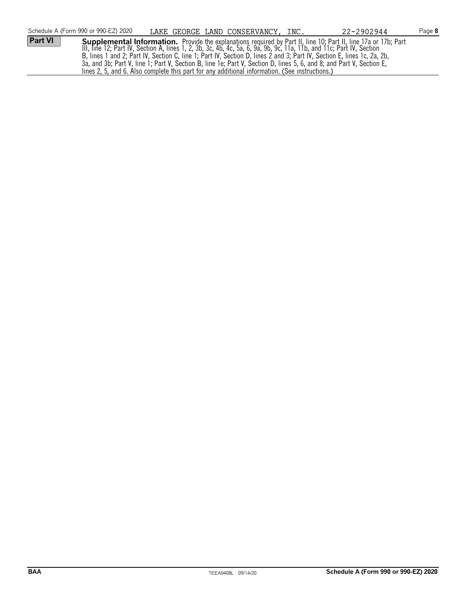|                | Schedule A (Form 990 or 990-EZ) 2020                                                           |  | LAKE GEORGE LAND CONSERVANCY, INC. | 22-2902944                                                                                                             | Page 8 |
|----------------|------------------------------------------------------------------------------------------------|--|------------------------------------|------------------------------------------------------------------------------------------------------------------------|--------|
| <b>Part VI</b> |                                                                                                |  |                                    | Supplemental Information. Provide the explanations required by Part II, line 10; Part II, line 17a or 17b; Part        |        |
|                |                                                                                                |  |                                    | III, line 12; Part IV, Section A, lines 1, 2, 3b, 3c, 4b, 4c, 5a, 6, 9a, 9b, 9c, 11a, 11b, and 11c; Part IV, Section   |        |
|                |                                                                                                |  |                                    | B, lines 1 and 2; Part IV, Section C, line 1; Part IV, Section D, lines 2 and 3; Part IV, Section E, lines 1c, 2a, 2b, |        |
|                |                                                                                                |  |                                    | 3a, and 3b; Part V, line 1; Part V, Section B, line 1e; Part V, Section D, lines 5, 6, and 8; and Part V, Section E,   |        |
|                | lines 2, 5, and 6. Also complete this part for any additional information. (See instructions.) |  |                                    |                                                                                                                        |        |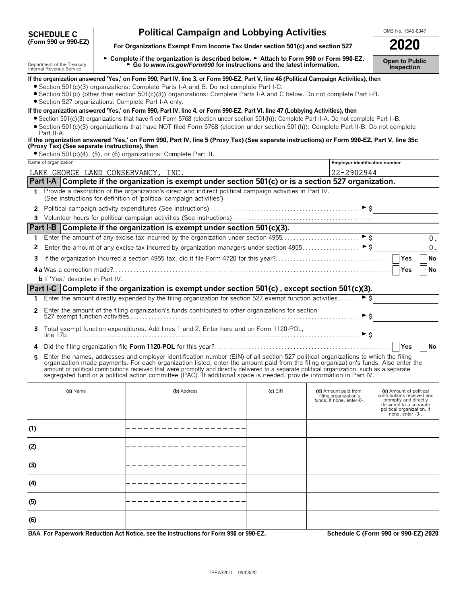| <b>SCHEDULE C</b>    |  |  |  |
|----------------------|--|--|--|
| (Form 990 or 990-EZ) |  |  |  |

# **Political Campaign and Lobbying Activities**  $\frac{\text{OMB No. 1545-0047}}{2020}$

For Organizations Exempt From Income Tax Under section 501(c) and section 527

Department of the Treasury report of the **Complete if the organization is described below. ► Attach to Form 990 or Form 990-EZ. pen to Public<br>Internal Revenue Service reader of the Service report of the Uniternal Revenue** 

| • Section 527 organizations: Complete Part I-A only.                                                                                                                                                                                                                                                                                                                                                                                                                                                                                                      | If the organization answered 'Yes,' on Form 990, Part IV, line 3, or Form 990-EZ, Part V, line 46 (Political Campaign Activities), then<br>• Section 501(c)(3) organizations: Complete Parts I-A and B. Do not complete Part I-C.<br>• Section 501(c) (other than section 501(c)(3)) organizations: Complete Parts I-A and C below. Do not complete Part I-B. |           |                                                                            |                                                                                                                                                             |  |
|-----------------------------------------------------------------------------------------------------------------------------------------------------------------------------------------------------------------------------------------------------------------------------------------------------------------------------------------------------------------------------------------------------------------------------------------------------------------------------------------------------------------------------------------------------------|---------------------------------------------------------------------------------------------------------------------------------------------------------------------------------------------------------------------------------------------------------------------------------------------------------------------------------------------------------------|-----------|----------------------------------------------------------------------------|-------------------------------------------------------------------------------------------------------------------------------------------------------------|--|
|                                                                                                                                                                                                                                                                                                                                                                                                                                                                                                                                                           | If the organization answered 'Yes,' on Form 990, Part IV, line 4, or Form 990-EZ, Part VI, line 47 (Lobbying Activities), then                                                                                                                                                                                                                                |           |                                                                            |                                                                                                                                                             |  |
|                                                                                                                                                                                                                                                                                                                                                                                                                                                                                                                                                           | • Section 501(c)(3) organizations that have filed Form 5768 (election under section 501(h)): Complete Part II-A. Do not complete Part II-B.                                                                                                                                                                                                                   |           |                                                                            |                                                                                                                                                             |  |
| Part II-A.                                                                                                                                                                                                                                                                                                                                                                                                                                                                                                                                                | Section 501(c)(3) organizations that have NOT filed Form 5768 (election under section 501(h)): Complete Part II-B. Do not complete                                                                                                                                                                                                                            |           |                                                                            |                                                                                                                                                             |  |
| (Proxy Tax) (See separate instructions), then<br>• Section 501(c)(4), (5), or (6) organizations: Complete Part III.                                                                                                                                                                                                                                                                                                                                                                                                                                       | If the organization answered 'Yes,' on Form 990, Part IV, line 5 (Proxy Tax) (See separate instructions) or Form 990-EZ, Part V, line 35c                                                                                                                                                                                                                     |           |                                                                            |                                                                                                                                                             |  |
| Name of organization                                                                                                                                                                                                                                                                                                                                                                                                                                                                                                                                      |                                                                                                                                                                                                                                                                                                                                                               |           | <b>Employer identification number</b>                                      |                                                                                                                                                             |  |
|                                                                                                                                                                                                                                                                                                                                                                                                                                                                                                                                                           |                                                                                                                                                                                                                                                                                                                                                               |           |                                                                            |                                                                                                                                                             |  |
| LAKE GEORGE LAND CONSERVANCY, INC.                                                                                                                                                                                                                                                                                                                                                                                                                                                                                                                        | Part I-A Complete if the organization is exempt under section 501(c) or is a section 527 organization.                                                                                                                                                                                                                                                        |           | 22-2902944                                                                 |                                                                                                                                                             |  |
|                                                                                                                                                                                                                                                                                                                                                                                                                                                                                                                                                           |                                                                                                                                                                                                                                                                                                                                                               |           |                                                                            |                                                                                                                                                             |  |
|                                                                                                                                                                                                                                                                                                                                                                                                                                                                                                                                                           | 1 Provide a description of the organization's direct and indirect political campaign activities in Part IV.<br>(See instructions for definition of 'political campaign activities')                                                                                                                                                                           |           |                                                                            |                                                                                                                                                             |  |
| $\overline{2}$                                                                                                                                                                                                                                                                                                                                                                                                                                                                                                                                            |                                                                                                                                                                                                                                                                                                                                                               |           |                                                                            |                                                                                                                                                             |  |
|                                                                                                                                                                                                                                                                                                                                                                                                                                                                                                                                                           |                                                                                                                                                                                                                                                                                                                                                               |           |                                                                            |                                                                                                                                                             |  |
|                                                                                                                                                                                                                                                                                                                                                                                                                                                                                                                                                           | Part I-B Complete if the organization is exempt under section 501(c)(3).                                                                                                                                                                                                                                                                                      |           |                                                                            |                                                                                                                                                             |  |
| 1.                                                                                                                                                                                                                                                                                                                                                                                                                                                                                                                                                        | Enter the amount of any excise tax incurred by the organization under section 4955                                                                                                                                                                                                                                                                            |           | $\triangleright$ \$                                                        | 0.                                                                                                                                                          |  |
| 2                                                                                                                                                                                                                                                                                                                                                                                                                                                                                                                                                         | Enter the amount of any excise tax incurred by organization managers under section 4955. ▶ \$                                                                                                                                                                                                                                                                 |           |                                                                            | 0.                                                                                                                                                          |  |
| 3                                                                                                                                                                                                                                                                                                                                                                                                                                                                                                                                                         |                                                                                                                                                                                                                                                                                                                                                               |           |                                                                            | Yes<br>No                                                                                                                                                   |  |
|                                                                                                                                                                                                                                                                                                                                                                                                                                                                                                                                                           |                                                                                                                                                                                                                                                                                                                                                               |           |                                                                            | Yes<br><b>No</b>                                                                                                                                            |  |
| <b>b</b> If 'Yes,' describe in Part IV.                                                                                                                                                                                                                                                                                                                                                                                                                                                                                                                   |                                                                                                                                                                                                                                                                                                                                                               |           |                                                                            |                                                                                                                                                             |  |
|                                                                                                                                                                                                                                                                                                                                                                                                                                                                                                                                                           | Part I-C Complete if the organization is exempt under section 501(c), except section 501(c)(3).                                                                                                                                                                                                                                                               |           |                                                                            |                                                                                                                                                             |  |
|                                                                                                                                                                                                                                                                                                                                                                                                                                                                                                                                                           | Enter the amount directly expended by the filing organization for section 527 exempt function activities                                                                                                                                                                                                                                                      |           | $\triangleright$ \$                                                        |                                                                                                                                                             |  |
| 2                                                                                                                                                                                                                                                                                                                                                                                                                                                                                                                                                         | Enter the amount of the filing organization's funds contributed to other organizations for section                                                                                                                                                                                                                                                            |           | ► \$                                                                       |                                                                                                                                                             |  |
| 3                                                                                                                                                                                                                                                                                                                                                                                                                                                                                                                                                         | Total exempt function expenditures. Add lines 1 and 2. Enter here and on Form 1120-POL,                                                                                                                                                                                                                                                                       |           |                                                                            |                                                                                                                                                             |  |
| 4                                                                                                                                                                                                                                                                                                                                                                                                                                                                                                                                                         |                                                                                                                                                                                                                                                                                                                                                               |           |                                                                            | Yes<br><b>No</b>                                                                                                                                            |  |
| Enter the names, addresses and employer identification number (EIN) of all section 527 political organizations to which the filing<br>5<br>organization made payments. For each organization listed, enter the amount paid from the filing organization's funds. Also enter the<br>amount of political contributions received that were promptly and directly delivered to a separate political organization, such as a separate<br>segregated fund or a political action committee (PAC). If additional space is needed, provide information in Part IV. |                                                                                                                                                                                                                                                                                                                                                               |           |                                                                            |                                                                                                                                                             |  |
| (a) Name                                                                                                                                                                                                                                                                                                                                                                                                                                                                                                                                                  | (b) Address                                                                                                                                                                                                                                                                                                                                                   | $(c)$ EIN | (d) Amount paid from<br>filing organization's<br>funds. If none, enter-0-. | (e) Amount of political<br>contributions received and<br>promptly and directly<br>delivered to a separate<br>political organization. If<br>none, enter -0-. |  |
| (1)                                                                                                                                                                                                                                                                                                                                                                                                                                                                                                                                                       |                                                                                                                                                                                                                                                                                                                                                               |           |                                                                            |                                                                                                                                                             |  |
| (2)                                                                                                                                                                                                                                                                                                                                                                                                                                                                                                                                                       |                                                                                                                                                                                                                                                                                                                                                               |           |                                                                            |                                                                                                                                                             |  |

**BAA For Paperwork Reduction Act Notice, see the Instructions for Form 990 or 990-EZ. Schedule C (Form 990 or 990-EZ) 2020**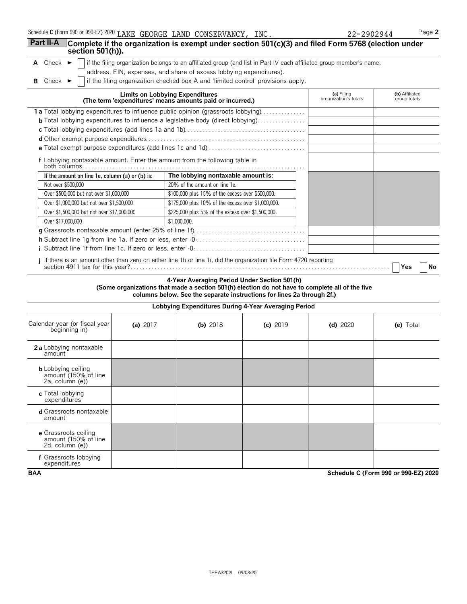| , nnnr<br>200<br>or 990-E7<br>Schedule<br>C (Form<br>, ZUZU<br>ັນນາ ດາ<br>LAIV | GEORGE<br>.AKF<br>. . | .ANF | CONSERVANCY. | INC | 7944.<br>'ur | $P$ ade. |
|--------------------------------------------------------------------------------|-----------------------|------|--------------|-----|--------------|----------|
|--------------------------------------------------------------------------------|-----------------------|------|--------------|-----|--------------|----------|

| 102944 | Ρa |
|--------|----|
|--------|----|

| <b>Part II-A</b><br>section 501(h)).                                                                                |                                        | Complete if the organization is exempt under section 501(c)(3) and filed Form 5768 (election under                                                                                                                        |            |                                     |                                |
|---------------------------------------------------------------------------------------------------------------------|----------------------------------------|---------------------------------------------------------------------------------------------------------------------------------------------------------------------------------------------------------------------------|------------|-------------------------------------|--------------------------------|
| A Check $\blacktriangleright$                                                                                       |                                        | if the filing organization belongs to an affiliated group (and list in Part IV each affiliated group member's name,                                                                                                       |            |                                     |                                |
|                                                                                                                     |                                        | address, EIN, expenses, and share of excess lobbying expenditures).                                                                                                                                                       |            |                                     |                                |
| Check $\blacktriangleright$<br>в                                                                                    |                                        | if the filing organization checked box A and 'limited control' provisions apply.                                                                                                                                          |            |                                     |                                |
|                                                                                                                     | <b>Limits on Lobbying Expenditures</b> | (The term 'expenditures' means amounts paid or incurred.)                                                                                                                                                                 |            | (a) Filing<br>organization's totals | (b) Affiliated<br>group totals |
| 1a Total lobbying expenditures to influence public opinion (grassroots lobbying)                                    |                                        |                                                                                                                                                                                                                           |            |                                     |                                |
| <b>b</b> Total lobbying expenditures to influence a legislative body (direct lobbying).                             |                                        |                                                                                                                                                                                                                           |            |                                     |                                |
|                                                                                                                     |                                        |                                                                                                                                                                                                                           |            |                                     |                                |
|                                                                                                                     |                                        |                                                                                                                                                                                                                           |            |                                     |                                |
|                                                                                                                     |                                        |                                                                                                                                                                                                                           |            |                                     |                                |
| f Lobbying nontaxable amount. Enter the amount from the following table in                                          |                                        |                                                                                                                                                                                                                           |            |                                     |                                |
| If the amount on line 1e, column (a) or (b) is:                                                                     |                                        | The lobbying nontaxable amount is:                                                                                                                                                                                        |            |                                     |                                |
| Not over \$500,000                                                                                                  |                                        | 20% of the amount on line 1e.                                                                                                                                                                                             |            |                                     |                                |
| Over \$500,000 but not over \$1,000,000                                                                             |                                        | \$100,000 plus 15% of the excess over \$500,000.                                                                                                                                                                          |            |                                     |                                |
| Over \$1,000,000 but not over \$1,500,000                                                                           |                                        | \$175,000 plus 10% of the excess over \$1,000,000.                                                                                                                                                                        |            |                                     |                                |
| Over \$1,500,000 but not over \$17,000,000                                                                          |                                        | \$225,000 plus 5% of the excess over \$1,500,000.                                                                                                                                                                         |            |                                     |                                |
| Over \$17,000,000                                                                                                   |                                        | \$1,000,000.                                                                                                                                                                                                              |            |                                     |                                |
|                                                                                                                     |                                        |                                                                                                                                                                                                                           |            |                                     |                                |
|                                                                                                                     |                                        |                                                                                                                                                                                                                           |            |                                     |                                |
|                                                                                                                     |                                        |                                                                                                                                                                                                                           |            |                                     |                                |
| i If there is an amount other than zero on either line 1h or line 1i, did the organization file Form 4720 reporting |                                        |                                                                                                                                                                                                                           |            |                                     | <b>Yes</b><br>No               |
|                                                                                                                     |                                        | 4-Year Averaging Period Under Section 501(h)<br>(Some organizations that made a section 501(h) election do not have to complete all of the five<br>columns below. See the separate instructions for lines 2a through 2f.) |            |                                     |                                |
|                                                                                                                     |                                        | Lobbying Expenditures During 4-Year Averaging Period                                                                                                                                                                      |            |                                     |                                |
| Calendar year (or fiscal year<br>beginning in)                                                                      | (a) $2017$                             | (b) $2018$                                                                                                                                                                                                                | $(c)$ 2019 | $(d)$ 2020                          | (e) Total                      |
| 2a Lobbying nontaxable                                                                                              |                                        |                                                                                                                                                                                                                           |            |                                     |                                |

| 2a Lobbying nontaxable<br>amount                                     |  |  |  |
|----------------------------------------------------------------------|--|--|--|
| <b>b</b> Lobbying ceiling<br>amount (150% of line<br>2a, column (e)) |  |  |  |
| c Total lobbying<br>expenditures                                     |  |  |  |
| d Grassroots nontaxable<br>amount                                    |  |  |  |
| e Grassroots ceiling<br>amount (150% of line<br>2d, column (e))      |  |  |  |
|                                                                      |  |  |  |

**f** Grassroots lobbying expenditures

**BAA Schedule C (Form 990 or 990-EZ) 2020**

 $\mathcal{L}_{\mathcal{A}}$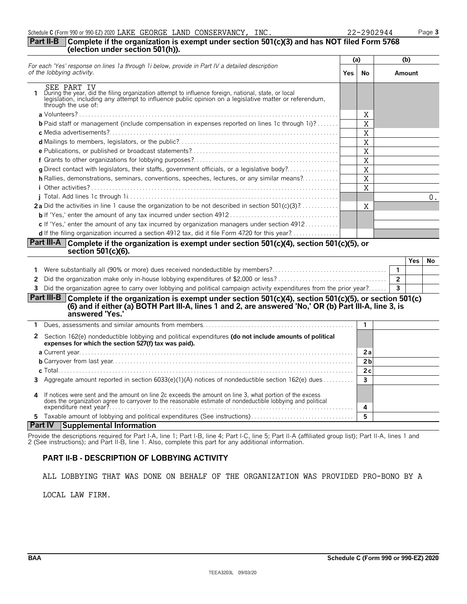### **Part II-B Complete if the organization is exempt under section 501(c)(3) and has NOT filed Form 5768 (election under section 501(h)).**

|                                                                                                                                                                                                                                                        |      | (a)          |  | (b)            |       |
|--------------------------------------------------------------------------------------------------------------------------------------------------------------------------------------------------------------------------------------------------------|------|--------------|--|----------------|-------|
| For each 'Yes' response on lines 1a through 1i below, provide in Part IV a detailed description<br>of the lobbying activity.                                                                                                                           | Yes. | No           |  | Amount         |       |
| SEE PART IV<br>During the year, did the filing organization attempt to influence foreign, national, state, or local<br>legislation, including any attempt to influence public opinion on a legislative matter or referendum,<br>through the use of:    |      |              |  |                |       |
| a Volunteers?.                                                                                                                                                                                                                                         |      | Χ            |  |                |       |
| <b>b</b> Paid staff or management (include compensation in expenses reported on lines 1c through 1i)?                                                                                                                                                  |      | Χ            |  |                |       |
|                                                                                                                                                                                                                                                        |      | Χ            |  |                |       |
|                                                                                                                                                                                                                                                        |      | Χ            |  |                |       |
|                                                                                                                                                                                                                                                        |      | Χ            |  |                |       |
|                                                                                                                                                                                                                                                        |      | X            |  |                |       |
|                                                                                                                                                                                                                                                        |      | X            |  |                |       |
| h Rallies, demonstrations, seminars, conventions, speeches, lectures, or any similar means?                                                                                                                                                            |      | Χ            |  |                |       |
| <i>i</i> Other activities?.                                                                                                                                                                                                                            |      | Χ            |  |                |       |
|                                                                                                                                                                                                                                                        |      |              |  |                | $0$ . |
| <b>2a</b> Did the activities in line 1 cause the organization to be not described in section $501(c)(3)$ ?                                                                                                                                             |      | X            |  |                |       |
|                                                                                                                                                                                                                                                        |      |              |  |                |       |
| c If 'Yes,' enter the amount of any tax incurred by organization managers under section $4912$                                                                                                                                                         |      |              |  |                |       |
| <b>d</b> If the filing organization incurred a section 4912 tax, did it file Form 4720 for this year?                                                                                                                                                  |      |              |  |                |       |
| Part III-A Complete if the organization is exempt under section 501(c)(4), section 501(c)(5), or<br>section 501(c)(6).                                                                                                                                 |      |              |  |                |       |
|                                                                                                                                                                                                                                                        |      |              |  | <b>Yes</b>     | No    |
|                                                                                                                                                                                                                                                        |      |              |  | $\mathbf{1}$   |       |
| 2                                                                                                                                                                                                                                                      |      |              |  | $\overline{2}$ |       |
| Did the organization agree to carry over lobbying and political campaign activity expenditures from the prior year?<br>3                                                                                                                               |      |              |  | $\mathbf{3}$   |       |
| <b>Part III-B</b><br>Complete if the organization is exempt under section 501(c)(4), section 501(c)(5), or section 501(c)<br>(6) and if either (a) BOTH Part III-A, lines 1 and 2, are answered 'No,' OR (b) Part III-A, line 3, is<br>answered 'Yes.' |      |              |  |                |       |
| 1.                                                                                                                                                                                                                                                     |      | $\mathbf{1}$ |  |                |       |
|                                                                                                                                                                                                                                                        |      |              |  |                |       |

| 2  | Section 162(e) nondeductible lobbying and political expenditures (do not include amounts of political<br>expenses for which the section 527(f) tax was paid).                                                                                      |                |  |
|----|----------------------------------------------------------------------------------------------------------------------------------------------------------------------------------------------------------------------------------------------------|----------------|--|
|    |                                                                                                                                                                                                                                                    | 2a             |  |
|    |                                                                                                                                                                                                                                                    | 2 <sub>b</sub> |  |
|    |                                                                                                                                                                                                                                                    | 2c             |  |
|    | 3 Aggregate amount reported in section 6033(e)(1)(A) notices of nondeductible section 162(e) dues                                                                                                                                                  |                |  |
|    | 4 If notices were sent and the amount on line 2c exceeds the amount on line 3, what portion of the excess<br>does the organization agree to carryover to the reasonable estimate of nondeductible lobbying and political<br>expenditure next year? |                |  |
| 5. |                                                                                                                                                                                                                                                    |                |  |
|    | Part IV Supplemental Information                                                                                                                                                                                                                   |                |  |

# **Part IV Supplemental Information**

Provide the descriptions required for Part I-A, line 1; Part I-B, line 4; Part I-C, line 5; Part II-A (affiliated group list); Part II-A, lines 1 and 2 (See instructions); and Part II-B, line 1. Also, complete this part for any additional information.

# **PART II-B - DESCRIPTION OF LOBBYING ACTIVITY**

ALL LOBBYING THAT WAS DONE ON BEHALF OF THE ORGANIZATION WAS PROVIDED PRO-BONO BY A

LOCAL LAW FIRM.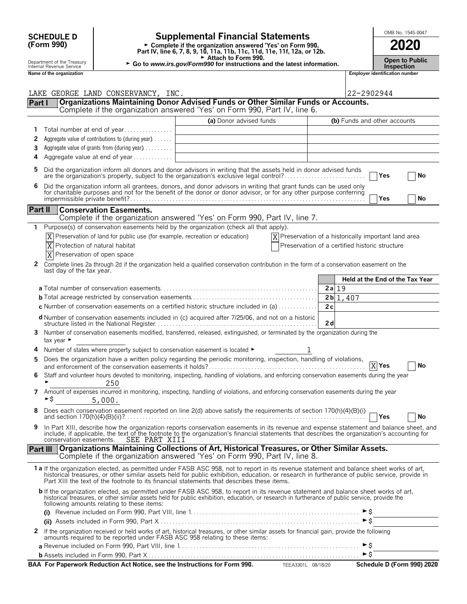| <b>SCHEDULE D</b> |  |
|-------------------|--|
| (Form 990)        |  |

# **SCHEDULE D**  $\begin{bmatrix} 0 \end{bmatrix}$  **Supplemental Financial Statements**  $\begin{bmatrix} 0 \end{bmatrix}$   $\begin{bmatrix} 0 \end{bmatrix}$   $\begin{bmatrix} 0 \end{bmatrix}$

**Part IV, line 6, 7, 8, 9, 10, 11a, 11b, 11c, 11d, 11e, 11f, 12a, or 12b.**<br>
Part IV, line 6, 7, 8, 9, 10, 11a, 11b, 11c, 11d, 11e, 11f, 12a, or 12b.

Attach to Form 990.

► Go to *www.irs.gov/Form990* for instructions and the latest information. Depen to Public<br>Inspection

|          | Department of the Treasury<br>Internal Revenue Service |                                                                               | Attach to Form 990.<br>► Go to www.irs.gov/Form990 for instructions and the latest information.                                                                                                                                                                                                                                                                                        |                                                                   |          |                                       | <b>Open to Public</b><br><b>Inspection</b> |
|----------|--------------------------------------------------------|-------------------------------------------------------------------------------|----------------------------------------------------------------------------------------------------------------------------------------------------------------------------------------------------------------------------------------------------------------------------------------------------------------------------------------------------------------------------------------|-------------------------------------------------------------------|----------|---------------------------------------|--------------------------------------------|
|          | Name of the organization                               |                                                                               |                                                                                                                                                                                                                                                                                                                                                                                        |                                                                   |          | <b>Employer identification number</b> |                                            |
|          |                                                        |                                                                               |                                                                                                                                                                                                                                                                                                                                                                                        |                                                                   |          |                                       |                                            |
|          |                                                        | LAKE GEORGE LAND CONSERVANCY, INC.                                            |                                                                                                                                                                                                                                                                                                                                                                                        |                                                                   |          | 22-2902944                            |                                            |
| Part I   |                                                        |                                                                               | Organizations Maintaining Donor Advised Funds or Other Similar Funds or Accounts.<br>Complete if the organization answered 'Yes' on Form 990, Part IV, line 6.                                                                                                                                                                                                                         |                                                                   |          |                                       |                                            |
|          |                                                        |                                                                               |                                                                                                                                                                                                                                                                                                                                                                                        |                                                                   |          |                                       |                                            |
| 1        |                                                        | Total number at end of year                                                   | (a) Donor advised funds                                                                                                                                                                                                                                                                                                                                                                |                                                                   |          | (b) Funds and other accounts          |                                            |
| 2        |                                                        | Aggregate value of contributions to (during year)                             |                                                                                                                                                                                                                                                                                                                                                                                        |                                                                   |          |                                       |                                            |
| 3        |                                                        | Aggregate value of grants from (during year)                                  |                                                                                                                                                                                                                                                                                                                                                                                        |                                                                   |          |                                       |                                            |
| 4        |                                                        | Aggregate value at end of year                                                |                                                                                                                                                                                                                                                                                                                                                                                        |                                                                   |          |                                       |                                            |
| 5        |                                                        |                                                                               | Did the organization inform all donors and donor advisors in writing that the assets held in donor advised funds<br>are the organization's property, subject to the organization's exclusive legal control?                                                                                                                                                                            |                                                                   |          | Yes                                   | No                                         |
| 6        |                                                        |                                                                               | Did the organization inform all grantees, donors, and donor advisors in writing that grant funds can be used only for charitable purposes and not for the benefit of the donor or donor advisor, or for any other purpose conf                                                                                                                                                         |                                                                   |          |                                       |                                            |
|          |                                                        |                                                                               |                                                                                                                                                                                                                                                                                                                                                                                        |                                                                   |          | Yes                                   | No                                         |
| Part II  |                                                        | <b>Conservation Easements.</b>                                                |                                                                                                                                                                                                                                                                                                                                                                                        |                                                                   |          |                                       |                                            |
|          |                                                        |                                                                               | Complete if the organization answered 'Yes' on Form 990, Part IV, line 7.                                                                                                                                                                                                                                                                                                              |                                                                   |          |                                       |                                            |
| 1.       |                                                        |                                                                               | Purpose(s) of conservation easements held by the organization (check all that apply).                                                                                                                                                                                                                                                                                                  |                                                                   |          |                                       |                                            |
|          |                                                        | Preservation of land for public use (for example, recreation or education)    |                                                                                                                                                                                                                                                                                                                                                                                        | $\overline{X}$ Preservation of a historically important land area |          |                                       |                                            |
|          |                                                        | Protection of natural habitat                                                 |                                                                                                                                                                                                                                                                                                                                                                                        | Preservation of a certified historic structure                    |          |                                       |                                            |
|          |                                                        | Preservation of open space                                                    |                                                                                                                                                                                                                                                                                                                                                                                        |                                                                   |          |                                       |                                            |
| 2        | last day of the tax year.                              |                                                                               | Complete lines 2a through 2d if the organization held a qualified conservation contribution in the form of a conservation easement on the                                                                                                                                                                                                                                              |                                                                   |          |                                       |                                            |
|          |                                                        |                                                                               |                                                                                                                                                                                                                                                                                                                                                                                        |                                                                   |          | Held at the End of the Tax Year       |                                            |
|          |                                                        |                                                                               |                                                                                                                                                                                                                                                                                                                                                                                        |                                                                   | $2a$ 19  |                                       |                                            |
|          |                                                        |                                                                               |                                                                                                                                                                                                                                                                                                                                                                                        |                                                                   | 2b 1,407 |                                       |                                            |
|          |                                                        |                                                                               | c Number of conservation easements on a certified historic structure included in (a)                                                                                                                                                                                                                                                                                                   |                                                                   | 2c       |                                       |                                            |
|          |                                                        |                                                                               | <b>d</b> Number of conservation easements included in (c) acquired after 7/25/06, and not on a historic                                                                                                                                                                                                                                                                                |                                                                   | 2d       |                                       |                                            |
|          | tax year ►                                             |                                                                               | Number of conservation easements modified, transferred, released, extinguished, or terminated by the organization during the                                                                                                                                                                                                                                                           |                                                                   |          |                                       |                                            |
|          |                                                        | Number of states where property subject to conservation easement is located ► |                                                                                                                                                                                                                                                                                                                                                                                        |                                                                   |          |                                       |                                            |
| 5        |                                                        |                                                                               | Does the organization have a written policy regarding the periodic monitoring, inspection, handling of violations,                                                                                                                                                                                                                                                                     |                                                                   |          | $\overline{X}$ Yes                    | No                                         |
| 6        |                                                        | 250                                                                           | Staff and volunteer hours devoted to monitoring, inspecting, handling of violations, and enforcing conservation easements during the year                                                                                                                                                                                                                                              |                                                                   |          |                                       |                                            |
| 7        | 5,000.                                                 |                                                                               | Amount of expenses incurred in monitoring, inspecting, handling of violations, and enforcing conservation easements during the year                                                                                                                                                                                                                                                    |                                                                   |          |                                       |                                            |
|          |                                                        |                                                                               | Does each conservation easement reported on line 2(d) above satisfy the requirements of section 170(h)(4)(B)(i)                                                                                                                                                                                                                                                                        |                                                                   |          | Yes                                   | No                                         |
| 9        | conservation easements.                                | SEE PART XIII                                                                 | In Part XIII, describe how the organization reports conservation easements in its revenue and expense statement and balance sheet, and<br>include, if applicable, the text of the footnote to the organization's financial statements that describes the organization's accounting for                                                                                                 |                                                                   |          |                                       |                                            |
| Part III |                                                        |                                                                               | Organizations Maintaining Collections of Art, Historical Treasures, or Other Similar Assets.<br>Complete if the organization answered 'Yes' on Form 990, Part IV, line 8.                                                                                                                                                                                                              |                                                                   |          |                                       |                                            |
|          |                                                        |                                                                               | 1a If the organization elected, as permitted under FASB ASC 958, not to report in its revenue statement and balance sheet works of art,<br>historical treasures, or other similar assets held for public exhibition, education, or research in furtherance of public service, provide in<br>Part XIII the text of the footnote to its financial statements that describes these items. |                                                                   |          |                                       |                                            |
|          |                                                        | following amounts relating to these items:                                    | b If the organization elected, as permitted under FASB ASC 958, to report in its revenue statement and balance sheet works of art,<br>historical treasures, or other similar assets held for public exhibition, education, or research in furtherance of public service, provide the                                                                                                   |                                                                   |          |                                       |                                            |
|          |                                                        |                                                                               |                                                                                                                                                                                                                                                                                                                                                                                        |                                                                   |          | ► \$<br>$\triangleright$ \$           |                                            |
|          |                                                        |                                                                               |                                                                                                                                                                                                                                                                                                                                                                                        |                                                                   |          |                                       |                                            |
|          |                                                        |                                                                               | 2 If the organization received or held works of art, historical treasures, or other similar assets for financial gain, provide the following<br>amounts required to be reported under FASB ASC 958 relating to these items:                                                                                                                                                            |                                                                   |          | ►S                                    |                                            |
|          |                                                        |                                                                               |                                                                                                                                                                                                                                                                                                                                                                                        |                                                                   |          | $\triangleright$ \$                   |                                            |
|          |                                                        |                                                                               | BAA For Paperwork Reduction Act Notice, see the Instructions for Form 990. TEEA3301L 08/18/20                                                                                                                                                                                                                                                                                          |                                                                   |          |                                       | Schedule D (Form 990) 2020                 |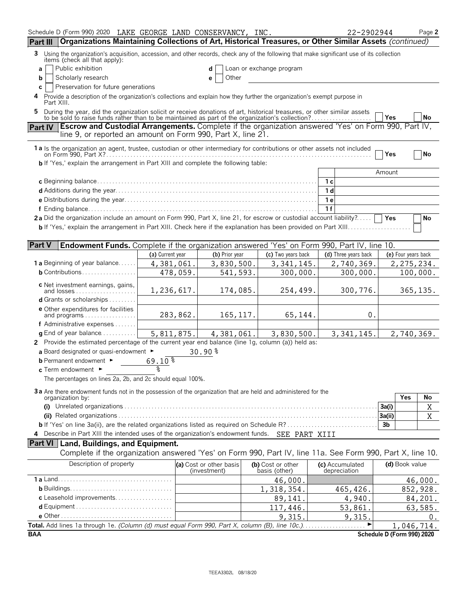| Schedule D (Form 990) 2020 LAKE GEORGE LAND CONSERVANCY, INC.                                                                                                                                                             |                  |                                         |                                    | 22-2902944                      | Page 2                     |
|---------------------------------------------------------------------------------------------------------------------------------------------------------------------------------------------------------------------------|------------------|-----------------------------------------|------------------------------------|---------------------------------|----------------------------|
| Organizations Maintaining Collections of Art, Historical Treasures, or Other Similar Assets (continued)<br>Part III                                                                                                       |                  |                                         |                                    |                                 |                            |
| 3<br>Using the organization's acquisition, accession, and other records, check any of the following that make significant use of its collection<br>items (check all that apply):                                          |                  |                                         |                                    |                                 |                            |
| Public exhibition<br>a                                                                                                                                                                                                    |                  | d                                       | Loan or exchange program           |                                 |                            |
| Scholarly research<br>b                                                                                                                                                                                                   |                  | Other<br>е                              |                                    |                                 |                            |
| Preservation for future generations<br>C<br>Provide a description of the organization's collections and explain how they further the organization's exempt purpose in<br>4                                                |                  |                                         |                                    |                                 |                            |
| Part XIII.                                                                                                                                                                                                                |                  |                                         |                                    |                                 |                            |
| During the year, did the organization solicit or receive donations of art, historical treasures, or other similar assets to be sold to raise funds rather than to be maintained as part of the organization's collection? |                  |                                         |                                    |                                 | No<br><b>Yes</b>           |
| <b>Escrow and Custodial Arrangements.</b> Complete if the organization answered 'Yes' on Form 990, Part IV,<br><b>Part IV</b>                                                                                             |                  |                                         |                                    |                                 |                            |
| line 9, or reported an amount on Form 990, Part X, line 21.                                                                                                                                                               |                  |                                         |                                    |                                 |                            |
| 1a Is the organization an agent, trustee, custodian or other intermediary for contributions or other assets not included                                                                                                  |                  |                                         |                                    |                                 | Yes<br>  No                |
| <b>b</b> If 'Yes,' explain the arrangement in Part XIII and complete the following table:                                                                                                                                 |                  |                                         |                                    |                                 |                            |
|                                                                                                                                                                                                                           |                  |                                         |                                    |                                 | Amount                     |
|                                                                                                                                                                                                                           |                  |                                         |                                    | 1 с                             |                            |
|                                                                                                                                                                                                                           |                  |                                         |                                    | 1 <sub>d</sub>                  |                            |
|                                                                                                                                                                                                                           |                  |                                         |                                    | 1е                              |                            |
|                                                                                                                                                                                                                           |                  |                                         |                                    | 1f                              |                            |
| 2a Did the organization include an amount on Form 990, Part X, line 21, for escrow or custodial account liability?                                                                                                        |                  |                                         |                                    |                                 | Yes<br>No                  |
|                                                                                                                                                                                                                           |                  |                                         |                                    |                                 |                            |
| <b>Part V</b><br><b>Endowment Funds.</b> Complete if the organization answered 'Yes' on Form 990, Part IV, line 10.                                                                                                       |                  |                                         |                                    |                                 |                            |
|                                                                                                                                                                                                                           | (a) Current year | (b) Prior year                          | (c) Two years back                 | (d) Three years back            | (e) Four years back        |
| <b>1 a</b> Beginning of year balance                                                                                                                                                                                      | 4,381,061.       | 3,830,500.                              | 3, 341, 145.                       | 2,740,369.                      | 2, 275, 234.               |
| $b$ Contributions                                                                                                                                                                                                         | 478,059.         | 541,593.                                | 300,000.                           | 300,000.                        | 100,000.                   |
|                                                                                                                                                                                                                           |                  |                                         |                                    |                                 |                            |
| c Net investment earnings, gains,<br>and losses                                                                                                                                                                           | 1,236,617.       | 174,085.                                | 254,499.                           | 300,776.                        | 365, 135.                  |
| <b>d</b> Grants or scholarships $\ldots \ldots$                                                                                                                                                                           |                  |                                         |                                    |                                 |                            |
| e Other expenditures for facilities                                                                                                                                                                                       |                  |                                         |                                    |                                 |                            |
| and programs                                                                                                                                                                                                              | 283,862.         | 165, 117.                               | 65,144.                            | 0.                              |                            |
| f Administrative expenses                                                                                                                                                                                                 |                  |                                         |                                    |                                 |                            |
| <b>g</b> End of year balance $\dots\dots\dots\dots$                                                                                                                                                                       | 5, 811, 875.     | 4,381,061.                              | 3,830,500.                         | 3,341,145.                      | 2,740,369.                 |
| 2 Provide the estimated percentage of the current year end balance (line 1g, column (a)) held as:                                                                                                                         |                  |                                         |                                    |                                 |                            |
| a Board designated or quasi-endowment $\blacktriangleright$                                                                                                                                                               |                  | $30.90*$                                |                                    |                                 |                            |
| <b>b</b> Permanent endowment ►                                                                                                                                                                                            | $69.10*$         |                                         |                                    |                                 |                            |
| c Term endowment ►                                                                                                                                                                                                        |                  |                                         |                                    |                                 |                            |
| The percentages on lines 2a, 2b, and 2c should equal 100%.                                                                                                                                                                |                  |                                         |                                    |                                 |                            |
| 3a Are there endowment funds not in the possession of the organization that are held and administered for the                                                                                                             |                  |                                         |                                    |                                 |                            |
| organization by:                                                                                                                                                                                                          |                  |                                         |                                    |                                 | Yes<br>No                  |
|                                                                                                                                                                                                                           |                  |                                         |                                    |                                 | $\mathbf X$<br>3a(i)       |
|                                                                                                                                                                                                                           |                  |                                         |                                    |                                 | X<br>3a(ii)                |
|                                                                                                                                                                                                                           |                  |                                         |                                    |                                 | 3 <sub>b</sub>             |
| 4 Describe in Part XIII the intended uses of the organization's endowment funds. SEE PART XIII                                                                                                                            |                  |                                         |                                    |                                 |                            |
| <b>Part VI</b> Land, Buildings, and Equipment.                                                                                                                                                                            |                  |                                         |                                    |                                 |                            |
| Complete if the organization answered 'Yes' on Form 990, Part IV, line 11a. See Form 990, Part X, line 10.                                                                                                                |                  |                                         |                                    |                                 |                            |
| Description of property                                                                                                                                                                                                   |                  | (a) Cost or other basis<br>(investment) | (b) Cost or other<br>basis (other) | (c) Accumulated<br>depreciation | (d) Book value             |
|                                                                                                                                                                                                                           |                  |                                         | 46,000.                            |                                 | 46,000.                    |
|                                                                                                                                                                                                                           |                  |                                         | 1,318,354.                         | 465, 426.                       | 852,928.                   |
| c Leasehold improvements                                                                                                                                                                                                  |                  |                                         | 89,141.                            | 4,940.                          | 84,201.                    |
|                                                                                                                                                                                                                           |                  |                                         | 117,446.                           | 53,861.                         | 63,585.                    |
|                                                                                                                                                                                                                           |                  |                                         | 9,315.                             | 9,315.                          | 0.                         |
| Total. Add lines 1a through 1e. (Column (d) must equal Form 990, Part X, column (B), line 10c.)                                                                                                                           |                  |                                         |                                    |                                 | 1,046,714.                 |
| <b>BAA</b>                                                                                                                                                                                                                |                  |                                         |                                    |                                 | Schedule D (Form 990) 2020 |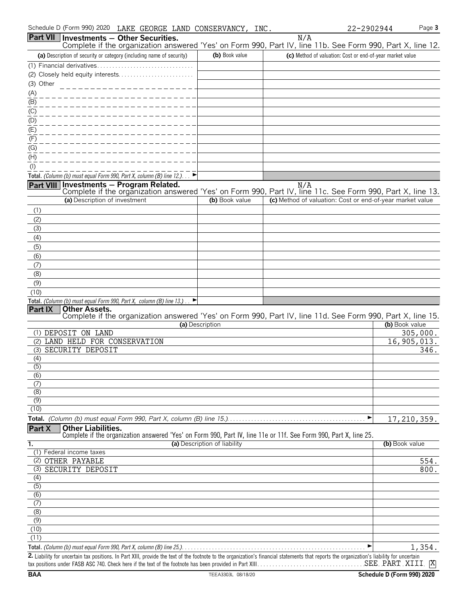| Part VII Investments - Other Securities.<br>Complete if the organization answered 'Yes' on Form 990, Part IV, line 11b. See Form 990, Part X, line 12.                                                                             |                              | N/A                                                       |                   |
|------------------------------------------------------------------------------------------------------------------------------------------------------------------------------------------------------------------------------------|------------------------------|-----------------------------------------------------------|-------------------|
| (a) Description of security or category (including name of security)                                                                                                                                                               | (b) Book value               | (c) Method of valuation: Cost or end-of-year market value |                   |
| (1) Financial derivatives                                                                                                                                                                                                          |                              |                                                           |                   |
|                                                                                                                                                                                                                                    |                              |                                                           |                   |
| (3) Other                                                                                                                                                                                                                          |                              |                                                           |                   |
|                                                                                                                                                                                                                                    |                              |                                                           |                   |
|                                                                                                                                                                                                                                    |                              |                                                           |                   |
| $\frac{(A)}{(B)}$<br>$\frac{(C)}{(C)}$                                                                                                                                                                                             |                              |                                                           |                   |
|                                                                                                                                                                                                                                    |                              |                                                           |                   |
| $\frac{1}{2}$                                                                                                                                                                                                                      |                              |                                                           |                   |
| (F)                                                                                                                                                                                                                                |                              |                                                           |                   |
| (G)                                                                                                                                                                                                                                |                              |                                                           |                   |
| (H)                                                                                                                                                                                                                                |                              |                                                           |                   |
| $($ l $)$                                                                                                                                                                                                                          |                              |                                                           |                   |
| Total. (Column (b) must equal Form 990, Part X, column (B) line 12.)                                                                                                                                                               |                              |                                                           |                   |
| <b>Investments - Program Related.</b><br><b>Part VIII</b><br>Complete if the organization answered 'Yes' on Form 990, Part IV, line 11c. See Form 990, Part X, line 13.                                                            |                              | N/A                                                       |                   |
| (a) Description of investment                                                                                                                                                                                                      | (b) Book value               | (c) Method of valuation: Cost or end-of-year market value |                   |
| (1)                                                                                                                                                                                                                                |                              |                                                           |                   |
| (2)                                                                                                                                                                                                                                |                              |                                                           |                   |
| (3)                                                                                                                                                                                                                                |                              |                                                           |                   |
| (4)                                                                                                                                                                                                                                |                              |                                                           |                   |
| (5)                                                                                                                                                                                                                                |                              |                                                           |                   |
| (6)                                                                                                                                                                                                                                |                              |                                                           |                   |
| (7)                                                                                                                                                                                                                                |                              |                                                           |                   |
| (8)                                                                                                                                                                                                                                |                              |                                                           |                   |
| (9)                                                                                                                                                                                                                                |                              |                                                           |                   |
| (10)                                                                                                                                                                                                                               |                              |                                                           |                   |
| Total. (Column (b) must equal Form 990, Part X, column (B) line 13.).<br>▶<br><b>Part IX</b><br><b>Other Assets.</b><br>Complete if the organization answered 'Yes' on Form 990, Part IV, line 11d. See Form 990, Part X, line 15. | (a) Description              |                                                           | (b) Book value    |
| (1) DEPOSIT ON LAND                                                                                                                                                                                                                |                              |                                                           | 305,000.          |
| (2) LAND HELD FOR CONSERVATION                                                                                                                                                                                                     |                              |                                                           | 16, 905, 013.     |
| (3) SECURITY DEPOSIT                                                                                                                                                                                                               |                              |                                                           | $\overline{3}46.$ |
| (4)                                                                                                                                                                                                                                |                              |                                                           |                   |
| $\overline{(5)}$                                                                                                                                                                                                                   |                              |                                                           |                   |
| (6)                                                                                                                                                                                                                                |                              |                                                           |                   |
| (7)                                                                                                                                                                                                                                |                              |                                                           |                   |
| (8)<br>(9)                                                                                                                                                                                                                         |                              |                                                           |                   |
| (10)                                                                                                                                                                                                                               |                              |                                                           |                   |
|                                                                                                                                                                                                                                    |                              | ▶                                                         |                   |
| <b>Other Liabilities.</b><br>Part X<br>Complete if the organization answered 'Yes' on Form 990, Part IV, line 11e or 11f. See Form 990, Part X, line 25.                                                                           |                              |                                                           | 17, 210, 359.     |
| 1.                                                                                                                                                                                                                                 | (a) Description of liability |                                                           | (b) Book value    |
| (1) Federal income taxes                                                                                                                                                                                                           |                              |                                                           |                   |
| (2) OTHER PAYABLE                                                                                                                                                                                                                  |                              |                                                           | 554.              |
| (3) SECURITY DEPOSIT                                                                                                                                                                                                               |                              |                                                           | 800.              |
| (4)                                                                                                                                                                                                                                |                              |                                                           |                   |
| (5)                                                                                                                                                                                                                                |                              |                                                           |                   |
| (6)                                                                                                                                                                                                                                |                              |                                                           |                   |
| (7)                                                                                                                                                                                                                                |                              |                                                           |                   |
| (8)                                                                                                                                                                                                                                |                              |                                                           |                   |
| $\overline{(9)}$                                                                                                                                                                                                                   |                              |                                                           |                   |
| (10)                                                                                                                                                                                                                               |                              |                                                           |                   |
| (11)                                                                                                                                                                                                                               |                              |                                                           |                   |
|                                                                                                                                                                                                                                    |                              |                                                           | 1,354.            |

**2.** Liability for uncertain tax positions. In Part XIII, provide the text of the footnote to the organization's financial statements that reports the organization's liability for uncertain tax positions under FASB ASC 740. Check here if the text of the footnote has been provided in Part XIII. . . . . . . . . . . . . . . . . . . . . . . . . . . . . . . . . . . . . . . . . . . . . . . . . . . . . . . . SEE PART XIIIX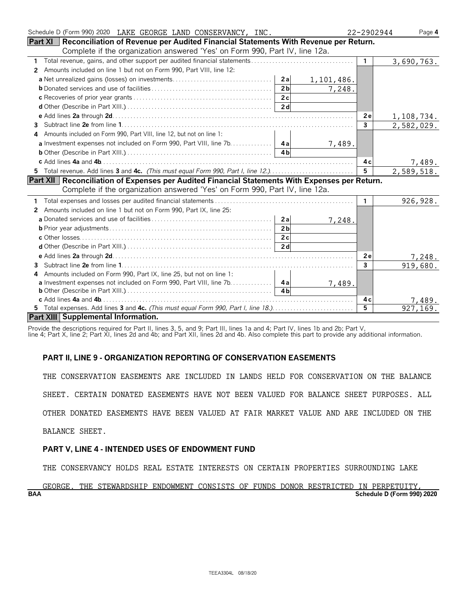| Schedule D (Form 990) 2020 LAKE GEORGE LAND CONSERVANCY, INC.                                      | 22-2902944     | Page 4     |
|----------------------------------------------------------------------------------------------------|----------------|------------|
| <b>Part XI</b> Reconciliation of Revenue per Audited Financial Statements With Revenue per Return. |                |            |
| Complete if the organization answered 'Yes' on Form 990, Part IV, line 12a.                        |                |            |
| 1                                                                                                  | $\mathbf{1}$   | 3,690,763. |
| Amounts included on line 1 but not on Form 990, Part VIII, line 12:<br>2                           |                |            |
| 1,101,486.                                                                                         |                |            |
| 2 <sub>b</sub><br>7,248.                                                                           |                |            |
|                                                                                                    |                |            |
|                                                                                                    |                |            |
|                                                                                                    | 2e             | 1,108,734. |
| 3                                                                                                  | 3              | 2,582,029. |
| Amounts included on Form 990, Part VIII, line 12, but not on line 1:                               |                |            |
| a Investment expenses not included on Form 990, Part VIII, line 7b. 4a<br>7,489.                   |                |            |
| 4 <sub>h</sub>                                                                                     |                |            |
|                                                                                                    | 4 c            | 7,489.     |
| 5 Total revenue. Add lines 3 and 4c. (This must equal Form 990, Part I, line 12.)                  | $5^{\circ}$    | 2,589,518. |
| Part XII   Reconciliation of Expenses per Audited Financial Statements With Expenses per Return.   |                |            |
| Complete if the organization answered 'Yes' on Form 990, Part IV, line 12a.                        |                |            |
|                                                                                                    | $\mathbf{1}$   | 926, 928.  |
| Amounts included on line 1 but not on Form 990, Part IX, line 25:<br>2                             |                |            |
| 7,248.                                                                                             |                |            |
| 2 <sub>b</sub>                                                                                     |                |            |
|                                                                                                    |                |            |
| 2d                                                                                                 |                |            |
|                                                                                                    | 2e             | 7,248.     |
| 3                                                                                                  | 3              | 919,680.   |
| Amounts included on Form 990, Part IX, line 25, but not on line 1:<br>4                            |                |            |
| <b>a</b> Investment expenses not included on Form 990, Part VIII, line 7b. 4a<br>7,489.            |                |            |
|                                                                                                    |                |            |
|                                                                                                    | 4 c            | 7,489.     |
|                                                                                                    | $\overline{5}$ | 927.169.   |
| Part XIII Supplemental Information.                                                                |                |            |

Provide the descriptions required for Part II, lines 3, 5, and 9; Part III, lines 1a and 4; Part IV, lines 1b and 2b; Part V,

line 4; Part X, line 2; Part XI, lines 2d and 4b; and Part XII, lines 2d and 4b. Also complete this part to provide any additional information.

#### **PART II, LINE 9 - ORGANIZATION REPORTING OF CONSERVATION EASEMENTS**

THE CONSERVATION EASEMENTS ARE INCLUDED IN LANDS HELD FOR CONSERVATION ON THE BALANCE

SHEET. CERTAIN DONATED EASEMENTS HAVE NOT BEEN VALUED FOR BALANCE SHEET PURPOSES. ALL

OTHER DONATED EASEMENTS HAVE BEEN VALUED AT FAIR MARKET VALUE AND ARE INCLUDED ON THE

BALANCE SHEET.

#### **PART V, LINE 4 - INTENDED USES OF ENDOWMENT FUND**

THE CONSERVANCY HOLDS REAL ESTATE INTERESTS ON CERTAIN PROPERTIES SURROUNDING LAKE

**BAA Schedule D (Form 990) 2020** GEORGE. THE STEWARDSHIP ENDOWMENT CONSISTS OF FUNDS DONOR RESTRICTED IN PERPETUITY,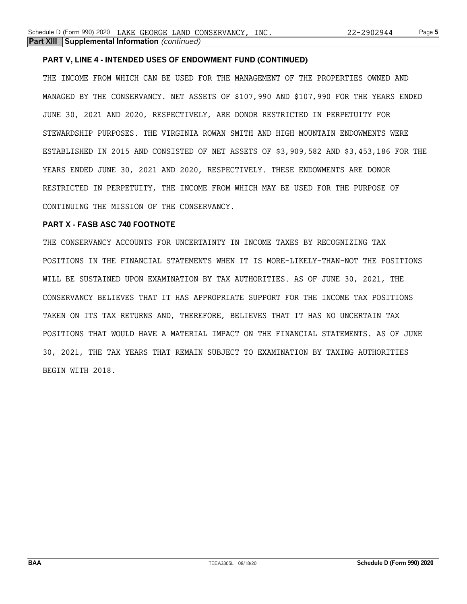#### **PART V, LINE 4 - INTENDED USES OF ENDOWMENT FUND (CONTINUED)**

THE INCOME FROM WHICH CAN BE USED FOR THE MANAGEMENT OF THE PROPERTIES OWNED AND MANAGED BY THE CONSERVANCY. NET ASSETS OF \$107,990 AND \$107,990 FOR THE YEARS ENDED JUNE 30, 2021 AND 2020, RESPECTIVELY, ARE DONOR RESTRICTED IN PERPETUITY FOR STEWARDSHIP PURPOSES. THE VIRGINIA ROWAN SMITH AND HIGH MOUNTAIN ENDOWMENTS WERE ESTABLISHED IN 2015 AND CONSISTED OF NET ASSETS OF \$3,909,582 AND \$3,453,186 FOR THE YEARS ENDED JUNE 30, 2021 AND 2020, RESPECTIVELY. THESE ENDOWMENTS ARE DONOR RESTRICTED IN PERPETUITY, THE INCOME FROM WHICH MAY BE USED FOR THE PURPOSE OF CONTINUING THE MISSION OF THE CONSERVANCY.

#### **PART X - FASB ASC 740 FOOTNOTE**

THE CONSERVANCY ACCOUNTS FOR UNCERTAINTY IN INCOME TAXES BY RECOGNIZING TAX POSITIONS IN THE FINANCIAL STATEMENTS WHEN IT IS MORE-LIKELY-THAN-NOT THE POSITIONS WILL BE SUSTAINED UPON EXAMINATION BY TAX AUTHORITIES. AS OF JUNE 30, 2021, THE CONSERVANCY BELIEVES THAT IT HAS APPROPRIATE SUPPORT FOR THE INCOME TAX POSITIONS TAKEN ON ITS TAX RETURNS AND, THEREFORE, BELIEVES THAT IT HAS NO UNCERTAIN TAX POSITIONS THAT WOULD HAVE A MATERIAL IMPACT ON THE FINANCIAL STATEMENTS. AS OF JUNE 30, 2021, THE TAX YEARS THAT REMAIN SUBJECT TO EXAMINATION BY TAXING AUTHORITIES BEGIN WITH 2018.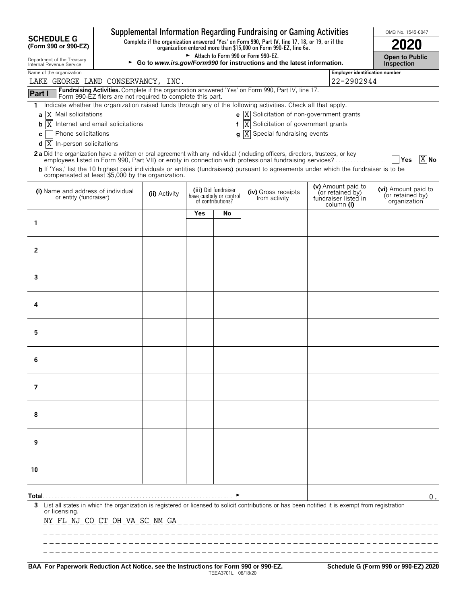|                                                                  |                                                                                                 |                                     |     |                                                                      | Supplemental Information Regarding Fundraising or Gaming Activities                                                                              |                                                                              | OMB No. 1545-0047                                       |
|------------------------------------------------------------------|-------------------------------------------------------------------------------------------------|-------------------------------------|-----|----------------------------------------------------------------------|--------------------------------------------------------------------------------------------------------------------------------------------------|------------------------------------------------------------------------------|---------------------------------------------------------|
| <b>SCHEDULE G</b><br>(Form 990 or 990-EZ)                        | Complete if the organization answered 'Yes' on Form 990, Part IV, line 17, 18, or 19, or if the |                                     |     |                                                                      |                                                                                                                                                  |                                                                              |                                                         |
| Department of the Treasury<br>Internal Revenue Service           | ► Go to www.irs.gov/Form990 for instructions and the latest information.                        | Open to Public<br><b>Inspection</b> |     |                                                                      |                                                                                                                                                  |                                                                              |                                                         |
| Name of the organization                                         |                                                                                                 | Employer identification number      |     |                                                                      |                                                                                                                                                  |                                                                              |                                                         |
| LAKE GEORGE LAND CONSERVANCY, INC.                               |                                                                                                 |                                     |     |                                                                      |                                                                                                                                                  | 22-2902944                                                                   |                                                         |
| Part I                                                           | Form 990-EZ filers are not required to complete this part.                                      |                                     |     |                                                                      | Fundraising Activities. Complete if the organization answered 'Yes' on Form 990, Part IV, line 17.                                               |                                                                              |                                                         |
| 1.                                                               |                                                                                                 |                                     |     |                                                                      | Indicate whether the organization raised funds through any of the following activities. Check all that apply.                                    |                                                                              |                                                         |
| X Mail solicitations<br>а                                        |                                                                                                 |                                     |     |                                                                      | <b>e</b> $\overline{X}$ Solicitation of non-government grants                                                                                    |                                                                              |                                                         |
| $\overline{X}$ Internet and email solicitations<br>b             |                                                                                                 |                                     |     |                                                                      | $f[\overline{X}]$ Solicitation of government grants                                                                                              |                                                                              |                                                         |
| Phone solicitations<br>c<br>$d$ $ X $<br>In-person solicitations |                                                                                                 |                                     |     |                                                                      | g  X Special fundraising events                                                                                                                  |                                                                              |                                                         |
|                                                                  |                                                                                                 |                                     |     |                                                                      | 2a Did the organization have a written or oral agreement with any individual (including officers, directors, trustees, or key                    |                                                                              |                                                         |
|                                                                  |                                                                                                 |                                     |     |                                                                      | employees listed in Form 990, Part VII) or entity in connection with professional fundraising services?                                          |                                                                              | $X$ No<br>Yes                                           |
| compensated at least \$5,000 by the organization.                |                                                                                                 |                                     |     |                                                                      | b If 'Yes,' list the 10 highest paid individuals or entities (fundraisers) pursuant to agreements under which the fundraiser is to be            |                                                                              |                                                         |
| (i) Name and address of individual<br>or entity (fundraiser)     |                                                                                                 | (ii) Activity                       |     | (iii) Did fundraiser<br>have custody or control<br>of contributions? | (iv) Gross receipts<br>from activity                                                                                                             | (v) Amount paid to<br>(or retained by)<br>fundraiser listed in<br>column (i) | (vi) Amount paid to<br>(or retained by)<br>organization |
|                                                                  |                                                                                                 |                                     | Yes | No                                                                   |                                                                                                                                                  |                                                                              |                                                         |
| 1                                                                |                                                                                                 |                                     |     |                                                                      |                                                                                                                                                  |                                                                              |                                                         |
|                                                                  |                                                                                                 |                                     |     |                                                                      |                                                                                                                                                  |                                                                              |                                                         |
| $\overline{2}$                                                   |                                                                                                 |                                     |     |                                                                      |                                                                                                                                                  |                                                                              |                                                         |
|                                                                  |                                                                                                 |                                     |     |                                                                      |                                                                                                                                                  |                                                                              |                                                         |
| 3                                                                |                                                                                                 |                                     |     |                                                                      |                                                                                                                                                  |                                                                              |                                                         |
|                                                                  |                                                                                                 |                                     |     |                                                                      |                                                                                                                                                  |                                                                              |                                                         |
|                                                                  |                                                                                                 |                                     |     |                                                                      |                                                                                                                                                  |                                                                              |                                                         |
| 4                                                                |                                                                                                 |                                     |     |                                                                      |                                                                                                                                                  |                                                                              |                                                         |
|                                                                  |                                                                                                 |                                     |     |                                                                      |                                                                                                                                                  |                                                                              |                                                         |
| 5                                                                |                                                                                                 |                                     |     |                                                                      |                                                                                                                                                  |                                                                              |                                                         |
|                                                                  |                                                                                                 |                                     |     |                                                                      |                                                                                                                                                  |                                                                              |                                                         |
| 6                                                                |                                                                                                 |                                     |     |                                                                      |                                                                                                                                                  |                                                                              |                                                         |
|                                                                  |                                                                                                 |                                     |     |                                                                      |                                                                                                                                                  |                                                                              |                                                         |
| 7                                                                |                                                                                                 |                                     |     |                                                                      |                                                                                                                                                  |                                                                              |                                                         |
|                                                                  |                                                                                                 |                                     |     |                                                                      |                                                                                                                                                  |                                                                              |                                                         |
|                                                                  |                                                                                                 |                                     |     |                                                                      |                                                                                                                                                  |                                                                              |                                                         |
| 8                                                                |                                                                                                 |                                     |     |                                                                      |                                                                                                                                                  |                                                                              |                                                         |
|                                                                  |                                                                                                 |                                     |     |                                                                      |                                                                                                                                                  |                                                                              |                                                         |
| 9                                                                |                                                                                                 |                                     |     |                                                                      |                                                                                                                                                  |                                                                              |                                                         |
|                                                                  |                                                                                                 |                                     |     |                                                                      |                                                                                                                                                  |                                                                              |                                                         |
| 10                                                               |                                                                                                 |                                     |     |                                                                      |                                                                                                                                                  |                                                                              |                                                         |
|                                                                  |                                                                                                 |                                     |     |                                                                      |                                                                                                                                                  |                                                                              |                                                         |
|                                                                  |                                                                                                 |                                     |     |                                                                      |                                                                                                                                                  |                                                                              | 0.                                                      |
| 3                                                                |                                                                                                 |                                     |     |                                                                      | List all states in which the organization is registered or licensed to solicit contributions or has been notified it is exempt from registration |                                                                              |                                                         |
| or licensing.<br>NY FL NJ CO CT OH VA SC NM GA                   |                                                                                                 |                                     |     |                                                                      |                                                                                                                                                  |                                                                              |                                                         |
|                                                                  |                                                                                                 |                                     |     |                                                                      |                                                                                                                                                  |                                                                              |                                                         |
|                                                                  |                                                                                                 |                                     |     |                                                                      |                                                                                                                                                  |                                                                              |                                                         |
|                                                                  |                                                                                                 |                                     |     |                                                                      |                                                                                                                                                  |                                                                              |                                                         |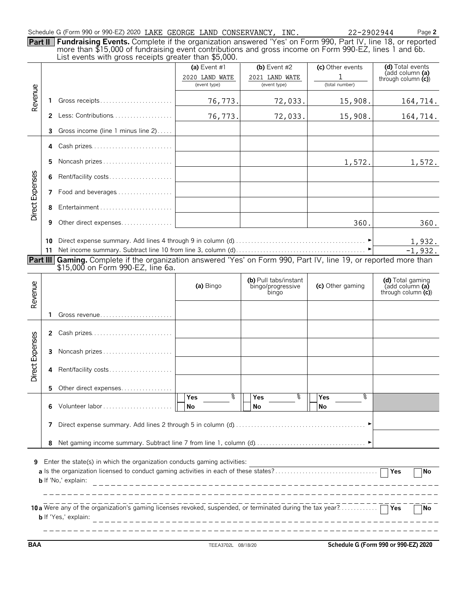|  | Schedule G (Form 990 or 990-EZ) 2020 LAKE GEORGE LAND CONSERVANCY, INC. |  |  |  |  |  | 22-2902944 |
|--|-------------------------------------------------------------------------|--|--|--|--|--|------------|
|--|-------------------------------------------------------------------------|--|--|--|--|--|------------|

Schedule G (Form 990 or 990-EZ) 2020 Page **2**

**Part II Fundraising Events.** Complete if the organization answered 'Yes' on Form 990, Part IV, line 18, or reported more than \$15,000 of fundraising event contributions and gross income on Form 990-EZ, lines 1 and 6b. List events with gross receipts greater than \$5,000.

|                 |                                                                                                                                                                 | List events with gross receipts greater than \$5,000.                                                                                                  |                                                |                                                     |                                         |                                                               |  |  |  |  |
|-----------------|-----------------------------------------------------------------------------------------------------------------------------------------------------------------|--------------------------------------------------------------------------------------------------------------------------------------------------------|------------------------------------------------|-----------------------------------------------------|-----------------------------------------|---------------------------------------------------------------|--|--|--|--|
|                 |                                                                                                                                                                 |                                                                                                                                                        | (a) Event #1<br>2020 LAND WATE<br>(event type) | (b) Event $#2$<br>2021 LAND WATE<br>(event type)    | (c) Other events<br>1<br>(total number) | (d) Total events<br>(add column (a)<br>through column $(c)$   |  |  |  |  |
| Revenue         | 1.                                                                                                                                                              | Gross receipts                                                                                                                                         | 76,773.                                        | 72,033.                                             | 15,908.                                 | 164,714.                                                      |  |  |  |  |
|                 | $\mathbf{2}$                                                                                                                                                    | Less: Contributions                                                                                                                                    | 76,773.                                        | 72,033.                                             | 15,908.                                 | 164,714.                                                      |  |  |  |  |
|                 | 3                                                                                                                                                               | Gross income (line 1 minus line 2)                                                                                                                     |                                                |                                                     |                                         |                                                               |  |  |  |  |
|                 | 4                                                                                                                                                               | Cash prizes                                                                                                                                            |                                                |                                                     |                                         |                                                               |  |  |  |  |
|                 | 5                                                                                                                                                               | Noncash prizes                                                                                                                                         |                                                |                                                     | 1,572.                                  | 1,572.                                                        |  |  |  |  |
|                 | 6                                                                                                                                                               | Rent/facility costs                                                                                                                                    |                                                |                                                     |                                         |                                                               |  |  |  |  |
| Direct Expenses | 7                                                                                                                                                               | Food and beverages                                                                                                                                     |                                                |                                                     |                                         |                                                               |  |  |  |  |
|                 | 8                                                                                                                                                               |                                                                                                                                                        |                                                |                                                     |                                         |                                                               |  |  |  |  |
|                 | 9                                                                                                                                                               | Other direct expenses                                                                                                                                  |                                                |                                                     | 360.                                    | 360.                                                          |  |  |  |  |
|                 | 10<br>11                                                                                                                                                        |                                                                                                                                                        |                                                |                                                     | ►                                       | 1,932.<br>$-1,932.$                                           |  |  |  |  |
|                 |                                                                                                                                                                 | Part III Gaming. Complete if the organization answered 'Yes' on Form 990, Part IV, line 19, or reported more than<br>\$15,000 on Form 990-EZ, line 6a. |                                                |                                                     |                                         |                                                               |  |  |  |  |
| Revenue         |                                                                                                                                                                 |                                                                                                                                                        | (a) Bingo                                      | (b) Pull tabs/instant<br>bingo/progressive<br>bingo | (c) Other gaming                        | (d) Total gaming<br>(add column (a)<br>through column $(c)$ ) |  |  |  |  |
|                 | 1.                                                                                                                                                              |                                                                                                                                                        |                                                |                                                     |                                         |                                                               |  |  |  |  |
|                 | $\mathbf{2}$                                                                                                                                                    | Cash prizes                                                                                                                                            |                                                |                                                     |                                         |                                                               |  |  |  |  |
|                 | 3                                                                                                                                                               | Noncash prizes                                                                                                                                         |                                                |                                                     |                                         |                                                               |  |  |  |  |
| Direct Expenses | 4                                                                                                                                                               | Rent/facility costs                                                                                                                                    |                                                |                                                     |                                         |                                                               |  |  |  |  |
|                 | 5.                                                                                                                                                              | Other direct expenses                                                                                                                                  |                                                |                                                     |                                         |                                                               |  |  |  |  |
|                 | 6                                                                                                                                                               | Volunteer labor                                                                                                                                        | ٩,<br><b>Yes</b><br>No                         | ٩,<br>Yes<br>No                                     | ٩,<br>Yes<br>No                         |                                                               |  |  |  |  |
|                 | 7                                                                                                                                                               |                                                                                                                                                        |                                                |                                                     |                                         |                                                               |  |  |  |  |
|                 | 8                                                                                                                                                               |                                                                                                                                                        |                                                |                                                     |                                         |                                                               |  |  |  |  |
| 9               | Enter the state(s) in which the organization conducts gaming activities:<br>$\overline{\mathsf{Y}}$ es<br><b>No</b><br><b>b</b> If 'No,' explain:               |                                                                                                                                                        |                                                |                                                     |                                         |                                                               |  |  |  |  |
|                 | 10 a Were any of the organization's gaming licenses revoked, suspended, or terminated during the tax year?<br>$\sqcap$ Yes<br>No<br><b>b</b> If 'Yes,' explain: |                                                                                                                                                        |                                                |                                                     |                                         |                                                               |  |  |  |  |

**BAA** TEEA3702L 08/18/20 **Schedule G (Form 990 or 990-EZ) 2020**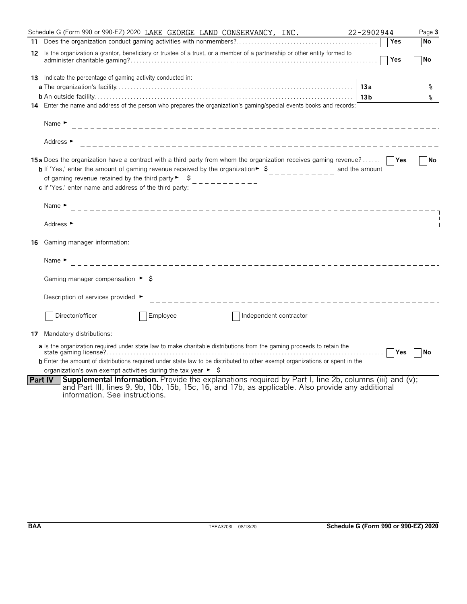|    | Schedule G (Form 990 or 990-EZ) 2020 LAKE GEORGE LAND CONSERVANCY, INC.                                                                                                                                                                                                                                                                                                                | 22-2902944                    | Page 3    |
|----|----------------------------------------------------------------------------------------------------------------------------------------------------------------------------------------------------------------------------------------------------------------------------------------------------------------------------------------------------------------------------------------|-------------------------------|-----------|
|    |                                                                                                                                                                                                                                                                                                                                                                                        | Yes                           | No        |
|    | 12 Is the organization a grantor, beneficiary or trustee of a trust, or a member of a partnership or other entity formed to                                                                                                                                                                                                                                                            | Yes                           | No        |
|    | 13 Indicate the percentage of gaming activity conducted in:                                                                                                                                                                                                                                                                                                                            |                               |           |
|    |                                                                                                                                                                                                                                                                                                                                                                                        | 13a                           | ႜ         |
|    |                                                                                                                                                                                                                                                                                                                                                                                        | 13 <sub>b</sub>               | °         |
|    | 14 Enter the name and address of the person who prepares the organization's gaming/special events books and records:                                                                                                                                                                                                                                                                   |                               |           |
|    | Name $\blacktriangleright$                                                                                                                                                                                                                                                                                                                                                             |                               |           |
|    | Address ►                                                                                                                                                                                                                                                                                                                                                                              |                               |           |
|    | <b>15a</b> Does the organization have a contract with a third party from whom the organization receives gaming revenue?<br><b>b</b> If 'Yes,' enter the amount of gaming revenue received by the organization $\ast$ $\uparrow$<br>of gaming revenue retained by the third party $\blacktriangleright$ $\blacktriangleright$<br>c If 'Yes,' enter name and address of the third party: | and the amount                | No        |
|    | Name $\blacktriangleright$                                                                                                                                                                                                                                                                                                                                                             |                               |           |
|    | Address ►                                                                                                                                                                                                                                                                                                                                                                              |                               |           |
| 16 | Gaming manager information:                                                                                                                                                                                                                                                                                                                                                            |                               |           |
|    | Name $\blacktriangleright$                                                                                                                                                                                                                                                                                                                                                             |                               |           |
|    | Gaming manager compensation $\rightarrow$ \$ ______________                                                                                                                                                                                                                                                                                                                            |                               |           |
|    | Description of services provided ►                                                                                                                                                                                                                                                                                                                                                     |                               |           |
|    | Director/officer<br>Employee<br>Independent contractor                                                                                                                                                                                                                                                                                                                                 |                               |           |
|    | 17 Mandatory distributions:                                                                                                                                                                                                                                                                                                                                                            |                               |           |
|    | a Is the organization required under state law to make charitable distributions from the gaming proceeds to retain the<br><b>b</b> Enter the amount of distributions required under state law to be distributed to other exempt organizations or spent in the<br>organization's own exempt activities during the tax year $\blacktriangleright$ $\blacktriangleright$                  | <b>Yes</b><br>1.1.1.1.1.1.1.1 | <b>No</b> |
|    | Supplemental Information. Provide the explanations required by Part I, line 2b, columns (iii) and (v);<br><b>Part IV</b><br>and Part III, lines 9, 9b, 10b, 15b, 15c, 16, and 17b, as applicable. Also provide any additional<br>information. See instructions.                                                                                                                        |                               |           |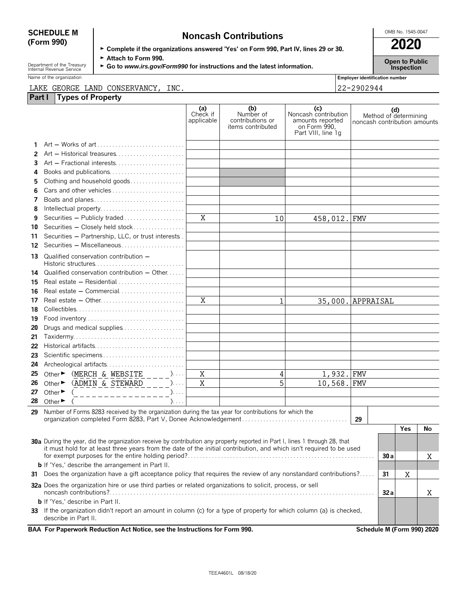| <b>SCHEDULE M</b> | <b>Noncash Contributions</b>                                                         | OMB No. 1545-0047 |
|-------------------|--------------------------------------------------------------------------------------|-------------------|
| (Form 990)        |                                                                                      | 2020              |
|                   | ► Complete if the organizations answered 'Yes' on Form 990, Part IV, lines 29 or 30. |                   |

Department of the Treasury **F** Attach to Form 990.<br>
Internal Revenue Service Finity Comment of the Treasury FGo to *www.irs.gov/Form990* for instructions and the latest information.<br>
Inspection

Name of the organization **Employer identification number Employer identification number** 

#### LAKE GEORGE LAND CONSERVANCY, INC. 22-2902944

| Part I   | LAKE GEORGE LAND CONSERVANCI,<br>INC.<br><b>Types of Property</b>                                                                         |                               |                                                           |                                                                                       | 77-7907944                   |     |                       |    |
|----------|-------------------------------------------------------------------------------------------------------------------------------------------|-------------------------------|-----------------------------------------------------------|---------------------------------------------------------------------------------------|------------------------------|-----|-----------------------|----|
|          |                                                                                                                                           |                               |                                                           |                                                                                       |                              |     |                       |    |
|          |                                                                                                                                           | (a)<br>Check if<br>applicable | (b)<br>Number of<br>contributions or<br>items contributed | (c)<br>Noncash contribution<br>amounts reported<br>on Form 990,<br>Part VIII, line 1g | noncash contribution amounts | (d) | Method of determining |    |
|          |                                                                                                                                           |                               |                                                           |                                                                                       |                              |     |                       |    |
| 2        | Art - Historical treasures                                                                                                                |                               |                                                           |                                                                                       |                              |     |                       |    |
| 3        | Art - Fractional interests                                                                                                                |                               |                                                           |                                                                                       |                              |     |                       |    |
| 4        |                                                                                                                                           |                               |                                                           |                                                                                       |                              |     |                       |    |
| 5        | Clothing and household goods                                                                                                              |                               |                                                           |                                                                                       |                              |     |                       |    |
| 6        |                                                                                                                                           |                               |                                                           |                                                                                       |                              |     |                       |    |
| 7        | Boats and planes                                                                                                                          |                               |                                                           |                                                                                       |                              |     |                       |    |
| 8        |                                                                                                                                           | $\overline{X}$                |                                                           |                                                                                       |                              |     |                       |    |
| 9        | Securities - Publicly traded<br>Securities - Closely held stock                                                                           |                               | 10                                                        | 458,012. FMV                                                                          |                              |     |                       |    |
| 10<br>11 | Securities - Partnership, LLC, or trust interests.                                                                                        |                               |                                                           |                                                                                       |                              |     |                       |    |
| 12       | Securities - Miscellaneous                                                                                                                |                               |                                                           |                                                                                       |                              |     |                       |    |
| 13       | Qualified conservation contribution -                                                                                                     |                               |                                                           |                                                                                       |                              |     |                       |    |
|          |                                                                                                                                           |                               |                                                           |                                                                                       |                              |     |                       |    |
| 14       | Qualified conservation contribution - Other<br>Real estate $-$ Residential $\ldots$ , $\ldots$ , $\ldots$ , $\ldots$                      |                               |                                                           |                                                                                       |                              |     |                       |    |
| 15<br>16 | Real estate - Commercial                                                                                                                  |                               |                                                           |                                                                                       |                              |     |                       |    |
| 17       |                                                                                                                                           | X                             | 1                                                         | 35,000. APPRAISAL                                                                     |                              |     |                       |    |
| 18       |                                                                                                                                           |                               |                                                           |                                                                                       |                              |     |                       |    |
| 19       |                                                                                                                                           |                               |                                                           |                                                                                       |                              |     |                       |    |
| 20       | Drugs and medical supplies                                                                                                                |                               |                                                           |                                                                                       |                              |     |                       |    |
| 21       |                                                                                                                                           |                               |                                                           |                                                                                       |                              |     |                       |    |
| 22       |                                                                                                                                           |                               |                                                           |                                                                                       |                              |     |                       |    |
| 23       |                                                                                                                                           |                               |                                                           |                                                                                       |                              |     |                       |    |
| 24       |                                                                                                                                           |                               |                                                           |                                                                                       |                              |     |                       |    |
| 25       | Other $\triangleright$ (MERCH & WEBSITE _ _ _ )                                                                                           | X                             | 4                                                         | 1,932.                                                                                | <b>FMV</b>                   |     |                       |    |
| 26       | Other $\triangleright$ (ADMIN & STEWARD _ _ _ )                                                                                           | X                             | 5                                                         | 10,568. FMV                                                                           |                              |     |                       |    |
| 27       | Other $\bullet$ ( _ _ _ _ _ _ _ _ _ _ _ _ _ _ _ _ )                                                                                       |                               |                                                           |                                                                                       |                              |     |                       |    |
| 28       | Other $\blacktriangleright$<br>$\mathcal{L}$                                                                                              |                               |                                                           |                                                                                       |                              |     |                       |    |
| 29       | Number of Forms 8283 received by the organization during the tax year for contributions for which the                                     |                               |                                                           |                                                                                       | 29                           |     |                       |    |
|          |                                                                                                                                           |                               |                                                           |                                                                                       |                              |     | <b>Yes</b>            | No |
|          | 30a During the year, did the organization receive by contribution any property reported in Part I, lines 1 through 28, that               |                               |                                                           |                                                                                       |                              |     |                       |    |
|          | it must hold for at least three years from the date of the initial contribution, and which isn't required to be used                      |                               |                                                           |                                                                                       |                              |     |                       |    |
|          |                                                                                                                                           |                               |                                                           |                                                                                       |                              | 30a |                       | X  |
|          | <b>b</b> If 'Yes,' describe the arrangement in Part II.                                                                                   |                               |                                                           |                                                                                       |                              |     |                       |    |
|          | 31 Does the organization have a gift acceptance policy that requires the review of any nonstandard contributions?                         |                               |                                                           |                                                                                       |                              |     |                       |    |
|          | 32a Does the organization hire or use third parties or related organizations to solicit, process, or sell                                 |                               |                                                           |                                                                                       |                              |     |                       | X  |
|          | <b>b</b> If 'Yes,' describe in Part II.                                                                                                   |                               |                                                           |                                                                                       |                              |     |                       |    |
| 33       | If the organization didn't report an amount in column (c) for a type of property for which column (a) is checked,<br>describe in Part II. |                               |                                                           |                                                                                       |                              |     |                       |    |
|          | BAA For Paperwork Reduction Act Notice, see the Instructions for Form 990.                                                                |                               |                                                           |                                                                                       | Schedule M (Form 990) 2020   |     |                       |    |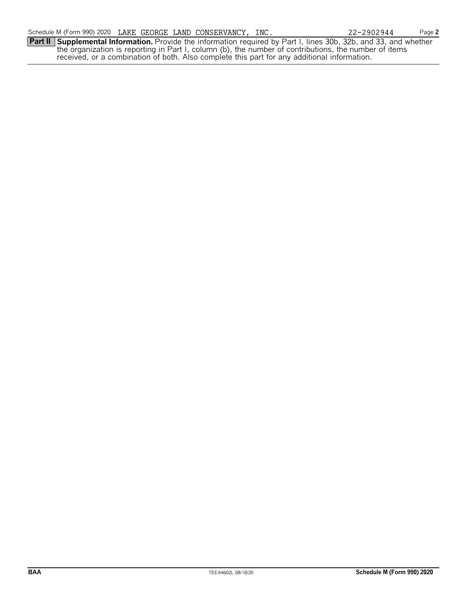**Part II Supplemental Information.** Provide the information required by Part I, lines 30b, 32b, and 33, and whether the organization is reporting in Part I, column (b), the number of contributions, the number of items received, or a combination of both. Also complete this part for any additional information.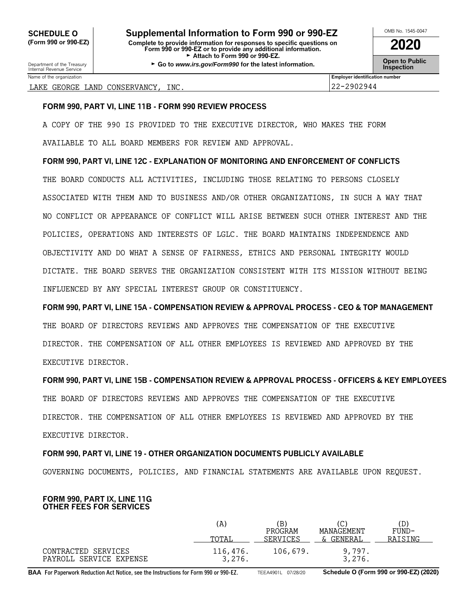Department of the Treasury **Constant Comment of the Treasury Comment of the Service Comment of the Constant Comment<br>Internal Revenue Service <b>Inspection** 

| OMB No. 1545-0047                    |  |  |  |  |
|--------------------------------------|--|--|--|--|
| 2020                                 |  |  |  |  |
| <b>Open to Public<br/>Inspection</b> |  |  |  |  |

|  | LAKE GEORGE LAND CONSERVANCY, INC. |  | 22-2902944 |
|--|------------------------------------|--|------------|

Name of the organization **Employer identification number Employer identification number** 

#### **FORM 990, PART VI, LINE 11B - FORM 990 REVIEW PROCESS**

A COPY OF THE 990 IS PROVIDED TO THE EXECUTIVE DIRECTOR, WHO MAKES THE FORM AVAILABLE TO ALL BOARD MEMBERS FOR REVIEW AND APPROVAL.

#### **FORM 990, PART VI, LINE 12C - EXPLANATION OF MONITORING AND ENFORCEMENT OF CONFLICTS**

THE BOARD CONDUCTS ALL ACTIVITIES, INCLUDING THOSE RELATING TO PERSONS CLOSELY ASSOCIATED WITH THEM AND TO BUSINESS AND/OR OTHER ORGANIZATIONS, IN SUCH A WAY THAT NO CONFLICT OR APPEARANCE OF CONFLICT WILL ARISE BETWEEN SUCH OTHER INTEREST AND THE POLICIES, OPERATIONS AND INTERESTS OF LGLC. THE BOARD MAINTAINS INDEPENDENCE AND OBJECTIVITY AND DO WHAT A SENSE OF FAIRNESS, ETHICS AND PERSONAL INTEGRITY WOULD DICTATE. THE BOARD SERVES THE ORGANIZATION CONSISTENT WITH ITS MISSION WITHOUT BEING INFLUENCED BY ANY SPECIAL INTEREST GROUP OR CONSTITUENCY.

**FORM 990, PART VI, LINE 15A - COMPENSATION REVIEW & APPROVAL PROCESS - CEO & TOP MANAGEMENT** THE BOARD OF DIRECTORS REVIEWS AND APPROVES THE COMPENSATION OF THE EXECUTIVE DIRECTOR. THE COMPENSATION OF ALL OTHER EMPLOYEES IS REVIEWED AND APPROVED BY THE EXECUTIVE DIRECTOR.

# **FORM 990, PART VI, LINE 15B - COMPENSATION REVIEW & APPROVAL PROCESS - OFFICERS & KEY EMPLOYEES**

THE BOARD OF DIRECTORS REVIEWS AND APPROVES THE COMPENSATION OF THE EXECUTIVE DIRECTOR. THE COMPENSATION OF ALL OTHER EMPLOYEES IS REVIEWED AND APPROVED BY THE EXECUTIVE DIRECTOR.

#### **FORM 990, PART VI, LINE 19 - OTHER ORGANIZATION DOCUMENTS PUBLICLY AVAILABLE**

GOVERNING DOCUMENTS, POLICIES, AND FINANCIAL STATEMENTS ARE AVAILABLE UPON REQUEST.

#### **FORM 990, PART IX, LINE 11G OTHER FEES FOR SERVICES**

|                                                | (A)<br>TOTAL       | (B)<br>PROGRAM<br><b>SERVICES</b> | MANAGEMENT<br>& GENERAL | (D)<br>FUND-<br>RAISING |
|------------------------------------------------|--------------------|-----------------------------------|-------------------------|-------------------------|
| CONTRACTED SERVICES<br>PAYROLL SERVICE EXPENSE | 116,476.<br>3,276. | 106,679.                          | 9,797.<br>3,276.        |                         |